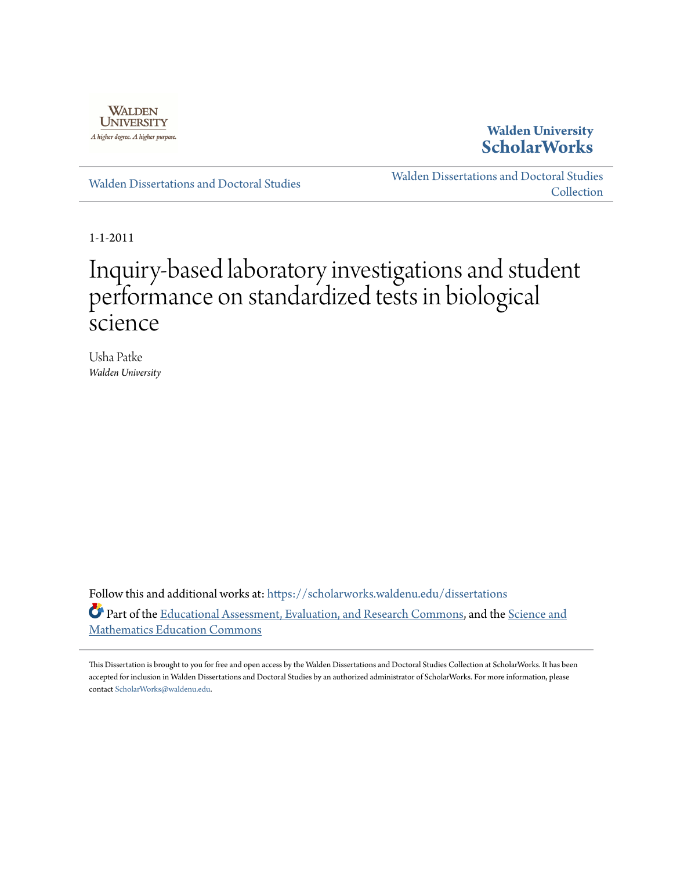

## **Walden University [ScholarWorks](https://scholarworks.waldenu.edu?utm_source=scholarworks.waldenu.edu%2Fdissertations%2F1089&utm_medium=PDF&utm_campaign=PDFCoverPages)**

[Walden Dissertations and Doctoral Studies](https://scholarworks.waldenu.edu/dissertations?utm_source=scholarworks.waldenu.edu%2Fdissertations%2F1089&utm_medium=PDF&utm_campaign=PDFCoverPages)

[Walden Dissertations and Doctoral Studies](https://scholarworks.waldenu.edu/dissanddoc?utm_source=scholarworks.waldenu.edu%2Fdissertations%2F1089&utm_medium=PDF&utm_campaign=PDFCoverPages) **[Collection](https://scholarworks.waldenu.edu/dissanddoc?utm_source=scholarworks.waldenu.edu%2Fdissertations%2F1089&utm_medium=PDF&utm_campaign=PDFCoverPages)** 

1-1-2011

# Inquiry-based laboratory investigations and student performance on standardized tests in biological science

Usha Patke *Walden University*

Follow this and additional works at: [https://scholarworks.waldenu.edu/dissertations](https://scholarworks.waldenu.edu/dissertations?utm_source=scholarworks.waldenu.edu%2Fdissertations%2F1089&utm_medium=PDF&utm_campaign=PDFCoverPages) Part of the [Educational Assessment, Evaluation, and Research Commons,](http://network.bepress.com/hgg/discipline/796?utm_source=scholarworks.waldenu.edu%2Fdissertations%2F1089&utm_medium=PDF&utm_campaign=PDFCoverPages) and the [Science and](http://network.bepress.com/hgg/discipline/800?utm_source=scholarworks.waldenu.edu%2Fdissertations%2F1089&utm_medium=PDF&utm_campaign=PDFCoverPages) [Mathematics Education Commons](http://network.bepress.com/hgg/discipline/800?utm_source=scholarworks.waldenu.edu%2Fdissertations%2F1089&utm_medium=PDF&utm_campaign=PDFCoverPages)

This Dissertation is brought to you for free and open access by the Walden Dissertations and Doctoral Studies Collection at ScholarWorks. It has been accepted for inclusion in Walden Dissertations and Doctoral Studies by an authorized administrator of ScholarWorks. For more information, please contact [ScholarWorks@waldenu.edu](mailto:ScholarWorks@waldenu.edu).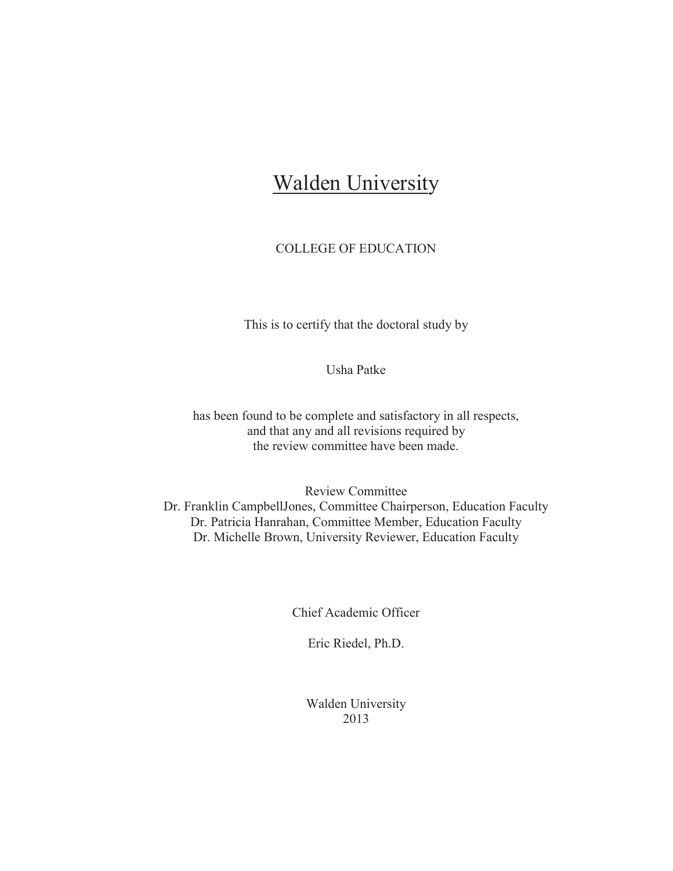## **Walden University**

### COLLEGE OF EDUCATION

This is to certify that the doctoral study by

Usha Patke

has been found to be complete and satisfactory in all respects, and that any and all revisions required by the review committee have been made.

Review Committee Dr. Franklin CampbellJones, Committee Chairperson, Education Faculty Dr. Patricia Hanrahan, Committee Member, Education Faculty Dr. Michelle Brown, University Reviewer, Education Faculty

Chief Academic Officer

Eric Riedel, Ph.D.

Walden University 2013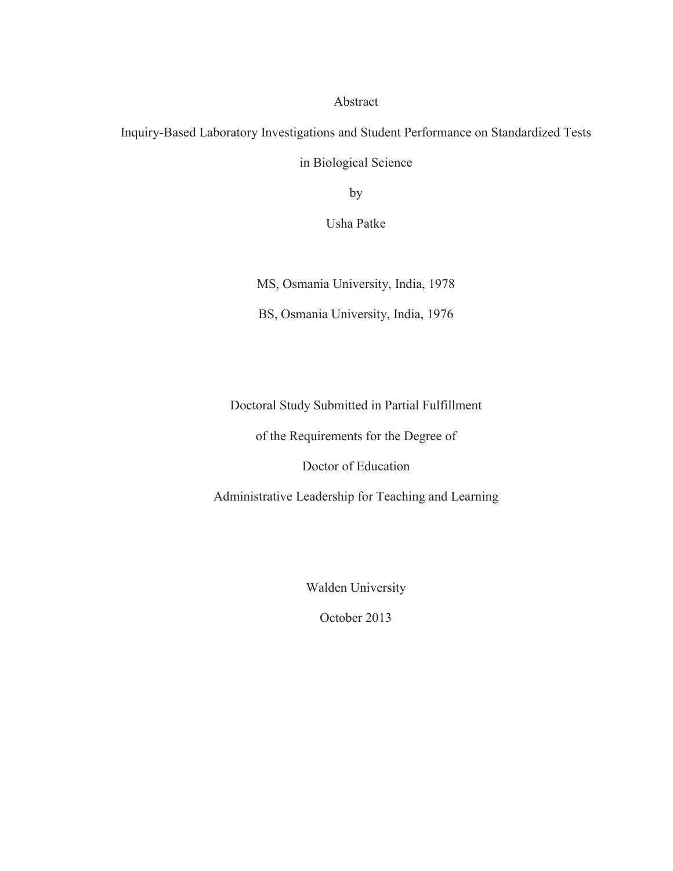#### Abstract

Inquiry-Based Laboratory Investigations and Student Performance on Standardized Tests in Biological Science

by

Usha Patke

MS, Osmania University, India, 1978

BS, Osmania University, India, 1976

Doctoral Study Submitted in Partial Fulfillment

of the Requirements for the Degree of

Doctor of Education

Administrative Leadership for Teaching and Learning

Walden University

October 2013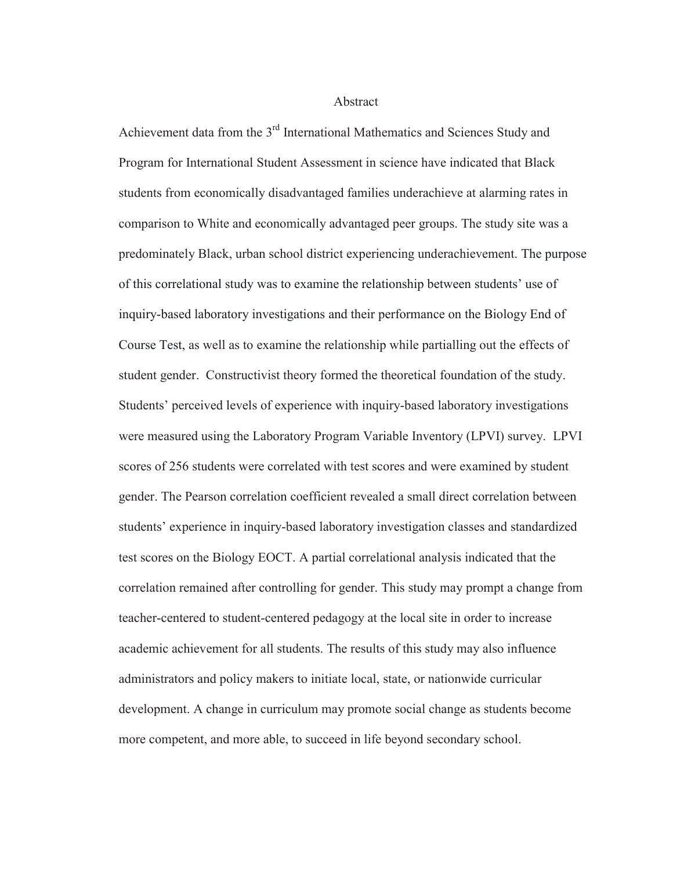Abstract

Achievement data from the 3rd International Mathematics and Sciences Study and Program for International Student Assessment in science have indicated that Black students from economically disadvantaged families underachieve at alarming rates in comparison to White and economically advantaged peer groups. The study site was a predominately Black, urban school district experiencing underachievement. The purpose of this correlational study was to examine the relationship between students' use of inquiry-based laboratory investigations and their performance on the Biology End of Course Test, as well as to examine the relationship while partialling out the effects of student gender. Constructivist theory formed the theoretical foundation of the study. Students' perceived levels of experience with inquiry-based laboratory investigations were measured using the Laboratory Program Variable Inventory (LPVI) survey. LPVI scores of 256 students were correlated with test scores and were examined by student gender. The Pearson correlation coefficient revealed a small direct correlation between students' experience in inquiry-based laboratory investigation classes and standardized test scores on the Biology EOCT. A partial correlational analysis indicated that the correlation remained after controlling for gender. This study may prompt a change from teacher-centered to student-centered pedagogy at the local site in order to increase academic achievement for all students. The results of this study may also influence administrators and policy makers to initiate local, state, or nationwide curricular development. A change in curriculum may promote social change as students become more competent, and more able, to succeed in life beyond secondary school.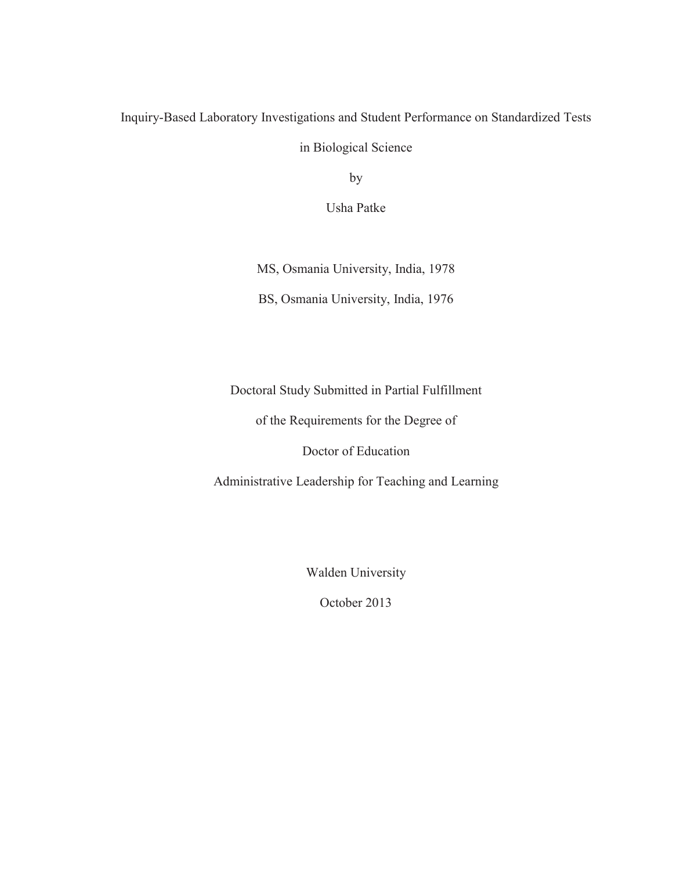## Inquiry-Based Laboratory Investigations and Student Performance on Standardized Tests

in Biological Science

by

Usha Patke

MS, Osmania University, India, 1978

BS, Osmania University, India, 1976

Doctoral Study Submitted in Partial Fulfillment

of the Requirements for the Degree of

Doctor of Education

Administrative Leadership for Teaching and Learning

Walden University

October 2013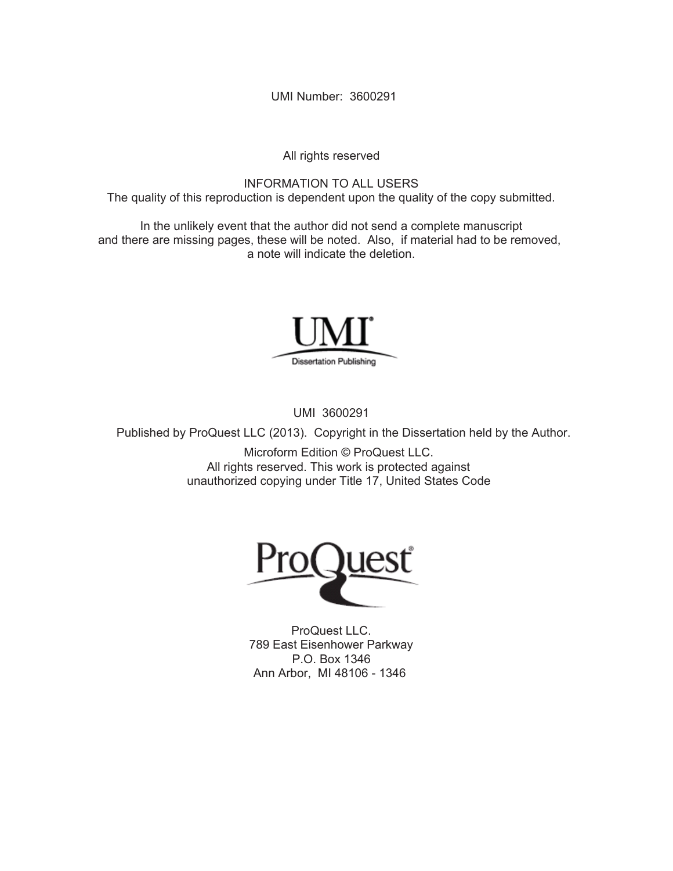UMI Number: 3600291

All rights reserved

INFORMATION TO ALL USERS The quality of this reproduction is dependent upon the quality of the copy submitted.

In the unlikely event that the author did not send a complete manuscript and there are missing pages, these will be noted. Also, if material had to be removed, a note will indicate the deletion.



UMI 3600291

Published by ProQuest LLC (2013). Copyright in the Dissertation held by the Author.

Microform Edition © ProQuest LLC. All rights reserved. This work is protected against unauthorized copying under Title 17, United States Code



ProQuest LLC. 789 East Eisenhower Parkway P.O. Box 1346 Ann Arbor, MI 48106 - 1346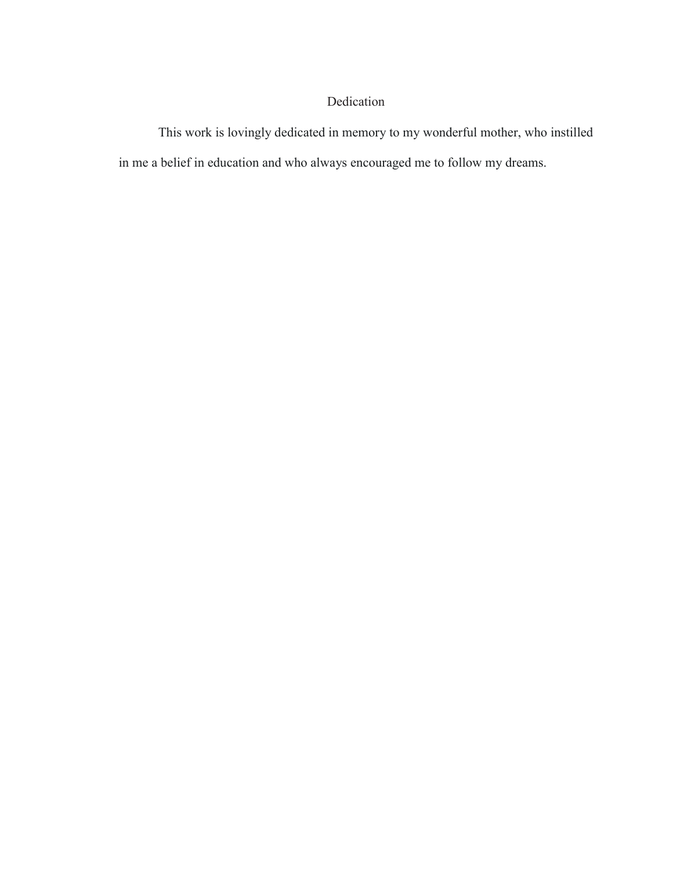## Dedication

This work is lovingly dedicated in memory to my wonderful mother, who instilled in me a belief in education and who always encouraged me to follow my dreams.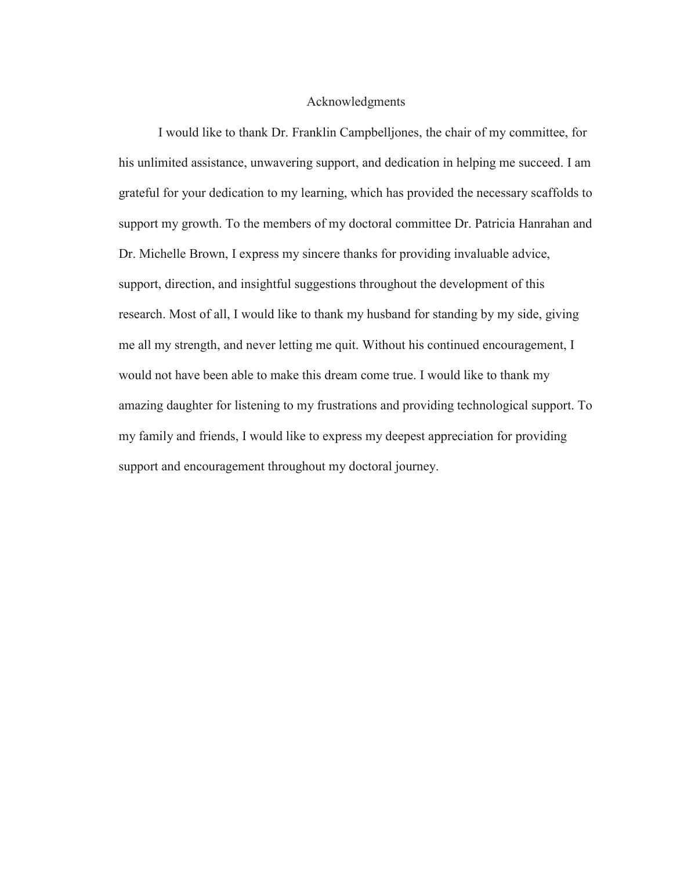#### Acknowledgments

I would like to thank Dr. Franklin Campbelljones, the chair of my committee, for his unlimited assistance, unwavering support, and dedication in helping me succeed. I am grateful for your dedication to my learning, which has provided the necessary scaffolds to support my growth. To the members of my doctoral committee Dr. Patricia Hanrahan and Dr. Michelle Brown, I express my sincere thanks for providing invaluable advice, support, direction, and insightful suggestions throughout the development of this research. Most of all, I would like to thank my husband for standing by my side, giving me all my strength, and never letting me quit. Without his continued encouragement, I would not have been able to make this dream come true. I would like to thank my amazing daughter for listening to my frustrations and providing technological support. To my family and friends, I would like to express my deepest appreciation for providing support and encouragement throughout my doctoral journey.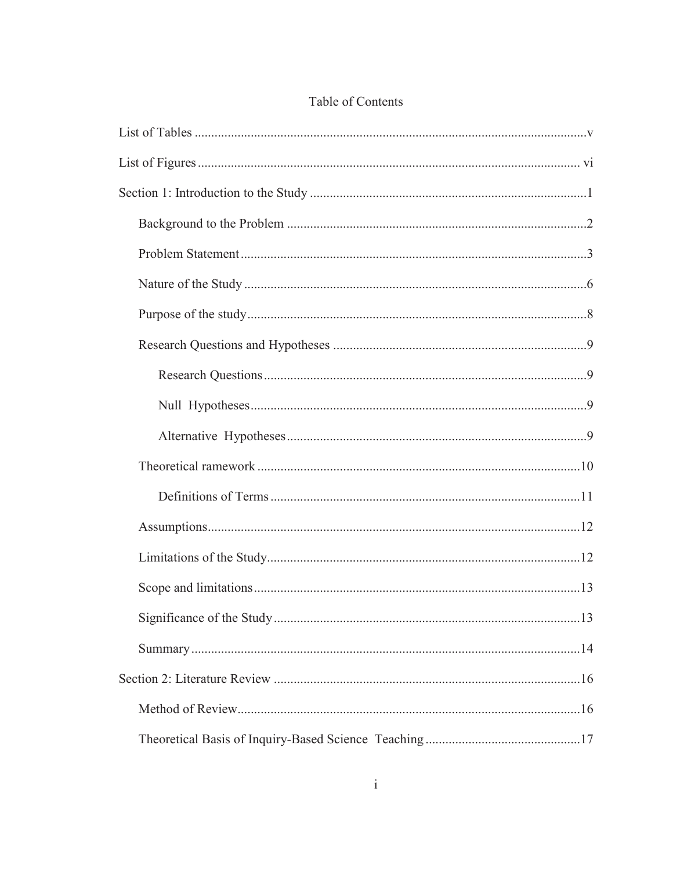## Table of Contents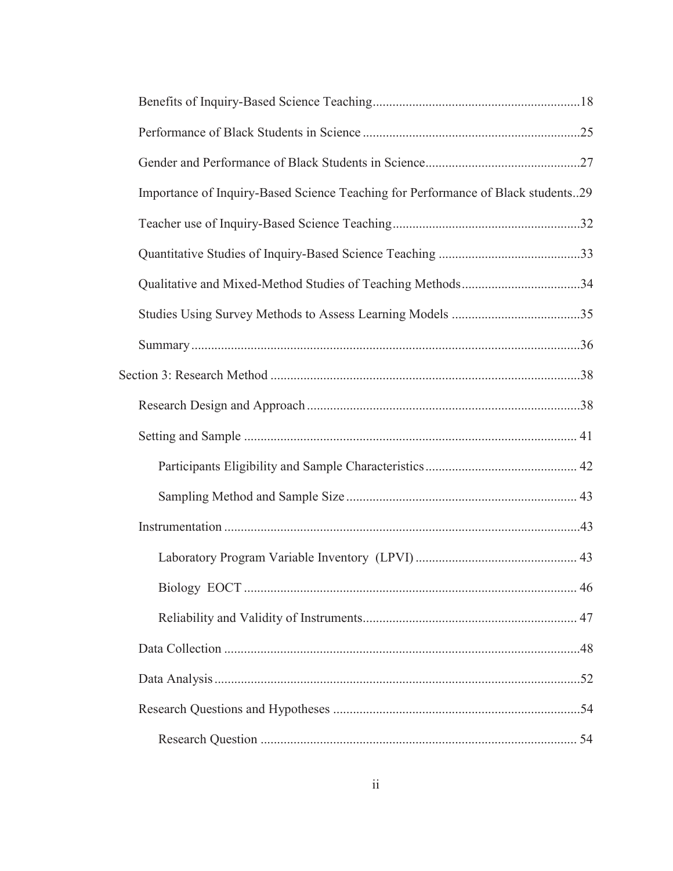| Importance of Inquiry-Based Science Teaching for Performance of Black students29 |  |
|----------------------------------------------------------------------------------|--|
|                                                                                  |  |
|                                                                                  |  |
|                                                                                  |  |
|                                                                                  |  |
|                                                                                  |  |
|                                                                                  |  |
|                                                                                  |  |
|                                                                                  |  |
|                                                                                  |  |
|                                                                                  |  |
|                                                                                  |  |
|                                                                                  |  |
|                                                                                  |  |
|                                                                                  |  |
|                                                                                  |  |
|                                                                                  |  |
|                                                                                  |  |
|                                                                                  |  |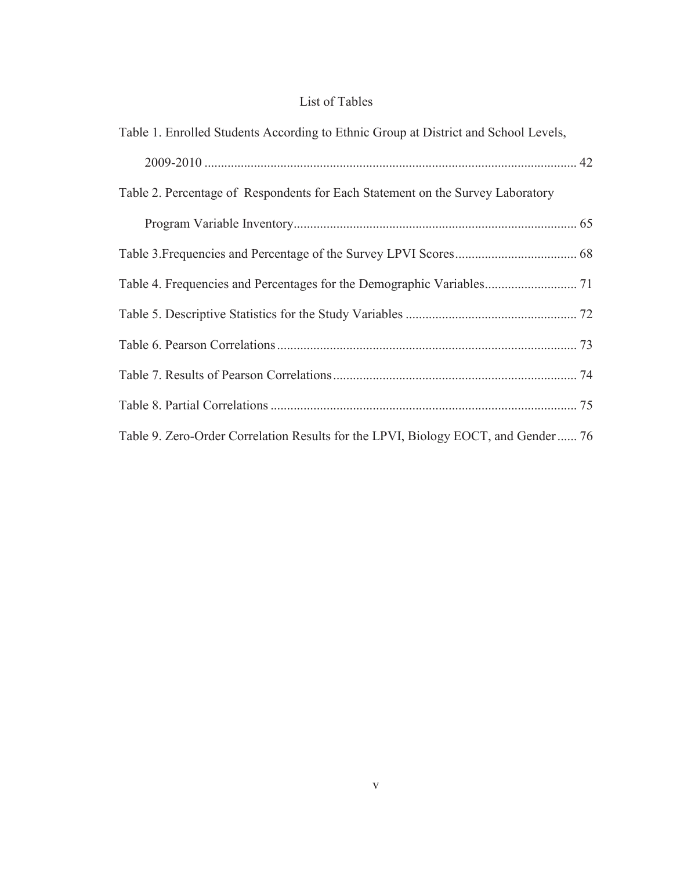## List of Tables

| Table 1. Enrolled Students According to Ethnic Group at District and School Levels, |  |
|-------------------------------------------------------------------------------------|--|
|                                                                                     |  |
| Table 2. Percentage of Respondents for Each Statement on the Survey Laboratory      |  |
|                                                                                     |  |
|                                                                                     |  |
|                                                                                     |  |
|                                                                                     |  |
|                                                                                     |  |
|                                                                                     |  |
|                                                                                     |  |
| Table 9. Zero-Order Correlation Results for the LPVI, Biology EOCT, and Gender  76  |  |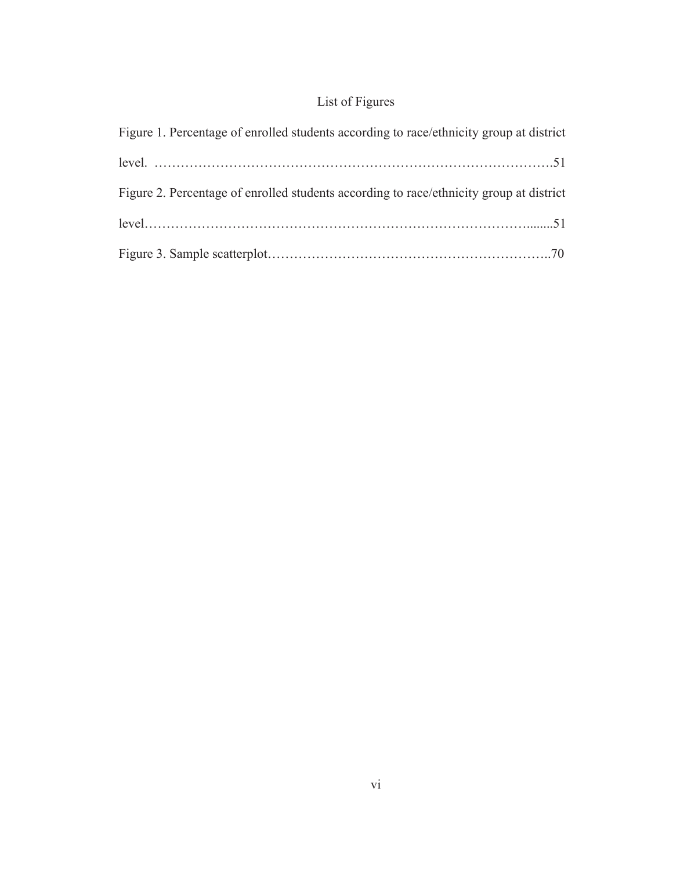## List of Figures

| Figure 1. Percentage of enrolled students according to race/ethnicity group at district |
|-----------------------------------------------------------------------------------------|
|                                                                                         |
| Figure 2. Percentage of enrolled students according to race/ethnicity group at district |
|                                                                                         |
|                                                                                         |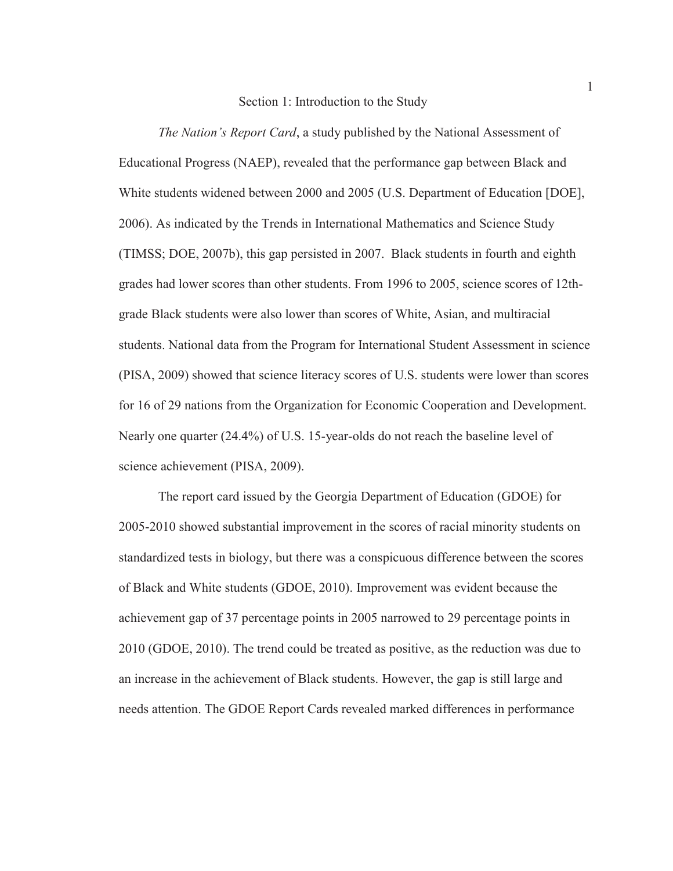#### Section 1: Introduction to the Study

*The Nation's Report Card*, a study published by the National Assessment of Educational Progress (NAEP), revealed that the performance gap between Black and White students widened between 2000 and 2005 (U.S. Department of Education [DOE], 2006). As indicated by the Trends in International Mathematics and Science Study (TIMSS; DOE, 2007b), this gap persisted in 2007. Black students in fourth and eighth grades had lower scores than other students. From 1996 to 2005, science scores of 12thgrade Black students were also lower than scores of White, Asian, and multiracial students. National data from the Program for International Student Assessment in science (PISA, 2009) showed that science literacy scores of U.S. students were lower than scores for 16 of 29 nations from the Organization for Economic Cooperation and Development. Nearly one quarter (24.4%) of U.S. 15-year-olds do not reach the baseline level of science achievement (PISA, 2009).

The report card issued by the Georgia Department of Education (GDOE) for 2005-2010 showed substantial improvement in the scores of racial minority students on standardized tests in biology, but there was a conspicuous difference between the scores of Black and White students (GDOE, 2010). Improvement was evident because the achievement gap of 37 percentage points in 2005 narrowed to 29 percentage points in 2010 (GDOE, 2010). The trend could be treated as positive, as the reduction was due to an increase in the achievement of Black students. However, the gap is still large and needs attention. The GDOE Report Cards revealed marked differences in performance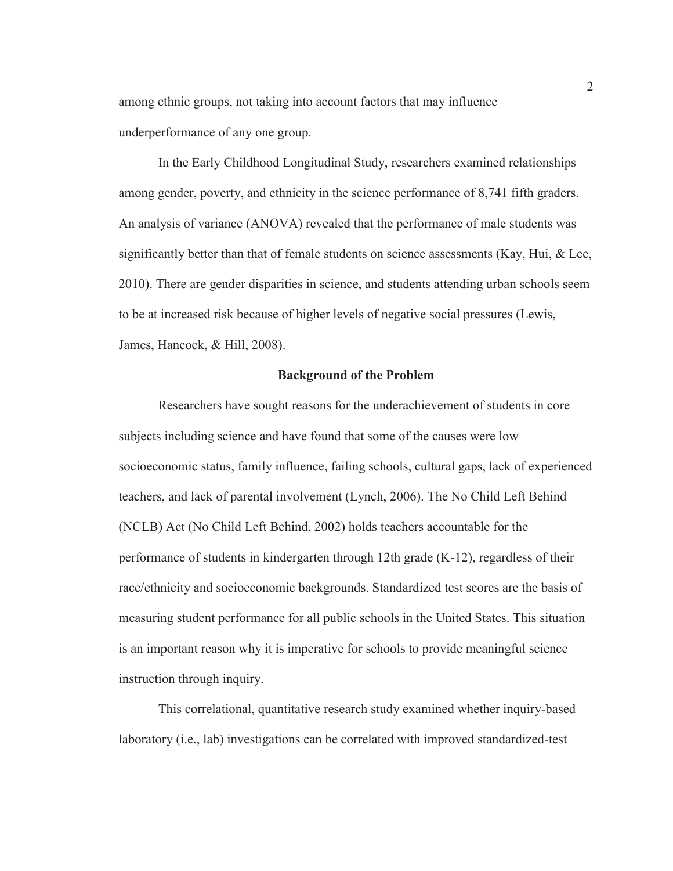among ethnic groups, not taking into account factors that may influence underperformance of any one group.

In the Early Childhood Longitudinal Study, researchers examined relationships among gender, poverty, and ethnicity in the science performance of 8,741 fifth graders. An analysis of variance (ANOVA) revealed that the performance of male students was significantly better than that of female students on science assessments (Kay, Hui, & Lee, 2010). There are gender disparities in science, and students attending urban schools seem to be at increased risk because of higher levels of negative social pressures (Lewis, James, Hancock, & Hill, 2008).

#### **Background of the Problem**

 Researchers have sought reasons for the underachievement of students in core subjects including science and have found that some of the causes were low socioeconomic status, family influence, failing schools, cultural gaps, lack of experienced teachers, and lack of parental involvement (Lynch, 2006). The No Child Left Behind (NCLB) Act (No Child Left Behind, 2002) holds teachers accountable for the performance of students in kindergarten through 12th grade (K-12), regardless of their race/ethnicity and socioeconomic backgrounds. Standardized test scores are the basis of measuring student performance for all public schools in the United States. This situation is an important reason why it is imperative for schools to provide meaningful science instruction through inquiry.

This correlational, quantitative research study examined whether inquiry-based laboratory (i.e., lab) investigations can be correlated with improved standardized-test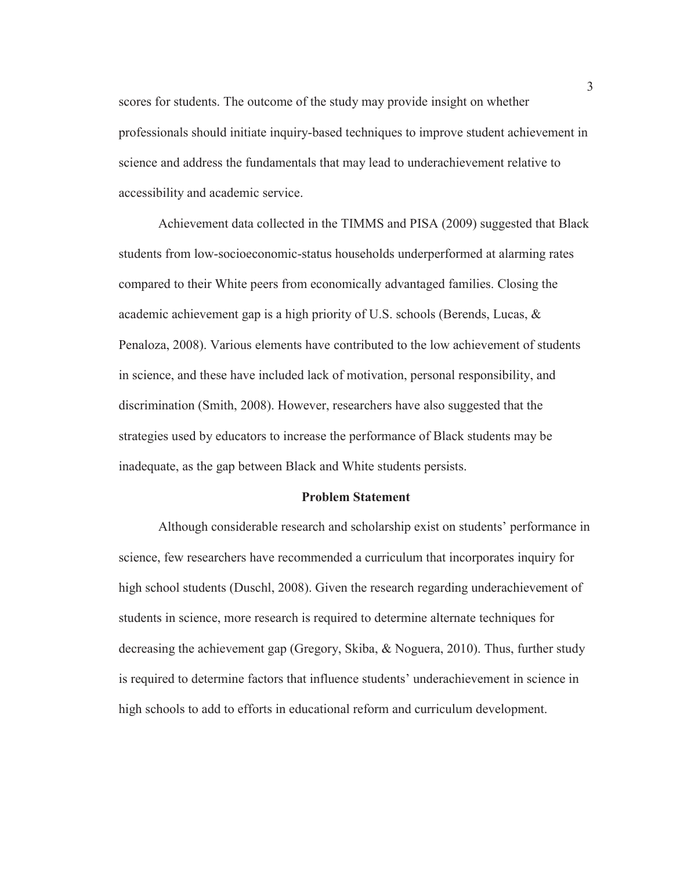scores for students. The outcome of the study may provide insight on whether professionals should initiate inquiry-based techniques to improve student achievement in science and address the fundamentals that may lead to underachievement relative to accessibility and academic service.

 Achievement data collected in the TIMMS and PISA (2009) suggested that Black students from low-socioeconomic-status households underperformed at alarming rates compared to their White peers from economically advantaged families. Closing the academic achievement gap is a high priority of U.S. schools (Berends, Lucas, & Penaloza, 2008). Various elements have contributed to the low achievement of students in science, and these have included lack of motivation, personal responsibility, and discrimination (Smith, 2008). However, researchers have also suggested that the strategies used by educators to increase the performance of Black students may be inadequate, as the gap between Black and White students persists.

#### **Problem Statement**

Although considerable research and scholarship exist on students' performance in science, few researchers have recommended a curriculum that incorporates inquiry for high school students (Duschl, 2008). Given the research regarding underachievement of students in science, more research is required to determine alternate techniques for decreasing the achievement gap (Gregory, Skiba, & Noguera, 2010). Thus, further study is required to determine factors that influence students' underachievement in science in high schools to add to efforts in educational reform and curriculum development.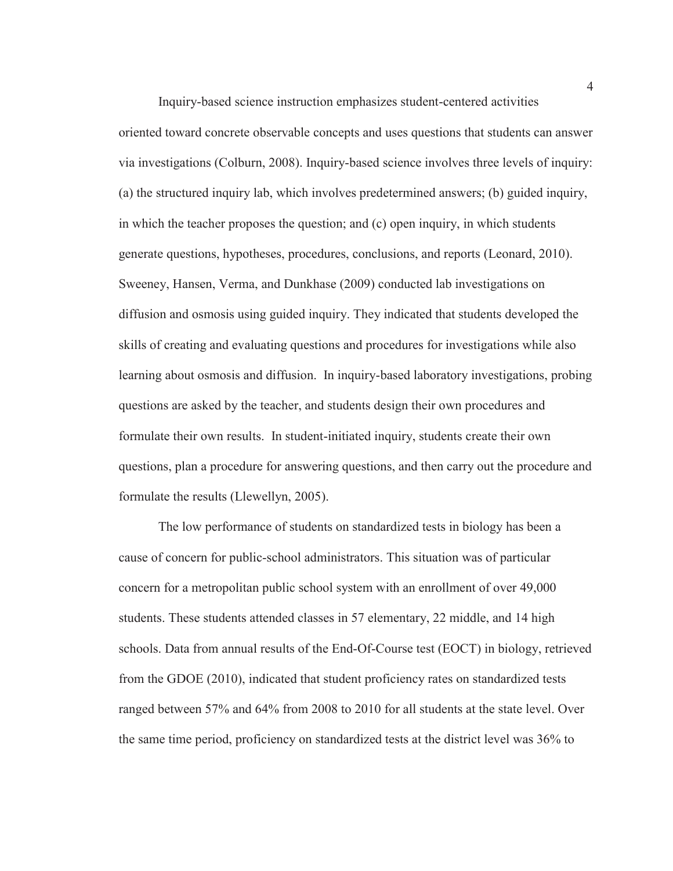Inquiry-based science instruction emphasizes student-centered activities oriented toward concrete observable concepts and uses questions that students can answer via investigations (Colburn, 2008). Inquiry-based science involves three levels of inquiry: (a) the structured inquiry lab, which involves predetermined answers; (b) guided inquiry, in which the teacher proposes the question; and (c) open inquiry, in which students generate questions, hypotheses, procedures, conclusions, and reports (Leonard, 2010). Sweeney, Hansen, Verma, and Dunkhase (2009) conducted lab investigations on diffusion and osmosis using guided inquiry. They indicated that students developed the skills of creating and evaluating questions and procedures for investigations while also learning about osmosis and diffusion. In inquiry-based laboratory investigations, probing questions are asked by the teacher, and students design their own procedures and formulate their own results. In student-initiated inquiry, students create their own questions, plan a procedure for answering questions, and then carry out the procedure and formulate the results (Llewellyn, 2005).

The low performance of students on standardized tests in biology has been a cause of concern for public-school administrators. This situation was of particular concern for a metropolitan public school system with an enrollment of over 49,000 students. These students attended classes in 57 elementary, 22 middle, and 14 high schools. Data from annual results of the End-Of-Course test (EOCT) in biology, retrieved from the GDOE (2010), indicated that student proficiency rates on standardized tests ranged between 57% and 64% from 2008 to 2010 for all students at the state level. Over the same time period, proficiency on standardized tests at the district level was 36% to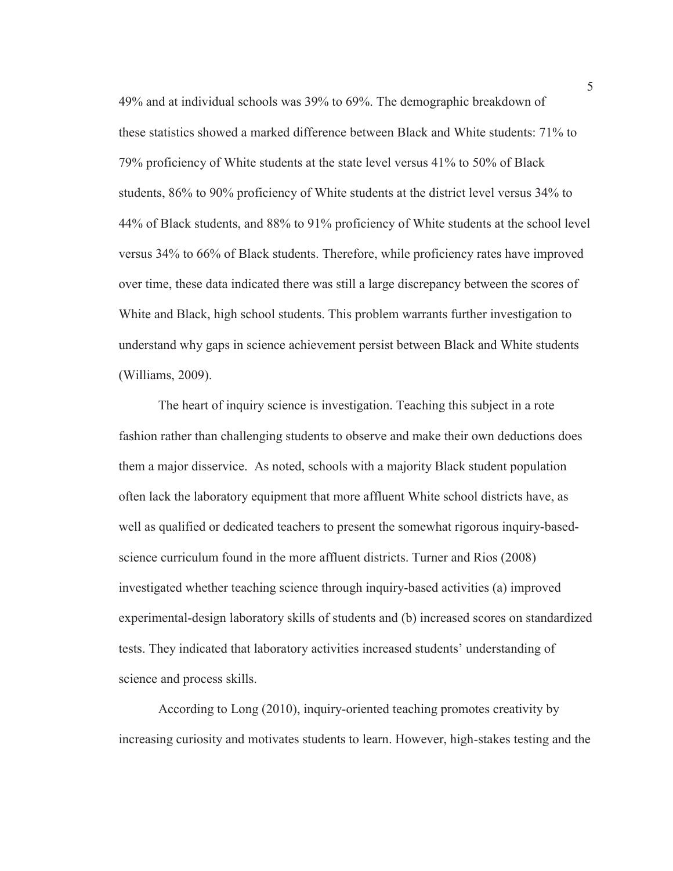49% and at individual schools was 39% to 69%. The demographic breakdown of these statistics showed a marked difference between Black and White students: 71% to 79% proficiency of White students at the state level versus 41% to 50% of Black students, 86% to 90% proficiency of White students at the district level versus 34% to 44% of Black students, and 88% to 91% proficiency of White students at the school level versus 34% to 66% of Black students. Therefore, while proficiency rates have improved over time, these data indicated there was still a large discrepancy between the scores of White and Black, high school students. This problem warrants further investigation to understand why gaps in science achievement persist between Black and White students (Williams, 2009).

The heart of inquiry science is investigation. Teaching this subject in a rote fashion rather than challenging students to observe and make their own deductions does them a major disservice. As noted, schools with a majority Black student population often lack the laboratory equipment that more affluent White school districts have, as well as qualified or dedicated teachers to present the somewhat rigorous inquiry-basedscience curriculum found in the more affluent districts. Turner and Rios (2008) investigated whether teaching science through inquiry-based activities (a) improved experimental-design laboratory skills of students and (b) increased scores on standardized tests. They indicated that laboratory activities increased students' understanding of science and process skills.

According to Long (2010), inquiry-oriented teaching promotes creativity by increasing curiosity and motivates students to learn. However, high-stakes testing and the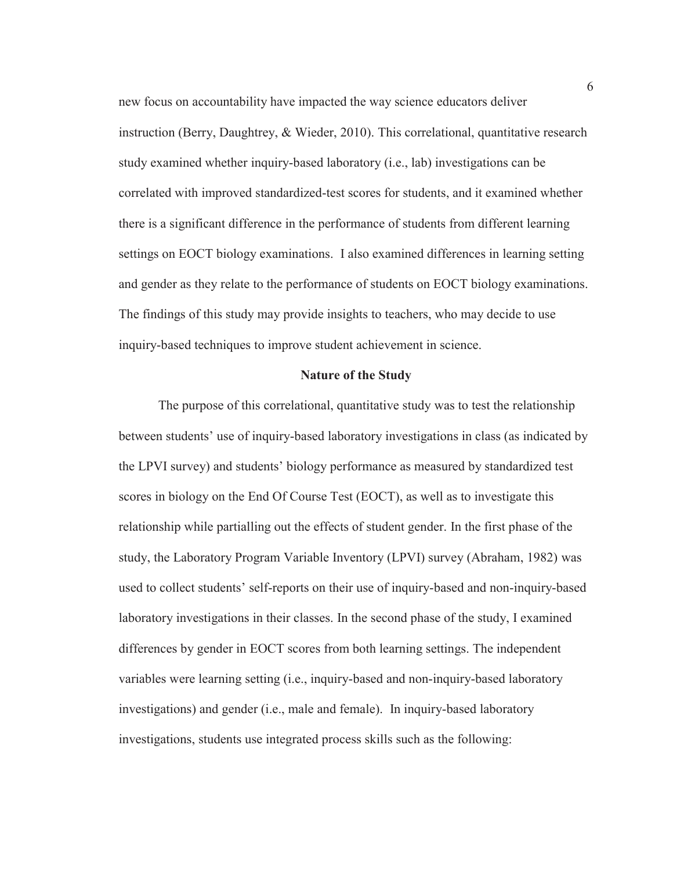new focus on accountability have impacted the way science educators deliver instruction (Berry, Daughtrey, & Wieder, 2010). This correlational, quantitative research study examined whether inquiry-based laboratory (i.e., lab) investigations can be correlated with improved standardized-test scores for students, and it examined whether there is a significant difference in the performance of students from different learning settings on EOCT biology examinations. I also examined differences in learning setting and gender as they relate to the performance of students on EOCT biology examinations. The findings of this study may provide insights to teachers, who may decide to use inquiry-based techniques to improve student achievement in science.

#### **Nature of the Study**

The purpose of this correlational, quantitative study was to test the relationship between students' use of inquiry-based laboratory investigations in class (as indicated by the LPVI survey) and students' biology performance as measured by standardized test scores in biology on the End Of Course Test (EOCT), as well as to investigate this relationship while partialling out the effects of student gender. In the first phase of the study, the Laboratory Program Variable Inventory (LPVI) survey (Abraham, 1982) was used to collect students' self-reports on their use of inquiry-based and non-inquiry-based laboratory investigations in their classes. In the second phase of the study, I examined differences by gender in EOCT scores from both learning settings. The independent variables were learning setting (i.e., inquiry-based and non-inquiry-based laboratory investigations) and gender (i.e., male and female). In inquiry-based laboratory investigations, students use integrated process skills such as the following: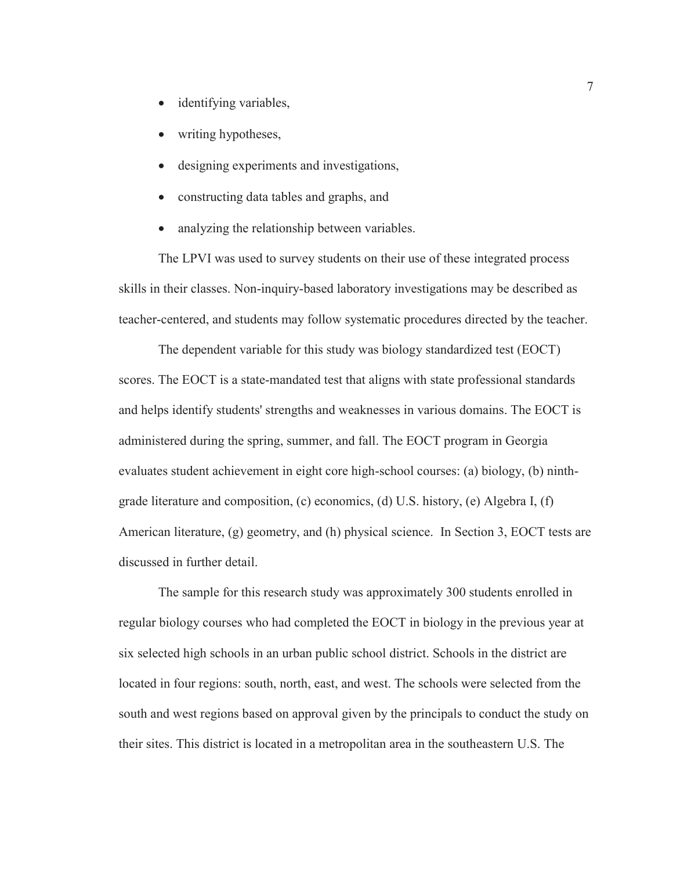- identifying variables,
- writing hypotheses,
- designing experiments and investigations,
- constructing data tables and graphs, and
- analyzing the relationship between variables.

The LPVI was used to survey students on their use of these integrated process skills in their classes. Non-inquiry-based laboratory investigations may be described as teacher-centered, and students may follow systematic procedures directed by the teacher.

The dependent variable for this study was biology standardized test (EOCT) scores. The EOCT is a state-mandated test that aligns with state professional standards and helps identify students' strengths and weaknesses in various domains. The EOCT is administered during the spring, summer, and fall. The EOCT program in Georgia evaluates student achievement in eight core high-school courses: (a) biology, (b) ninthgrade literature and composition, (c) economics, (d) U.S. history, (e) Algebra I, (f) American literature, (g) geometry, and (h) physical science. In Section 3, EOCT tests are discussed in further detail.

The sample for this research study was approximately 300 students enrolled in regular biology courses who had completed the EOCT in biology in the previous year at six selected high schools in an urban public school district. Schools in the district are located in four regions: south, north, east, and west. The schools were selected from the south and west regions based on approval given by the principals to conduct the study on their sites. This district is located in a metropolitan area in the southeastern U.S. The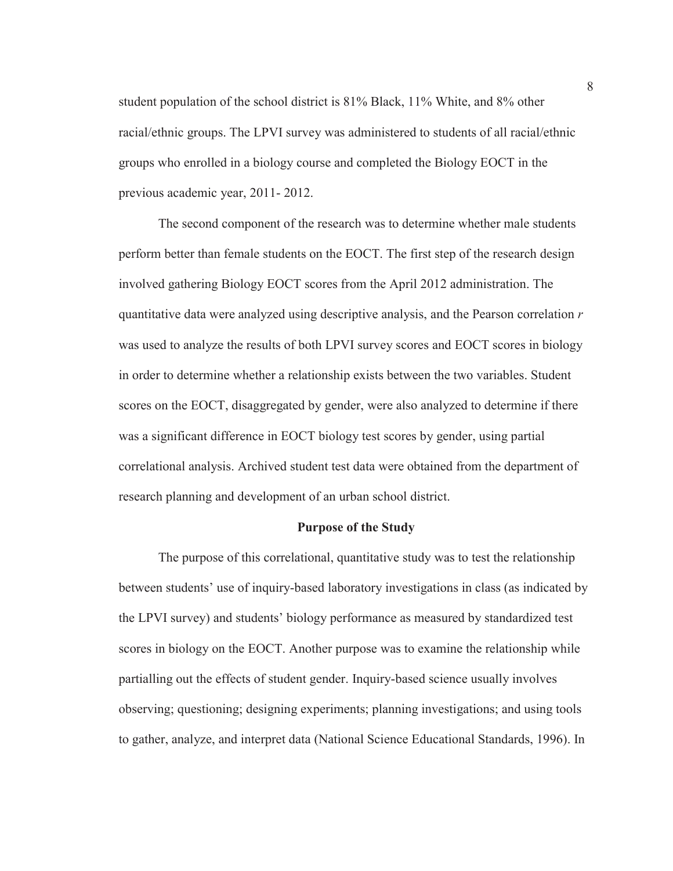student population of the school district is 81% Black, 11% White, and 8% other racial/ethnic groups. The LPVI survey was administered to students of all racial/ethnic groups who enrolled in a biology course and completed the Biology EOCT in the previous academic year, 2011- 2012.

The second component of the research was to determine whether male students perform better than female students on the EOCT. The first step of the research design involved gathering Biology EOCT scores from the April 2012 administration. The quantitative data were analyzed using descriptive analysis, and the Pearson correlation *r* was used to analyze the results of both LPVI survey scores and EOCT scores in biology in order to determine whether a relationship exists between the two variables. Student scores on the EOCT, disaggregated by gender, were also analyzed to determine if there was a significant difference in EOCT biology test scores by gender, using partial correlational analysis. Archived student test data were obtained from the department of research planning and development of an urban school district.

#### **Purpose of the Study**

The purpose of this correlational, quantitative study was to test the relationship between students' use of inquiry-based laboratory investigations in class (as indicated by the LPVI survey) and students' biology performance as measured by standardized test scores in biology on the EOCT. Another purpose was to examine the relationship while partialling out the effects of student gender. Inquiry-based science usually involves observing; questioning; designing experiments; planning investigations; and using tools to gather, analyze, and interpret data (National Science Educational Standards, 1996). In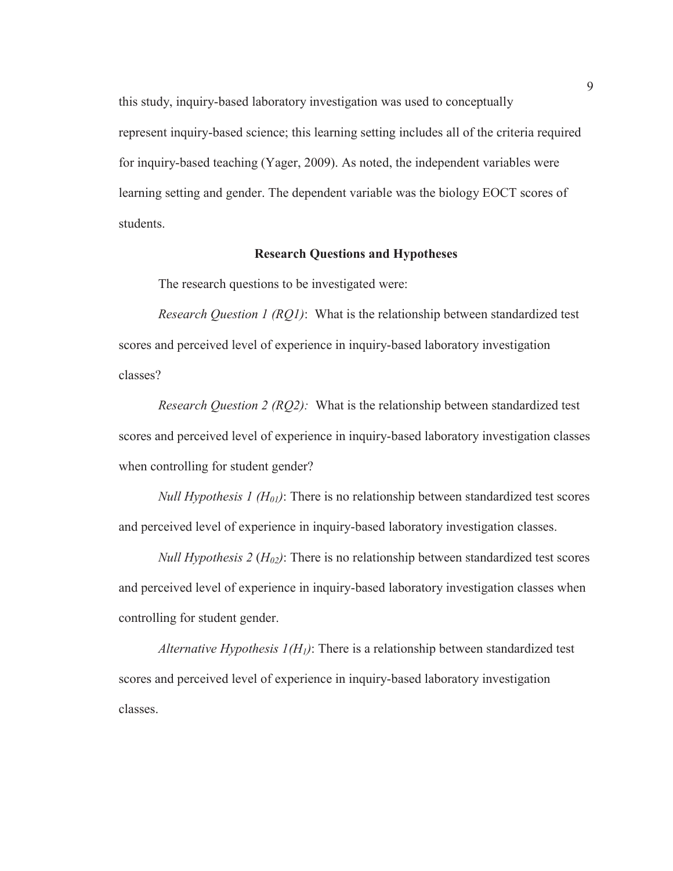this study, inquiry-based laboratory investigation was used to conceptually represent inquiry-based science; this learning setting includes all of the criteria required for inquiry-based teaching (Yager, 2009). As noted, the independent variables were learning setting and gender. The dependent variable was the biology EOCT scores of students.

#### **Research Questions and Hypotheses**

The research questions to be investigated were:

*Research Question 1 (RQ1)*: What is the relationship between standardized test scores and perceived level of experience in inquiry-based laboratory investigation classes?

*Research Question 2 (RQ2):* What is the relationship between standardized test scores and perceived level of experience in inquiry-based laboratory investigation classes when controlling for student gender?

*Null Hypothesis 1 (H<sub>01</sub>)*: There is no relationship between standardized test scores and perceived level of experience in inquiry-based laboratory investigation classes.

*Null Hypothesis*  $2(H_{02})$ : There is no relationship between standardized test scores and perceived level of experience in inquiry-based laboratory investigation classes when controlling for student gender.

*Alternative Hypothesis*  $I(H_1)$ *:* There is a relationship between standardized test scores and perceived level of experience in inquiry-based laboratory investigation classes.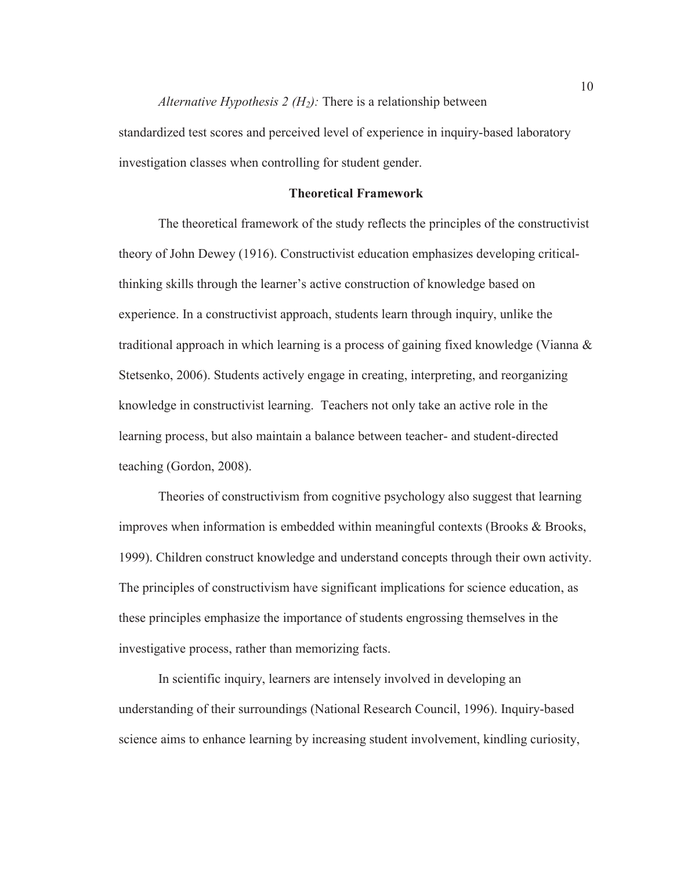#### *Alternative Hypothesis 2 (H<sub>2</sub>):* There is a relationship between

standardized test scores and perceived level of experience in inquiry-based laboratory investigation classes when controlling for student gender.

#### **Theoretical Framework**

The theoretical framework of the study reflects the principles of the constructivist theory of John Dewey (1916). Constructivist education emphasizes developing criticalthinking skills through the learner's active construction of knowledge based on experience. In a constructivist approach, students learn through inquiry, unlike the traditional approach in which learning is a process of gaining fixed knowledge (Vianna & Stetsenko, 2006). Students actively engage in creating, interpreting, and reorganizing knowledge in constructivist learning. Teachers not only take an active role in the learning process, but also maintain a balance between teacher- and student-directed teaching (Gordon, 2008).

Theories of constructivism from cognitive psychology also suggest that learning improves when information is embedded within meaningful contexts (Brooks & Brooks, 1999). Children construct knowledge and understand concepts through their own activity. The principles of constructivism have significant implications for science education, as these principles emphasize the importance of students engrossing themselves in the investigative process, rather than memorizing facts.

In scientific inquiry, learners are intensely involved in developing an understanding of their surroundings (National Research Council, 1996). Inquiry-based science aims to enhance learning by increasing student involvement, kindling curiosity,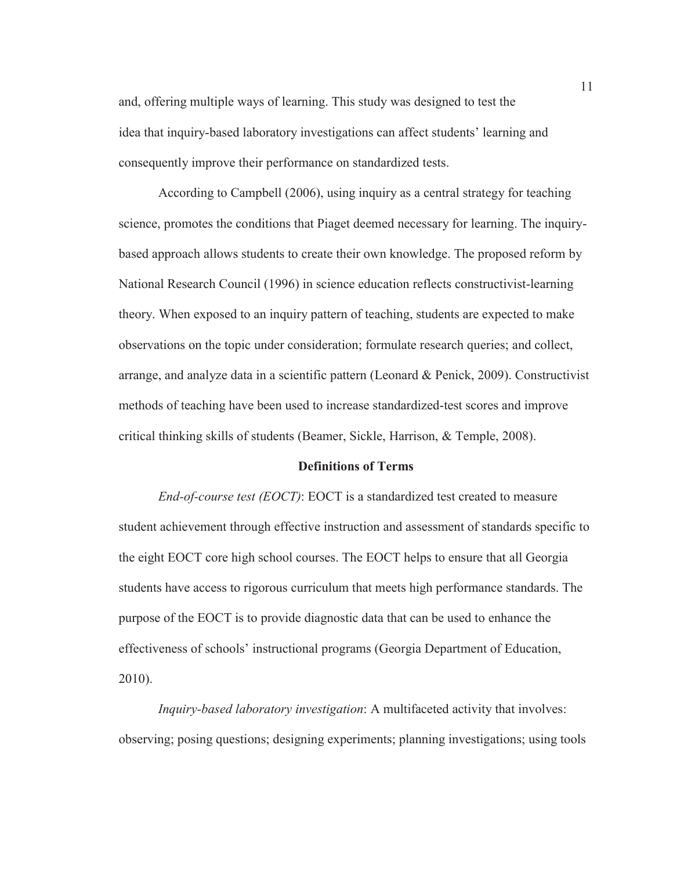and, offering multiple ways of learning. This study was designed to test the idea that inquiry-based laboratory investigations can affect students' learning and consequently improve their performance on standardized tests.

According to Campbell (2006), using inquiry as a central strategy for teaching science, promotes the conditions that Piaget deemed necessary for learning. The inquirybased approach allows students to create their own knowledge. The proposed reform by National Research Council (1996) in science education reflects constructivist-learning theory. When exposed to an inquiry pattern of teaching, students are expected to make observations on the topic under consideration; formulate research queries; and collect, arrange, and analyze data in a scientific pattern (Leonard & Penick, 2009). Constructivist methods of teaching have been used to increase standardized-test scores and improve critical thinking skills of students (Beamer, Sickle, Harrison, & Temple, 2008).

#### **Definitions of Terms**

*End-of-course test (EOCT)*: EOCT is a standardized test created to measure student achievement through effective instruction and assessment of standards specific to the eight EOCT core high school courses. The EOCT helps to ensure that all Georgia students have access to rigorous curriculum that meets high performance standards. The purpose of the EOCT is to provide diagnostic data that can be used to enhance the effectiveness of schools' instructional programs (Georgia Department of Education, 2010).

*Inquiry-based laboratory investigation*: A multifaceted activity that involves: observing; posing questions; designing experiments; planning investigations; using tools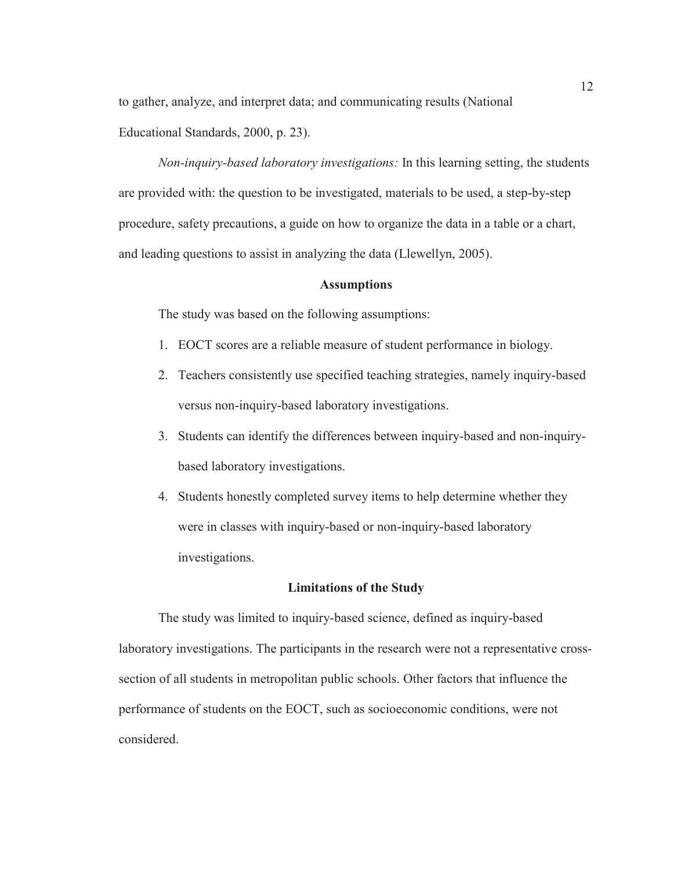to gather, analyze, and interpret data; and communicating results (National

Educational Standards, 2000, p. 23).

*Non-inquiry-based laboratory investigations:* In this learning setting, the students are provided with: the question to be investigated, materials to be used, a step-by-step procedure, safety precautions, a guide on how to organize the data in a table or a chart, and leading questions to assist in analyzing the data (Llewellyn, 2005).

#### **Assumptions**

The study was based on the following assumptions:

- 1. EOCT scores are a reliable measure of student performance in biology.
- 2. Teachers consistently use specified teaching strategies, namely inquiry-based versus non-inquiry-based laboratory investigations.
- 3. Students can identify the differences between inquiry-based and non-inquirybased laboratory investigations.
- 4. Students honestly completed survey items to help determine whether they were in classes with inquiry-based or non-inquiry-based laboratory investigations.

#### **Limitations of the Study**

 The study was limited to inquiry-based science, defined as inquiry-based laboratory investigations. The participants in the research were not a representative crosssection of all students in metropolitan public schools. Other factors that influence the performance of students on the EOCT, such as socioeconomic conditions, were not considered.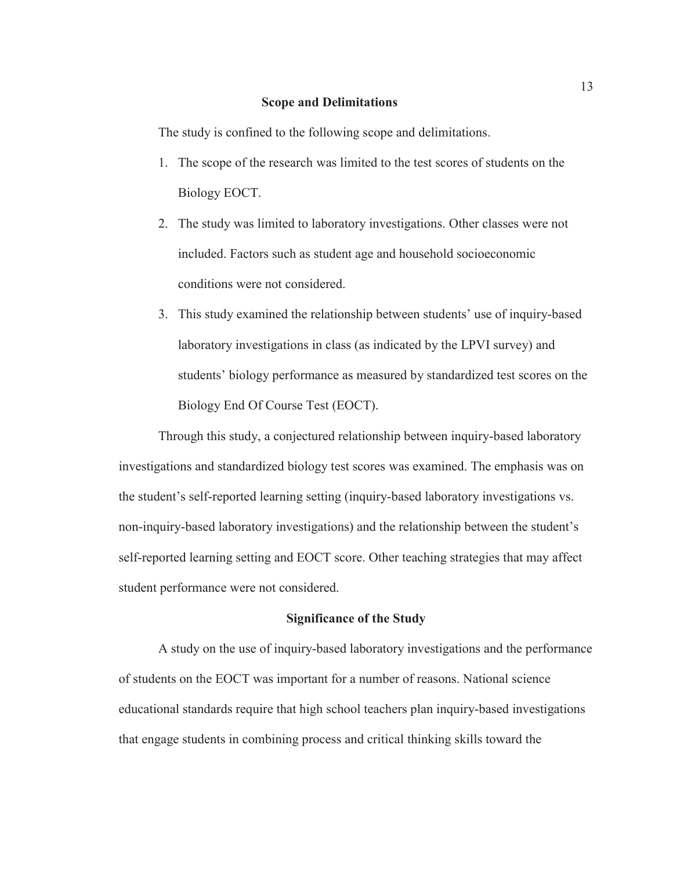#### **Scope and Delimitations**

The study is confined to the following scope and delimitations.

- 1. The scope of the research was limited to the test scores of students on the Biology EOCT.
- 2. The study was limited to laboratory investigations. Other classes were not included. Factors such as student age and household socioeconomic conditions were not considered.
- 3. This study examined the relationship between students' use of inquiry-based laboratory investigations in class (as indicated by the LPVI survey) and students' biology performance as measured by standardized test scores on the Biology End Of Course Test (EOCT).

 Through this study, a conjectured relationship between inquiry-based laboratory investigations and standardized biology test scores was examined. The emphasis was on the student's self-reported learning setting (inquiry-based laboratory investigations vs. non-inquiry-based laboratory investigations) and the relationship between the student's self-reported learning setting and EOCT score. Other teaching strategies that may affect student performance were not considered.

#### **Significance of the Study**

A study on the use of inquiry-based laboratory investigations and the performance of students on the EOCT was important for a number of reasons. National science educational standards require that high school teachers plan inquiry-based investigations that engage students in combining process and critical thinking skills toward the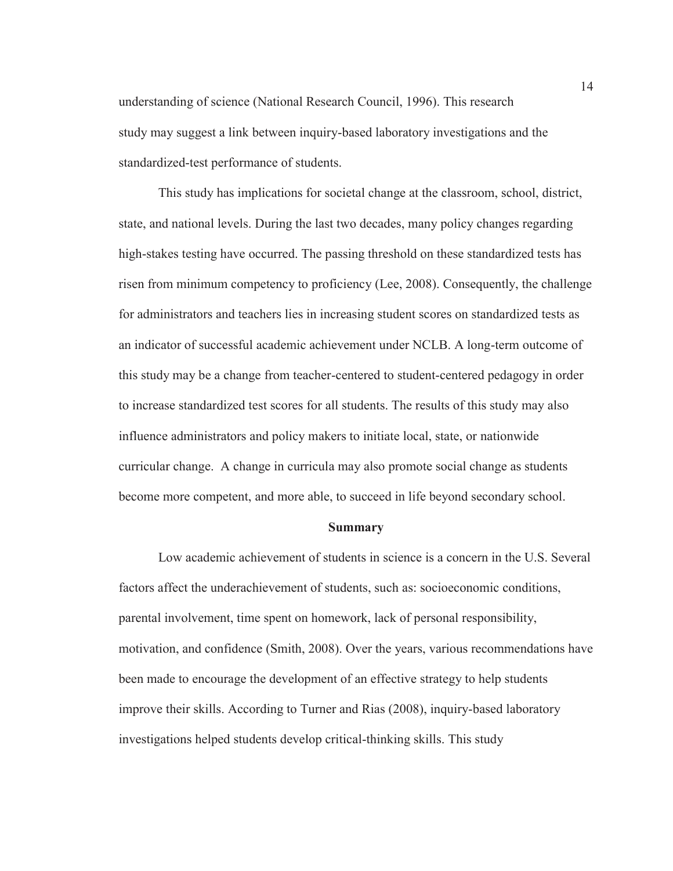understanding of science (National Research Council, 1996). This research study may suggest a link between inquiry-based laboratory investigations and the standardized-test performance of students.

This study has implications for societal change at the classroom, school, district, state, and national levels. During the last two decades, many policy changes regarding high-stakes testing have occurred. The passing threshold on these standardized tests has risen from minimum competency to proficiency (Lee, 2008). Consequently, the challenge for administrators and teachers lies in increasing student scores on standardized tests as an indicator of successful academic achievement under NCLB. A long-term outcome of this study may be a change from teacher-centered to student-centered pedagogy in order to increase standardized test scores for all students. The results of this study may also influence administrators and policy makers to initiate local, state, or nationwide curricular change. A change in curricula may also promote social change as students become more competent, and more able, to succeed in life beyond secondary school.

#### **Summary**

 Low academic achievement of students in science is a concern in the U.S. Several factors affect the underachievement of students, such as: socioeconomic conditions, parental involvement, time spent on homework, lack of personal responsibility, motivation, and confidence (Smith, 2008). Over the years, various recommendations have been made to encourage the development of an effective strategy to help students improve their skills. According to Turner and Rias (2008), inquiry-based laboratory investigations helped students develop critical-thinking skills. This study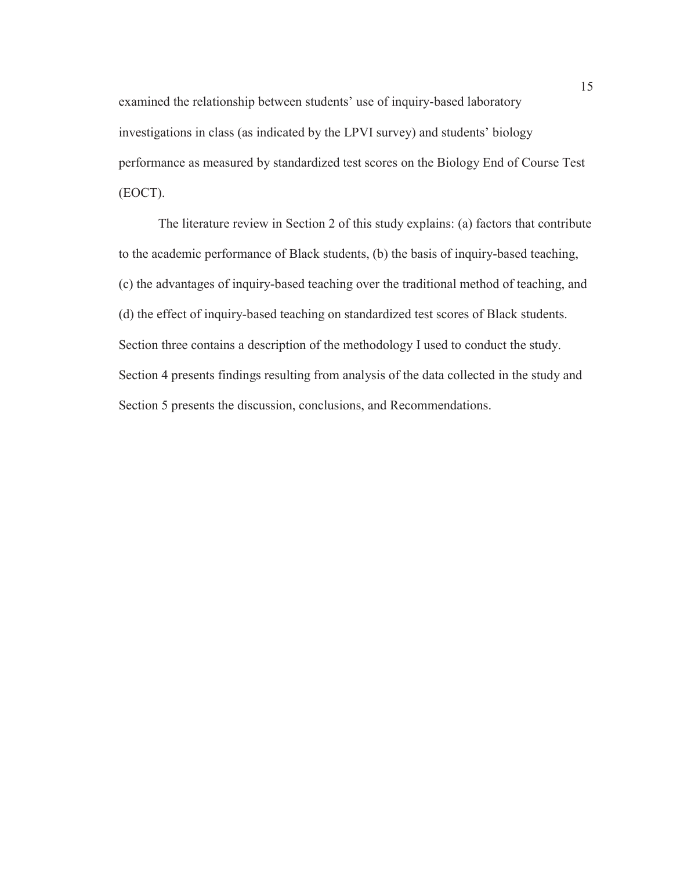examined the relationship between students' use of inquiry-based laboratory investigations in class (as indicated by the LPVI survey) and students' biology performance as measured by standardized test scores on the Biology End of Course Test (EOCT).

The literature review in Section 2 of this study explains: (a) factors that contribute to the academic performance of Black students, (b) the basis of inquiry-based teaching, (c) the advantages of inquiry-based teaching over the traditional method of teaching, and (d) the effect of inquiry-based teaching on standardized test scores of Black students. Section three contains a description of the methodology I used to conduct the study. Section 4 presents findings resulting from analysis of the data collected in the study and Section 5 presents the discussion, conclusions, and Recommendations.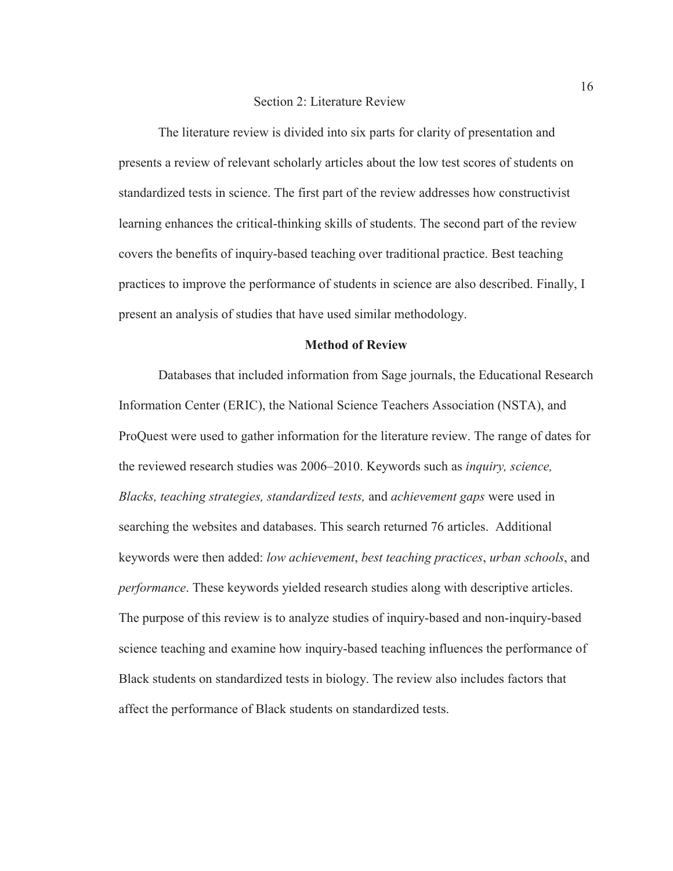#### Section 2: Literature Review

The literature review is divided into six parts for clarity of presentation and presents a review of relevant scholarly articles about the low test scores of students on standardized tests in science. The first part of the review addresses how constructivist learning enhances the critical-thinking skills of students. The second part of the review covers the benefits of inquiry-based teaching over traditional practice. Best teaching practices to improve the performance of students in science are also described. Finally, I present an analysis of studies that have used similar methodology.

#### **Method of Review**

Databases that included information from Sage journals, the Educational Research Information Center (ERIC), the National Science Teachers Association (NSTA), and ProQuest were used to gather information for the literature review. The range of dates for the reviewed research studies was 2006–2010. Keywords such as *inquiry, science, Blacks, teaching strategies, standardized tests,* and *achievement gaps* were used in searching the websites and databases. This search returned 76 articles. Additional keywords were then added: *low achievement*, *best teaching practices*, *urban schools*, and *performance*. These keywords yielded research studies along with descriptive articles. The purpose of this review is to analyze studies of inquiry-based and non-inquiry-based science teaching and examine how inquiry-based teaching influences the performance of Black students on standardized tests in biology. The review also includes factors that affect the performance of Black students on standardized tests.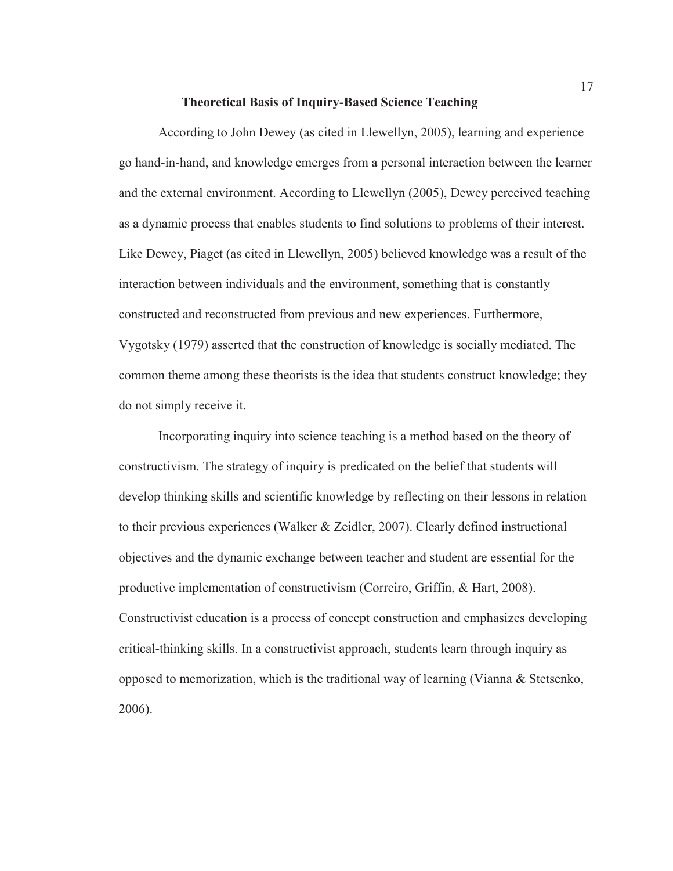#### **Theoretical Basis of Inquiry-Based Science Teaching**

According to John Dewey (as cited in Llewellyn, 2005), learning and experience go hand-in-hand, and knowledge emerges from a personal interaction between the learner and the external environment. According to Llewellyn (2005), Dewey perceived teaching as a dynamic process that enables students to find solutions to problems of their interest. Like Dewey, Piaget (as cited in Llewellyn, 2005) believed knowledge was a result of the interaction between individuals and the environment, something that is constantly constructed and reconstructed from previous and new experiences. Furthermore, Vygotsky (1979) asserted that the construction of knowledge is socially mediated. The common theme among these theorists is the idea that students construct knowledge; they do not simply receive it.

Incorporating inquiry into science teaching is a method based on the theory of constructivism. The strategy of inquiry is predicated on the belief that students will develop thinking skills and scientific knowledge by reflecting on their lessons in relation to their previous experiences (Walker & Zeidler, 2007). Clearly defined instructional objectives and the dynamic exchange between teacher and student are essential for the productive implementation of constructivism (Correiro, Griffin, & Hart, 2008). Constructivist education is a process of concept construction and emphasizes developing critical-thinking skills. In a constructivist approach, students learn through inquiry as opposed to memorization, which is the traditional way of learning (Vianna & Stetsenko, 2006).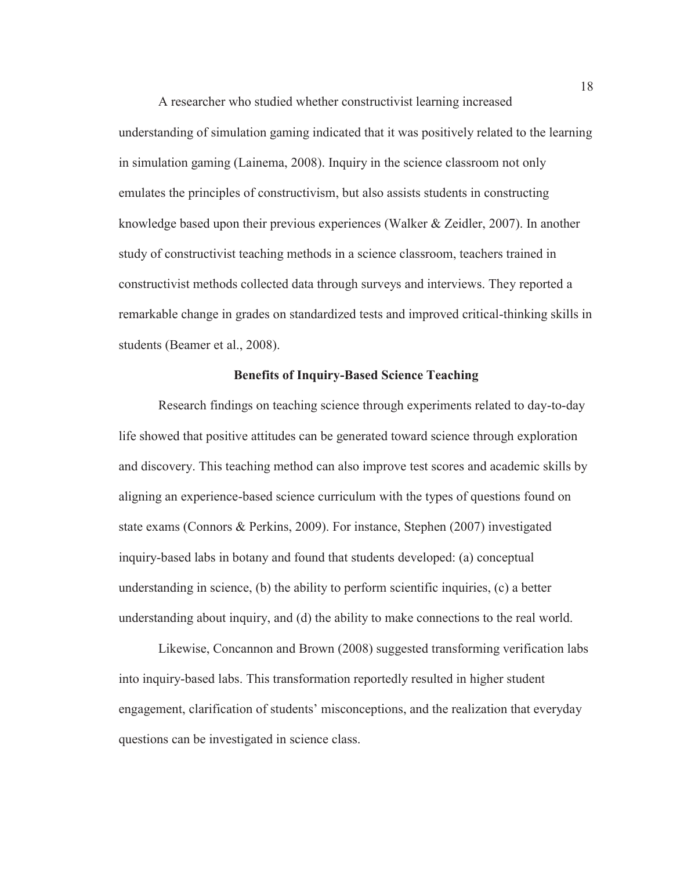A researcher who studied whether constructivist learning increased understanding of simulation gaming indicated that it was positively related to the learning in simulation gaming (Lainema, 2008). Inquiry in the science classroom not only emulates the principles of constructivism, but also assists students in constructing knowledge based upon their previous experiences (Walker & Zeidler, 2007). In another study of constructivist teaching methods in a science classroom, teachers trained in constructivist methods collected data through surveys and interviews. They reported a remarkable change in grades on standardized tests and improved critical-thinking skills in students (Beamer et al., 2008).

#### **Benefits of Inquiry-Based Science Teaching**

Research findings on teaching science through experiments related to day-to-day life showed that positive attitudes can be generated toward science through exploration and discovery. This teaching method can also improve test scores and academic skills by aligning an experience-based science curriculum with the types of questions found on state exams (Connors & Perkins, 2009). For instance, Stephen (2007) investigated inquiry-based labs in botany and found that students developed: (a) conceptual understanding in science, (b) the ability to perform scientific inquiries, (c) a better understanding about inquiry, and (d) the ability to make connections to the real world.

Likewise, Concannon and Brown (2008) suggested transforming verification labs into inquiry-based labs. This transformation reportedly resulted in higher student engagement, clarification of students' misconceptions, and the realization that everyday questions can be investigated in science class.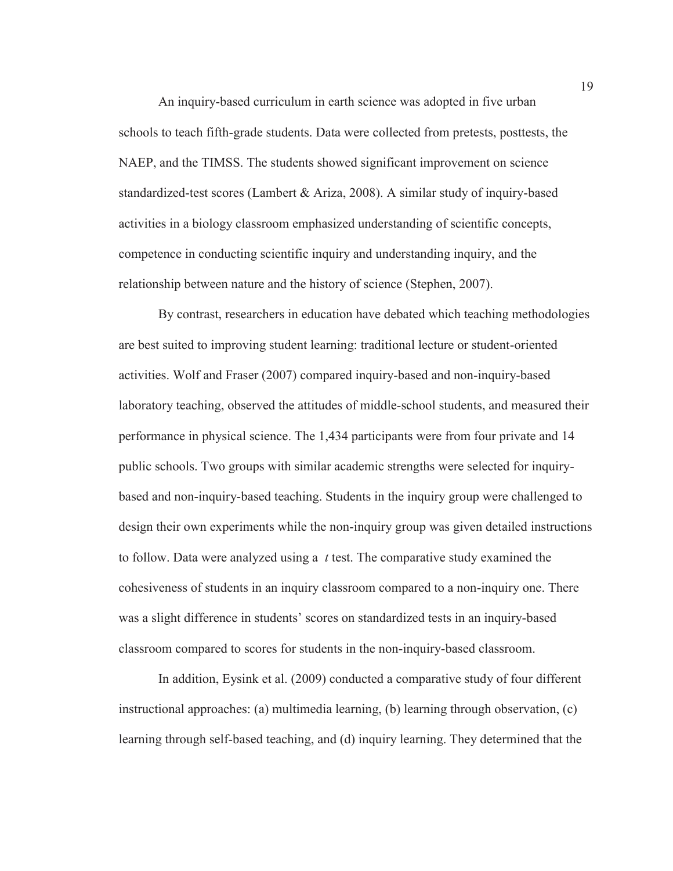An inquiry-based curriculum in earth science was adopted in five urban schools to teach fifth-grade students. Data were collected from pretests, posttests, the NAEP, and the TIMSS. The students showed significant improvement on science standardized-test scores (Lambert & Ariza, 2008). A similar study of inquiry-based activities in a biology classroom emphasized understanding of scientific concepts, competence in conducting scientific inquiry and understanding inquiry, and the relationship between nature and the history of science (Stephen, 2007).

By contrast, researchers in education have debated which teaching methodologies are best suited to improving student learning: traditional lecture or student-oriented activities. Wolf and Fraser (2007) compared inquiry-based and non-inquiry-based laboratory teaching, observed the attitudes of middle-school students, and measured their performance in physical science. The 1,434 participants were from four private and 14 public schools. Two groups with similar academic strengths were selected for inquirybased and non-inquiry-based teaching. Students in the inquiry group were challenged to design their own experiments while the non-inquiry group was given detailed instructions to follow. Data were analyzed using a *t* test. The comparative study examined the cohesiveness of students in an inquiry classroom compared to a non-inquiry one. There was a slight difference in students' scores on standardized tests in an inquiry-based classroom compared to scores for students in the non-inquiry-based classroom.

In addition, Eysink et al. (2009) conducted a comparative study of four different instructional approaches: (a) multimedia learning, (b) learning through observation, (c) learning through self-based teaching, and (d) inquiry learning. They determined that the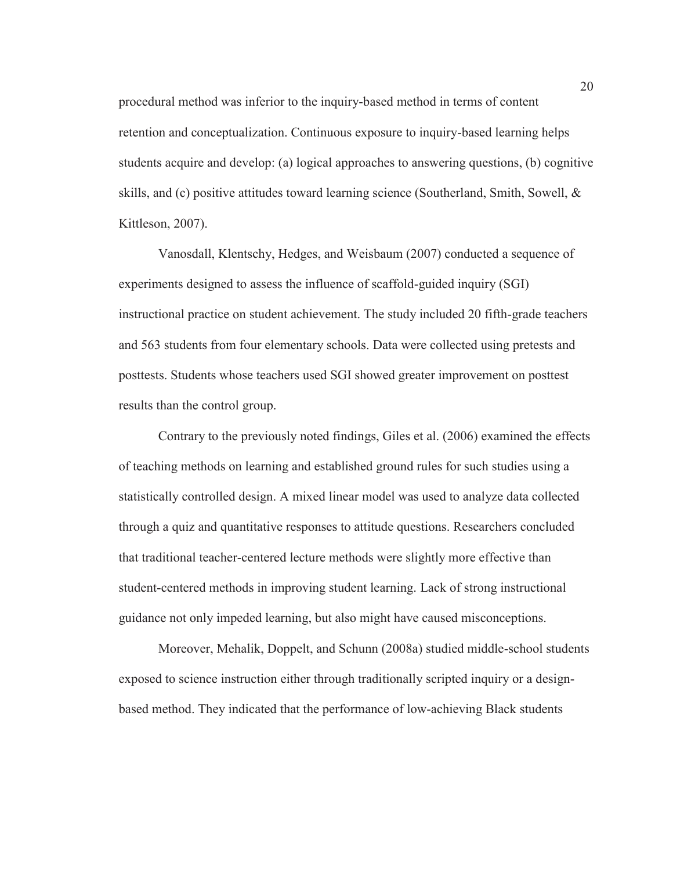procedural method was inferior to the inquiry-based method in terms of content retention and conceptualization. Continuous exposure to inquiry-based learning helps students acquire and develop: (a) logical approaches to answering questions, (b) cognitive skills, and (c) positive attitudes toward learning science (Southerland, Smith, Sowell, & Kittleson, 2007).

Vanosdall, Klentschy, Hedges, and Weisbaum (2007) conducted a sequence of experiments designed to assess the influence of scaffold-guided inquiry (SGI) instructional practice on student achievement. The study included 20 fifth-grade teachers and 563 students from four elementary schools. Data were collected using pretests and posttests. Students whose teachers used SGI showed greater improvement on posttest results than the control group.

Contrary to the previously noted findings, Giles et al. (2006) examined the effects of teaching methods on learning and established ground rules for such studies using a statistically controlled design. A mixed linear model was used to analyze data collected through a quiz and quantitative responses to attitude questions. Researchers concluded that traditional teacher-centered lecture methods were slightly more effective than student-centered methods in improving student learning. Lack of strong instructional guidance not only impeded learning, but also might have caused misconceptions.

Moreover, Mehalik, Doppelt, and Schunn (2008a) studied middle-school students exposed to science instruction either through traditionally scripted inquiry or a designbased method. They indicated that the performance of low-achieving Black students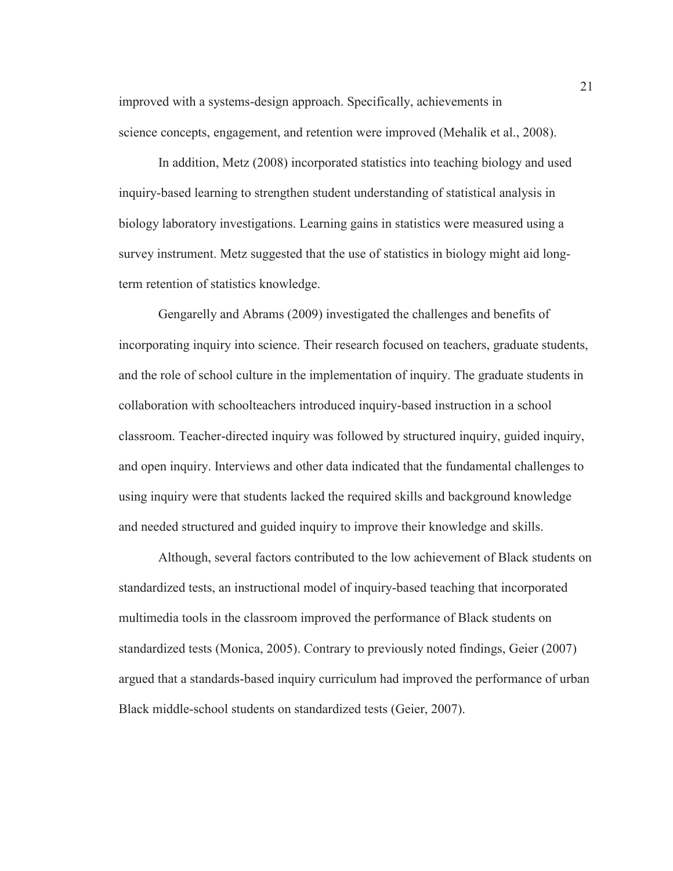improved with a systems-design approach. Specifically, achievements in science concepts, engagement, and retention were improved (Mehalik et al., 2008).

In addition, Metz (2008) incorporated statistics into teaching biology and used inquiry-based learning to strengthen student understanding of statistical analysis in biology laboratory investigations. Learning gains in statistics were measured using a survey instrument. Metz suggested that the use of statistics in biology might aid longterm retention of statistics knowledge.

Gengarelly and Abrams (2009) investigated the challenges and benefits of incorporating inquiry into science. Their research focused on teachers, graduate students, and the role of school culture in the implementation of inquiry. The graduate students in collaboration with schoolteachers introduced inquiry-based instruction in a school classroom. Teacher-directed inquiry was followed by structured inquiry, guided inquiry, and open inquiry. Interviews and other data indicated that the fundamental challenges to using inquiry were that students lacked the required skills and background knowledge and needed structured and guided inquiry to improve their knowledge and skills.

Although, several factors contributed to the low achievement of Black students on standardized tests, an instructional model of inquiry-based teaching that incorporated multimedia tools in the classroom improved the performance of Black students on standardized tests (Monica, 2005). Contrary to previously noted findings, Geier (2007) argued that a standards-based inquiry curriculum had improved the performance of urban Black middle-school students on standardized tests (Geier, 2007).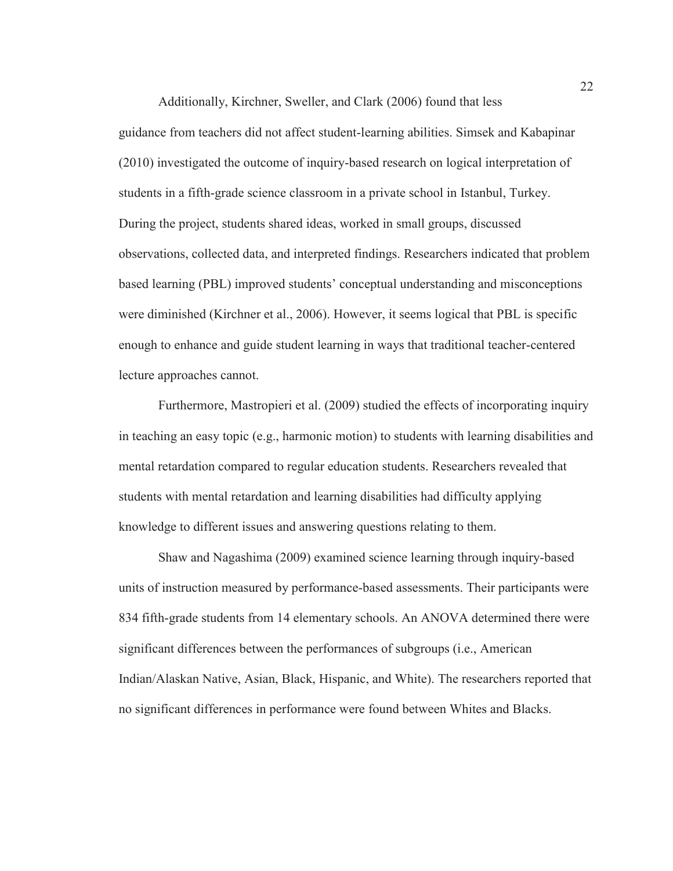Additionally, Kirchner, Sweller, and Clark (2006) found that less guidance from teachers did not affect student-learning abilities. Simsek and Kabapinar (2010) investigated the outcome of inquiry-based research on logical interpretation of students in a fifth-grade science classroom in a private school in Istanbul, Turkey. During the project, students shared ideas, worked in small groups, discussed observations, collected data, and interpreted findings. Researchers indicated that problem based learning (PBL) improved students' conceptual understanding and misconceptions were diminished (Kirchner et al., 2006). However, it seems logical that PBL is specific enough to enhance and guide student learning in ways that traditional teacher-centered lecture approaches cannot.

Furthermore, Mastropieri et al. (2009) studied the effects of incorporating inquiry in teaching an easy topic (e.g., harmonic motion) to students with learning disabilities and mental retardation compared to regular education students. Researchers revealed that students with mental retardation and learning disabilities had difficulty applying knowledge to different issues and answering questions relating to them.

Shaw and Nagashima (2009) examined science learning through inquiry-based units of instruction measured by performance-based assessments. Their participants were 834 fifth-grade students from 14 elementary schools. An ANOVA determined there were significant differences between the performances of subgroups (i.e., American Indian/Alaskan Native, Asian, Black, Hispanic, and White). The researchers reported that no significant differences in performance were found between Whites and Blacks.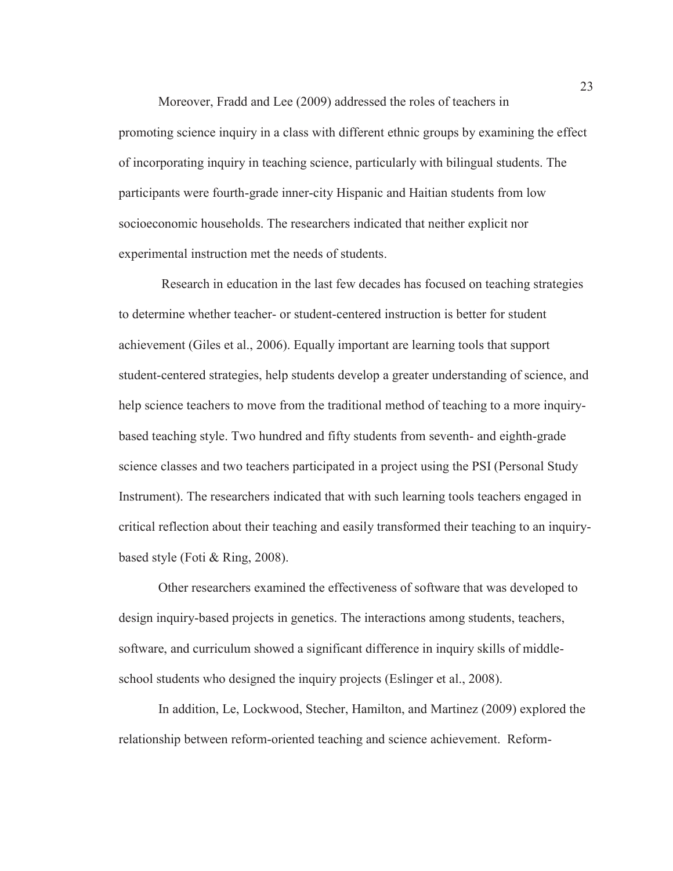Moreover, Fradd and Lee (2009) addressed the roles of teachers in promoting science inquiry in a class with different ethnic groups by examining the effect of incorporating inquiry in teaching science, particularly with bilingual students. The participants were fourth-grade inner-city Hispanic and Haitian students from low socioeconomic households. The researchers indicated that neither explicit nor experimental instruction met the needs of students.

 Research in education in the last few decades has focused on teaching strategies to determine whether teacher- or student-centered instruction is better for student achievement (Giles et al., 2006). Equally important are learning tools that support student-centered strategies, help students develop a greater understanding of science, and help science teachers to move from the traditional method of teaching to a more inquirybased teaching style. Two hundred and fifty students from seventh- and eighth-grade science classes and two teachers participated in a project using the PSI (Personal Study Instrument). The researchers indicated that with such learning tools teachers engaged in critical reflection about their teaching and easily transformed their teaching to an inquirybased style (Foti & Ring, 2008).

Other researchers examined the effectiveness of software that was developed to design inquiry-based projects in genetics. The interactions among students, teachers, software, and curriculum showed a significant difference in inquiry skills of middleschool students who designed the inquiry projects (Eslinger et al., 2008).

In addition, Le, Lockwood, Stecher, Hamilton, and Martinez (2009) explored the relationship between reform-oriented teaching and science achievement. Reform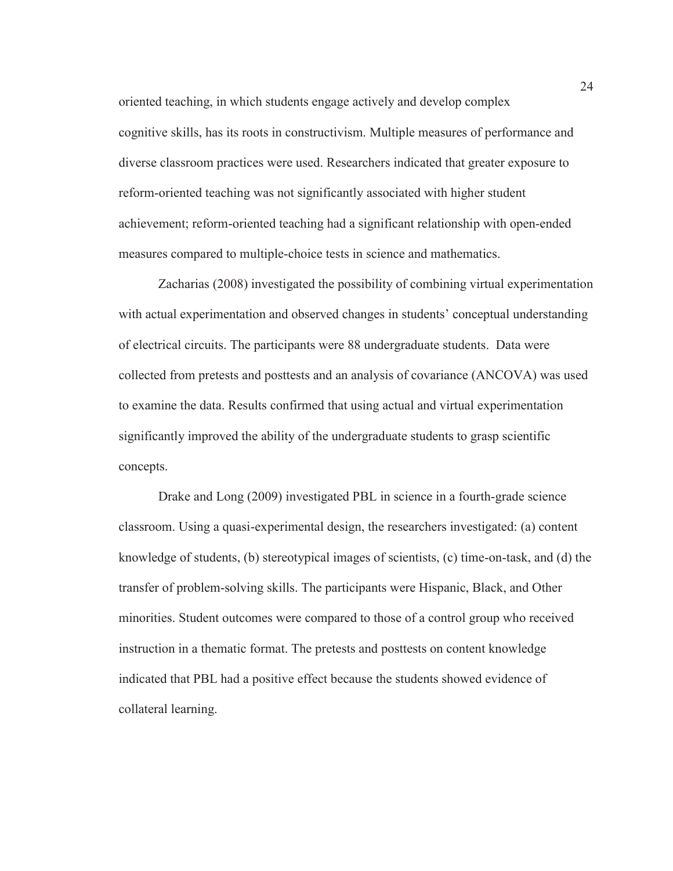oriented teaching, in which students engage actively and develop complex cognitive skills, has its roots in constructivism. Multiple measures of performance and diverse classroom practices were used. Researchers indicated that greater exposure to reform-oriented teaching was not significantly associated with higher student achievement; reform-oriented teaching had a significant relationship with open-ended measures compared to multiple-choice tests in science and mathematics.

Zacharias (2008) investigated the possibility of combining virtual experimentation with actual experimentation and observed changes in students' conceptual understanding of electrical circuits. The participants were 88 undergraduate students. Data were collected from pretests and posttests and an analysis of covariance (ANCOVA) was used to examine the data. Results confirmed that using actual and virtual experimentation significantly improved the ability of the undergraduate students to grasp scientific concepts.

Drake and Long (2009) investigated PBL in science in a fourth-grade science classroom. Using a quasi-experimental design, the researchers investigated: (a) content knowledge of students, (b) stereotypical images of scientists, (c) time-on-task, and (d) the transfer of problem-solving skills. The participants were Hispanic, Black, and Other minorities. Student outcomes were compared to those of a control group who received instruction in a thematic format. The pretests and posttests on content knowledge indicated that PBL had a positive effect because the students showed evidence of collateral learning.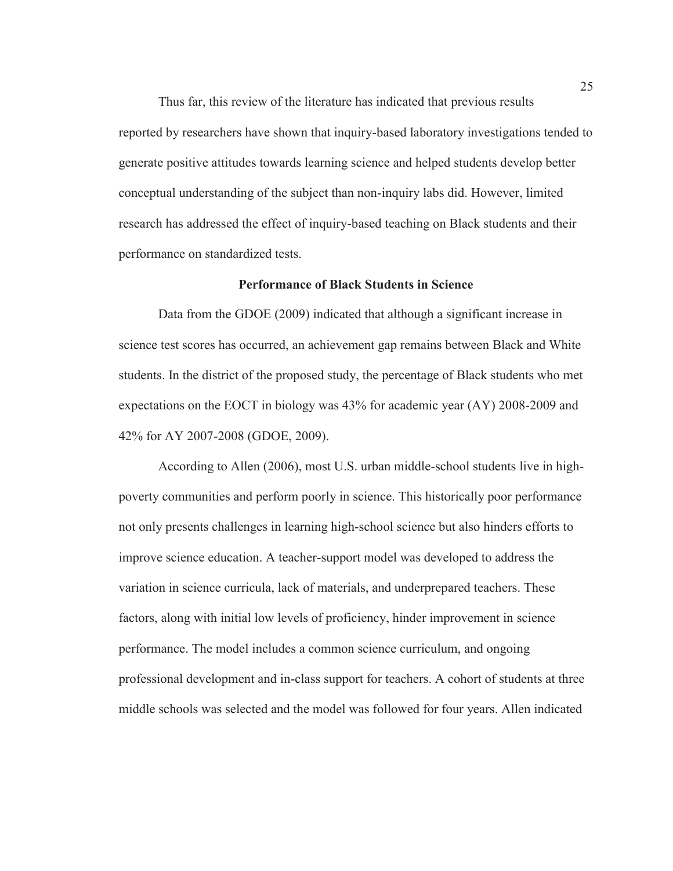Thus far, this review of the literature has indicated that previous results reported by researchers have shown that inquiry-based laboratory investigations tended to generate positive attitudes towards learning science and helped students develop better conceptual understanding of the subject than non-inquiry labs did. However, limited research has addressed the effect of inquiry-based teaching on Black students and their performance on standardized tests.

# **Performance of Black Students in Science**

Data from the GDOE (2009) indicated that although a significant increase in science test scores has occurred, an achievement gap remains between Black and White students. In the district of the proposed study, the percentage of Black students who met expectations on the EOCT in biology was 43% for academic year (AY) 2008-2009 and 42% for AY 2007-2008 (GDOE, 2009).

According to Allen (2006), most U.S. urban middle-school students live in highpoverty communities and perform poorly in science. This historically poor performance not only presents challenges in learning high-school science but also hinders efforts to improve science education. A teacher-support model was developed to address the variation in science curricula, lack of materials, and underprepared teachers. These factors, along with initial low levels of proficiency, hinder improvement in science performance. The model includes a common science curriculum, and ongoing professional development and in-class support for teachers. A cohort of students at three middle schools was selected and the model was followed for four years. Allen indicated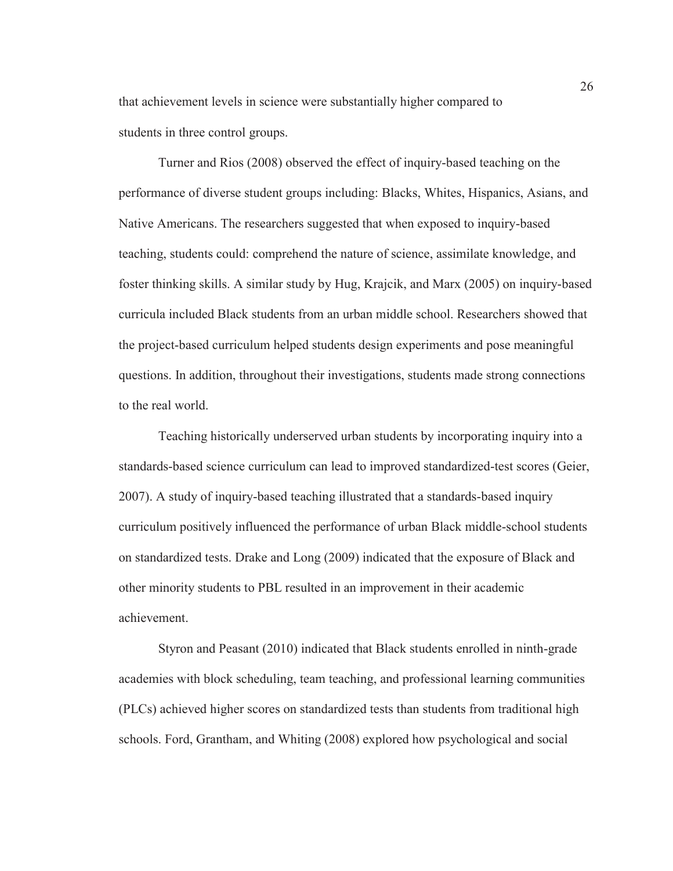that achievement levels in science were substantially higher compared to students in three control groups.

Turner and Rios (2008) observed the effect of inquiry-based teaching on the performance of diverse student groups including: Blacks, Whites, Hispanics, Asians, and Native Americans. The researchers suggested that when exposed to inquiry-based teaching, students could: comprehend the nature of science, assimilate knowledge, and foster thinking skills. A similar study by Hug, Krajcik, and Marx (2005) on inquiry-based curricula included Black students from an urban middle school. Researchers showed that the project-based curriculum helped students design experiments and pose meaningful questions. In addition, throughout their investigations, students made strong connections to the real world.

Teaching historically underserved urban students by incorporating inquiry into a standards-based science curriculum can lead to improved standardized-test scores (Geier, 2007). A study of inquiry-based teaching illustrated that a standards-based inquiry curriculum positively influenced the performance of urban Black middle-school students on standardized tests. Drake and Long (2009) indicated that the exposure of Black and other minority students to PBL resulted in an improvement in their academic achievement.

Styron and Peasant (2010) indicated that Black students enrolled in ninth-grade academies with block scheduling, team teaching, and professional learning communities (PLCs) achieved higher scores on standardized tests than students from traditional high schools. Ford, Grantham, and Whiting (2008) explored how psychological and social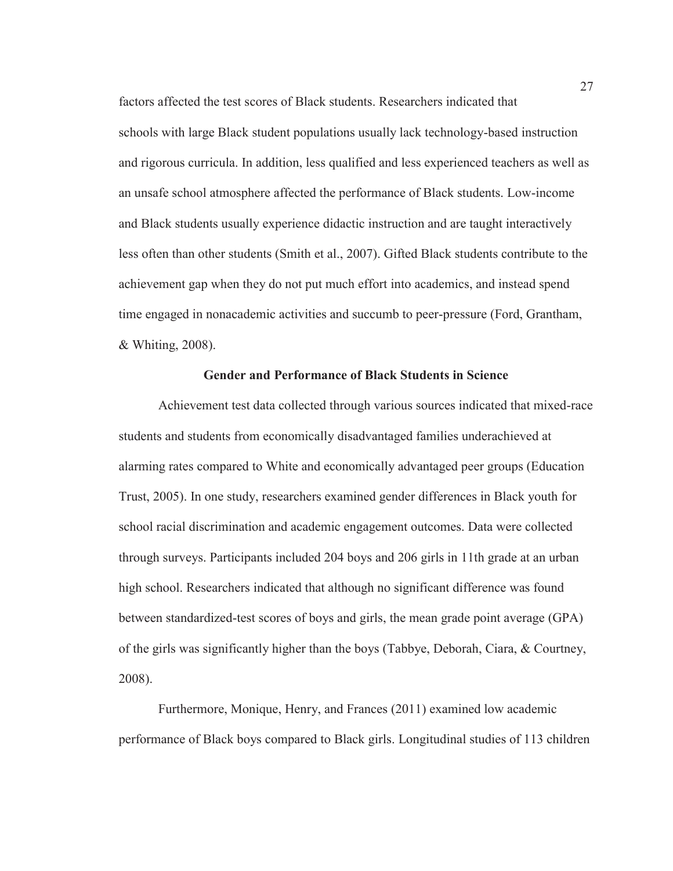factors affected the test scores of Black students. Researchers indicated that schools with large Black student populations usually lack technology-based instruction and rigorous curricula. In addition, less qualified and less experienced teachers as well as an unsafe school atmosphere affected the performance of Black students. Low-income and Black students usually experience didactic instruction and are taught interactively less often than other students (Smith et al., 2007). Gifted Black students contribute to the achievement gap when they do not put much effort into academics, and instead spend time engaged in nonacademic activities and succumb to peer-pressure (Ford, Grantham, & Whiting, 2008).

#### **Gender and Performance of Black Students in Science**

Achievement test data collected through various sources indicated that mixed-race students and students from economically disadvantaged families underachieved at alarming rates compared to White and economically advantaged peer groups (Education Trust, 2005). In one study, researchers examined gender differences in Black youth for school racial discrimination and academic engagement outcomes. Data were collected through surveys. Participants included 204 boys and 206 girls in 11th grade at an urban high school. Researchers indicated that although no significant difference was found between standardized-test scores of boys and girls, the mean grade point average (GPA) of the girls was significantly higher than the boys (Tabbye, Deborah, Ciara, & Courtney, 2008).

Furthermore, Monique, Henry, and Frances (2011) examined low academic performance of Black boys compared to Black girls. Longitudinal studies of 113 children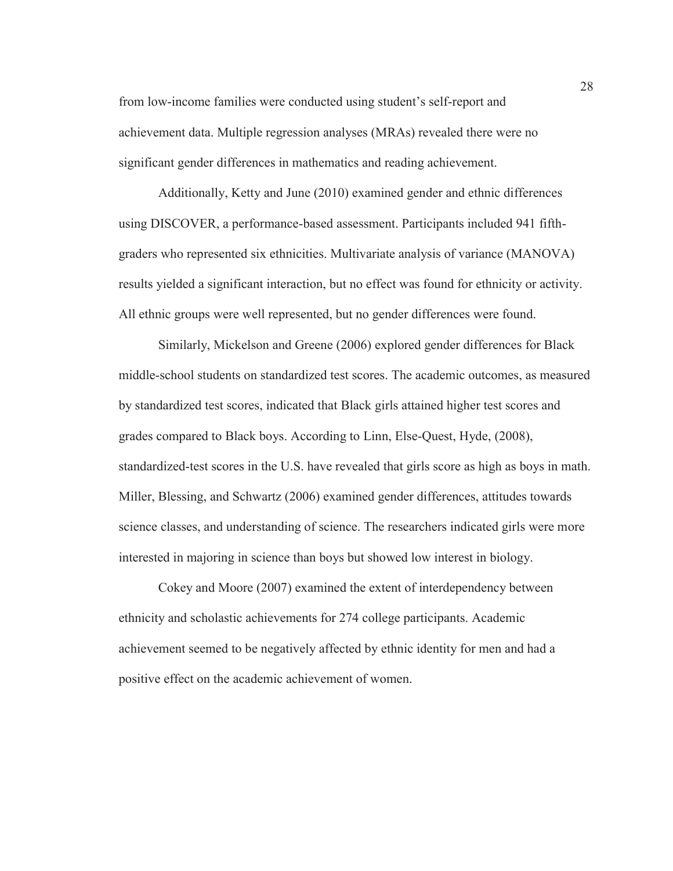from low-income families were conducted using student's self-report and achievement data. Multiple regression analyses (MRAs) revealed there were no significant gender differences in mathematics and reading achievement.

Additionally, Ketty and June (2010) examined gender and ethnic differences using DISCOVER, a performance-based assessment. Participants included 941 fifthgraders who represented six ethnicities. Multivariate analysis of variance (MANOVA) results yielded a significant interaction, but no effect was found for ethnicity or activity. All ethnic groups were well represented, but no gender differences were found.

Similarly, Mickelson and Greene (2006) explored gender differences for Black middle-school students on standardized test scores. The academic outcomes, as measured by standardized test scores, indicated that Black girls attained higher test scores and grades compared to Black boys. According to Linn, Else-Quest, Hyde, (2008), standardized-test scores in the U.S. have revealed that girls score as high as boys in math. Miller, Blessing, and Schwartz (2006) examined gender differences, attitudes towards science classes, and understanding of science. The researchers indicated girls were more interested in majoring in science than boys but showed low interest in biology.

Cokey and Moore (2007) examined the extent of interdependency between ethnicity and scholastic achievements for 274 college participants. Academic achievement seemed to be negatively affected by ethnic identity for men and had a positive effect on the academic achievement of women.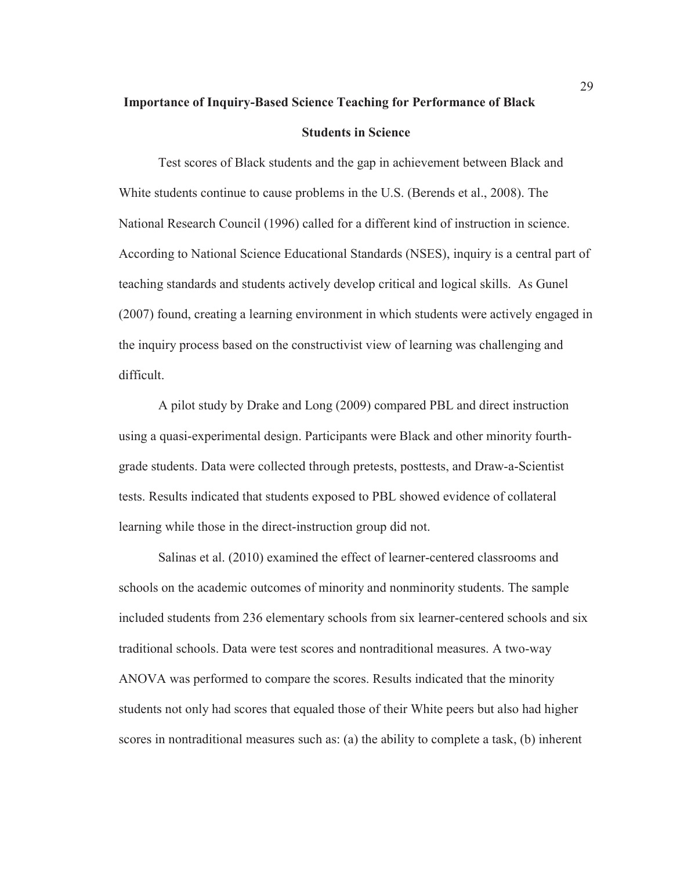# **Importance of Inquiry-Based Science Teaching for Performance of Black**

### **Students in Science**

Test scores of Black students and the gap in achievement between Black and White students continue to cause problems in the U.S. (Berends et al., 2008). The National Research Council (1996) called for a different kind of instruction in science. According to National Science Educational Standards (NSES), inquiry is a central part of teaching standards and students actively develop critical and logical skills. As Gunel (2007) found, creating a learning environment in which students were actively engaged in the inquiry process based on the constructivist view of learning was challenging and difficult.

A pilot study by Drake and Long (2009) compared PBL and direct instruction using a quasi-experimental design. Participants were Black and other minority fourthgrade students. Data were collected through pretests, posttests, and Draw-a-Scientist tests. Results indicated that students exposed to PBL showed evidence of collateral learning while those in the direct-instruction group did not.

Salinas et al. (2010) examined the effect of learner-centered classrooms and schools on the academic outcomes of minority and nonminority students. The sample included students from 236 elementary schools from six learner-centered schools and six traditional schools. Data were test scores and nontraditional measures. A two-way ANOVA was performed to compare the scores. Results indicated that the minority students not only had scores that equaled those of their White peers but also had higher scores in nontraditional measures such as: (a) the ability to complete a task, (b) inherent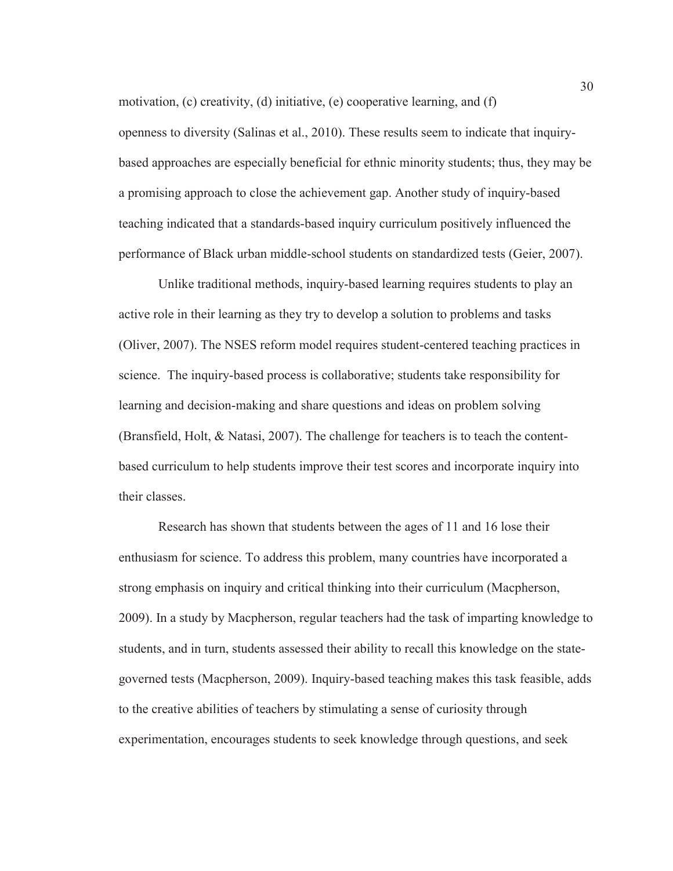motivation, (c) creativity, (d) initiative, (e) cooperative learning, and (f) openness to diversity (Salinas et al., 2010). These results seem to indicate that inquirybased approaches are especially beneficial for ethnic minority students; thus, they may be a promising approach to close the achievement gap. Another study of inquiry-based teaching indicated that a standards-based inquiry curriculum positively influenced the performance of Black urban middle-school students on standardized tests (Geier, 2007).

Unlike traditional methods, inquiry-based learning requires students to play an active role in their learning as they try to develop a solution to problems and tasks (Oliver, 2007). The NSES reform model requires student-centered teaching practices in science. The inquiry-based process is collaborative; students take responsibility for learning and decision-making and share questions and ideas on problem solving (Bransfield, Holt, & Natasi, 2007). The challenge for teachers is to teach the contentbased curriculum to help students improve their test scores and incorporate inquiry into their classes.

Research has shown that students between the ages of 11 and 16 lose their enthusiasm for science. To address this problem, many countries have incorporated a strong emphasis on inquiry and critical thinking into their curriculum (Macpherson, 2009). In a study by Macpherson, regular teachers had the task of imparting knowledge to students, and in turn, students assessed their ability to recall this knowledge on the stategoverned tests (Macpherson, 2009). Inquiry-based teaching makes this task feasible, adds to the creative abilities of teachers by stimulating a sense of curiosity through experimentation, encourages students to seek knowledge through questions, and seek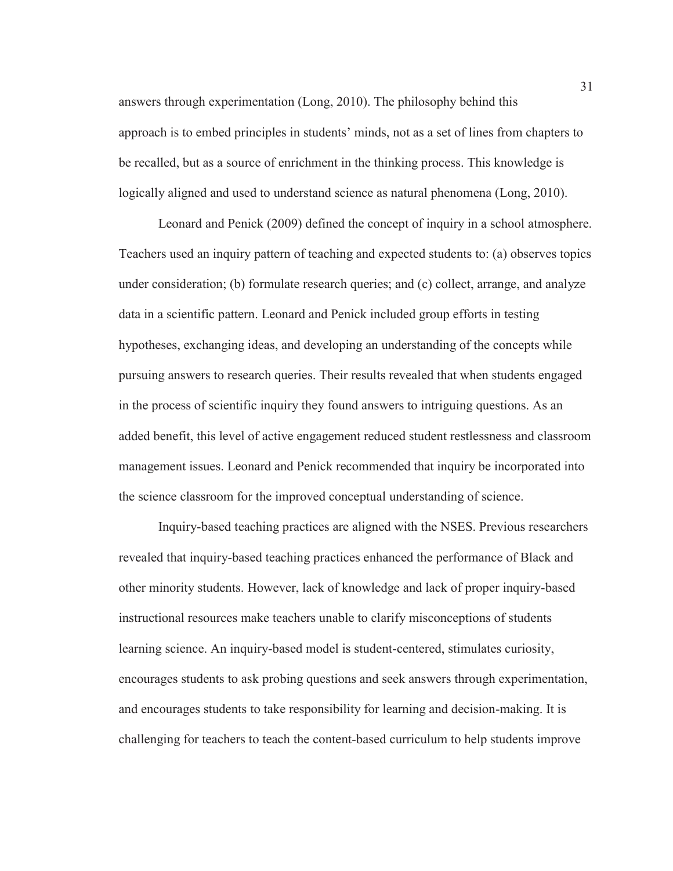answers through experimentation (Long, 2010). The philosophy behind this approach is to embed principles in students' minds, not as a set of lines from chapters to be recalled, but as a source of enrichment in the thinking process. This knowledge is logically aligned and used to understand science as natural phenomena (Long, 2010).

Leonard and Penick (2009) defined the concept of inquiry in a school atmosphere. Teachers used an inquiry pattern of teaching and expected students to: (a) observes topics under consideration; (b) formulate research queries; and (c) collect, arrange, and analyze data in a scientific pattern. Leonard and Penick included group efforts in testing hypotheses, exchanging ideas, and developing an understanding of the concepts while pursuing answers to research queries. Their results revealed that when students engaged in the process of scientific inquiry they found answers to intriguing questions. As an added benefit, this level of active engagement reduced student restlessness and classroom management issues. Leonard and Penick recommended that inquiry be incorporated into the science classroom for the improved conceptual understanding of science.

Inquiry-based teaching practices are aligned with the NSES. Previous researchers revealed that inquiry-based teaching practices enhanced the performance of Black and other minority students. However, lack of knowledge and lack of proper inquiry-based instructional resources make teachers unable to clarify misconceptions of students learning science. An inquiry-based model is student-centered, stimulates curiosity, encourages students to ask probing questions and seek answers through experimentation, and encourages students to take responsibility for learning and decision-making. It is challenging for teachers to teach the content-based curriculum to help students improve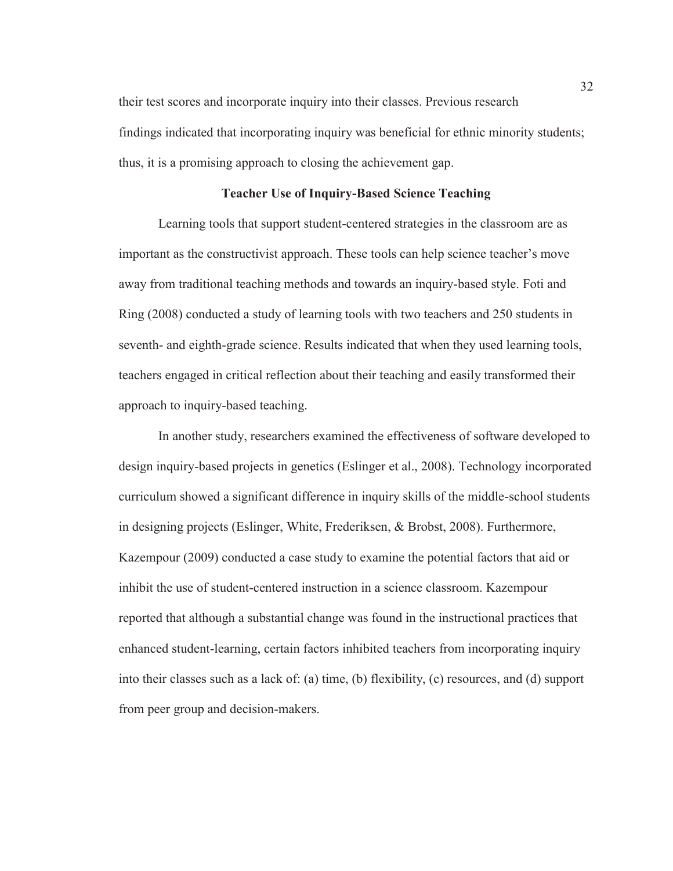their test scores and incorporate inquiry into their classes. Previous research findings indicated that incorporating inquiry was beneficial for ethnic minority students; thus, it is a promising approach to closing the achievement gap.

# **Teacher Use of Inquiry-Based Science Teaching**

Learning tools that support student-centered strategies in the classroom are as important as the constructivist approach. These tools can help science teacher's move away from traditional teaching methods and towards an inquiry-based style. Foti and Ring (2008) conducted a study of learning tools with two teachers and 250 students in seventh- and eighth-grade science. Results indicated that when they used learning tools, teachers engaged in critical reflection about their teaching and easily transformed their approach to inquiry-based teaching.

In another study, researchers examined the effectiveness of software developed to design inquiry-based projects in genetics (Eslinger et al., 2008). Technology incorporated curriculum showed a significant difference in inquiry skills of the middle-school students in designing projects (Eslinger, White, Frederiksen, & Brobst, 2008). Furthermore, Kazempour (2009) conducted a case study to examine the potential factors that aid or inhibit the use of student-centered instruction in a science classroom. Kazempour reported that although a substantial change was found in the instructional practices that enhanced student-learning, certain factors inhibited teachers from incorporating inquiry into their classes such as a lack of: (a) time, (b) flexibility, (c) resources, and (d) support from peer group and decision-makers.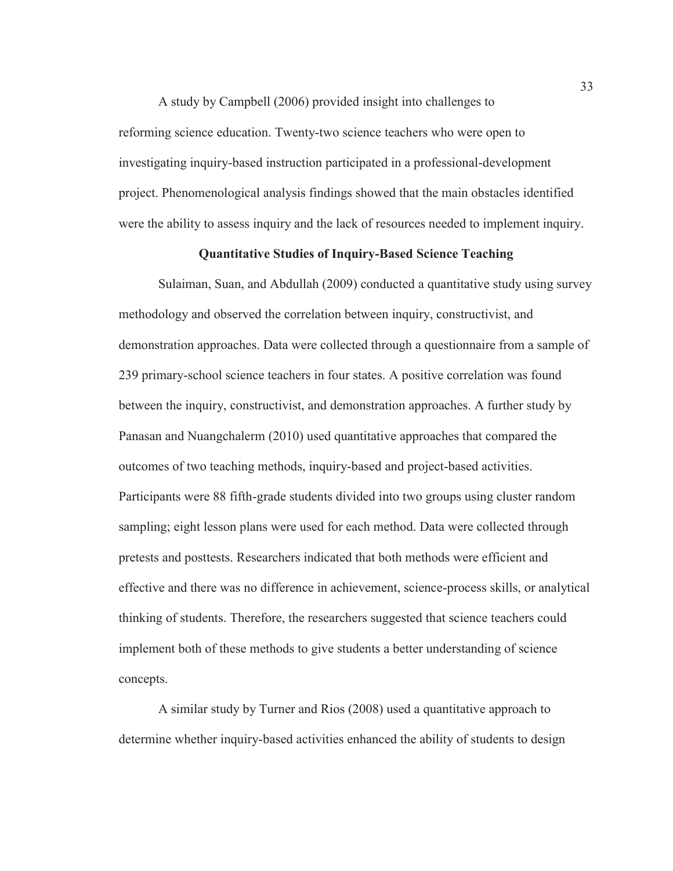A study by Campbell (2006) provided insight into challenges to reforming science education. Twenty-two science teachers who were open to investigating inquiry-based instruction participated in a professional-development project. Phenomenological analysis findings showed that the main obstacles identified were the ability to assess inquiry and the lack of resources needed to implement inquiry.

# **Quantitative Studies of Inquiry-Based Science Teaching**

Sulaiman, Suan, and Abdullah (2009) conducted a quantitative study using survey methodology and observed the correlation between inquiry, constructivist, and demonstration approaches. Data were collected through a questionnaire from a sample of 239 primary-school science teachers in four states. A positive correlation was found between the inquiry, constructivist, and demonstration approaches. A further study by Panasan and Nuangchalerm (2010) used quantitative approaches that compared the outcomes of two teaching methods, inquiry-based and project-based activities. Participants were 88 fifth-grade students divided into two groups using cluster random sampling; eight lesson plans were used for each method. Data were collected through pretests and posttests. Researchers indicated that both methods were efficient and effective and there was no difference in achievement, science-process skills, or analytical thinking of students. Therefore, the researchers suggested that science teachers could implement both of these methods to give students a better understanding of science concepts.

A similar study by Turner and Rios (2008) used a quantitative approach to determine whether inquiry-based activities enhanced the ability of students to design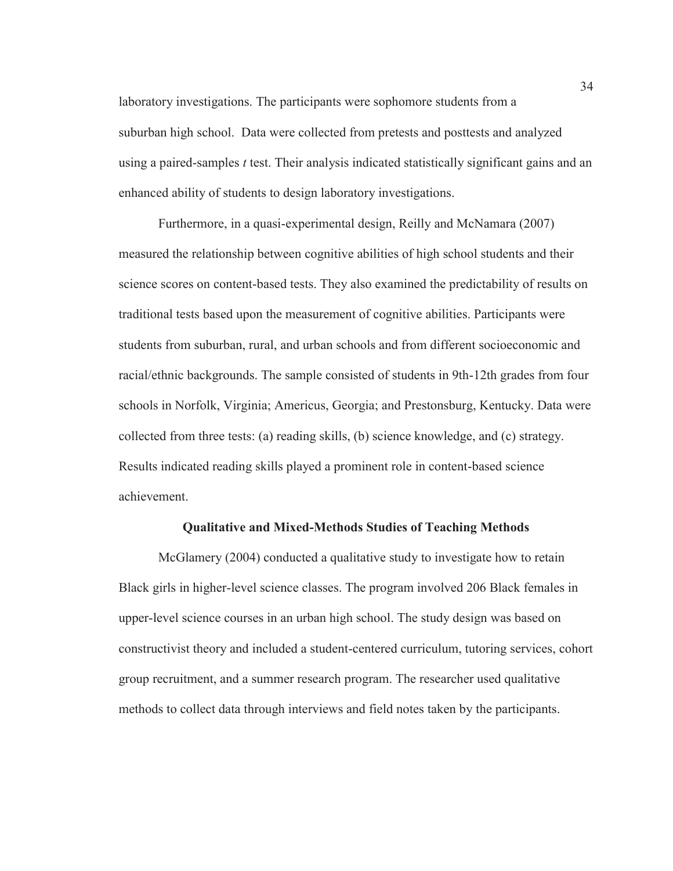laboratory investigations. The participants were sophomore students from a suburban high school. Data were collected from pretests and posttests and analyzed using a paired-samples *t* test. Their analysis indicated statistically significant gains and an enhanced ability of students to design laboratory investigations.

Furthermore, in a quasi-experimental design, Reilly and McNamara (2007) measured the relationship between cognitive abilities of high school students and their science scores on content-based tests. They also examined the predictability of results on traditional tests based upon the measurement of cognitive abilities. Participants were students from suburban, rural, and urban schools and from different socioeconomic and racial/ethnic backgrounds. The sample consisted of students in 9th-12th grades from four schools in Norfolk, Virginia; Americus, Georgia; and Prestonsburg, Kentucky. Data were collected from three tests: (a) reading skills, (b) science knowledge, and (c) strategy. Results indicated reading skills played a prominent role in content-based science achievement.

#### **Qualitative and Mixed-Methods Studies of Teaching Methods**

McGlamery (2004) conducted a qualitative study to investigate how to retain Black girls in higher-level science classes. The program involved 206 Black females in upper-level science courses in an urban high school. The study design was based on constructivist theory and included a student-centered curriculum, tutoring services, cohort group recruitment, and a summer research program. The researcher used qualitative methods to collect data through interviews and field notes taken by the participants.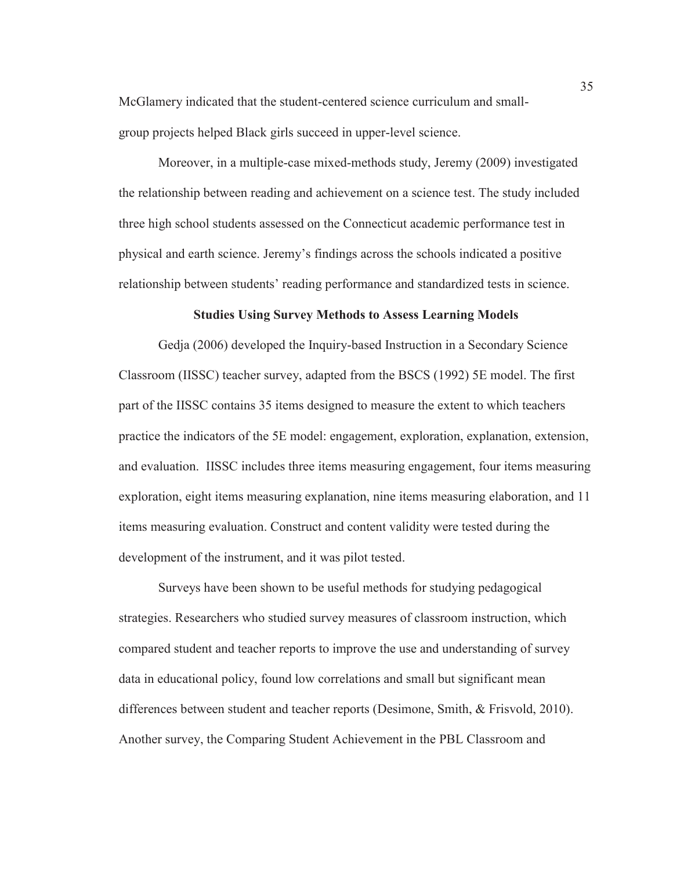McGlamery indicated that the student-centered science curriculum and smallgroup projects helped Black girls succeed in upper-level science.

Moreover, in a multiple-case mixed-methods study, Jeremy (2009) investigated the relationship between reading and achievement on a science test. The study included three high school students assessed on the Connecticut academic performance test in physical and earth science. Jeremy's findings across the schools indicated a positive relationship between students' reading performance and standardized tests in science.

## **Studies Using Survey Methods to Assess Learning Models**

Gedja (2006) developed the Inquiry-based Instruction in a Secondary Science Classroom (IISSC) teacher survey, adapted from the BSCS (1992) 5E model. The first part of the IISSC contains 35 items designed to measure the extent to which teachers practice the indicators of the 5E model: engagement, exploration, explanation, extension, and evaluation. IISSC includes three items measuring engagement, four items measuring exploration, eight items measuring explanation, nine items measuring elaboration, and 11 items measuring evaluation. Construct and content validity were tested during the development of the instrument, and it was pilot tested.

Surveys have been shown to be useful methods for studying pedagogical strategies. Researchers who studied survey measures of classroom instruction, which compared student and teacher reports to improve the use and understanding of survey data in educational policy, found low correlations and small but significant mean differences between student and teacher reports (Desimone, Smith, & Frisvold, 2010). Another survey, the Comparing Student Achievement in the PBL Classroom and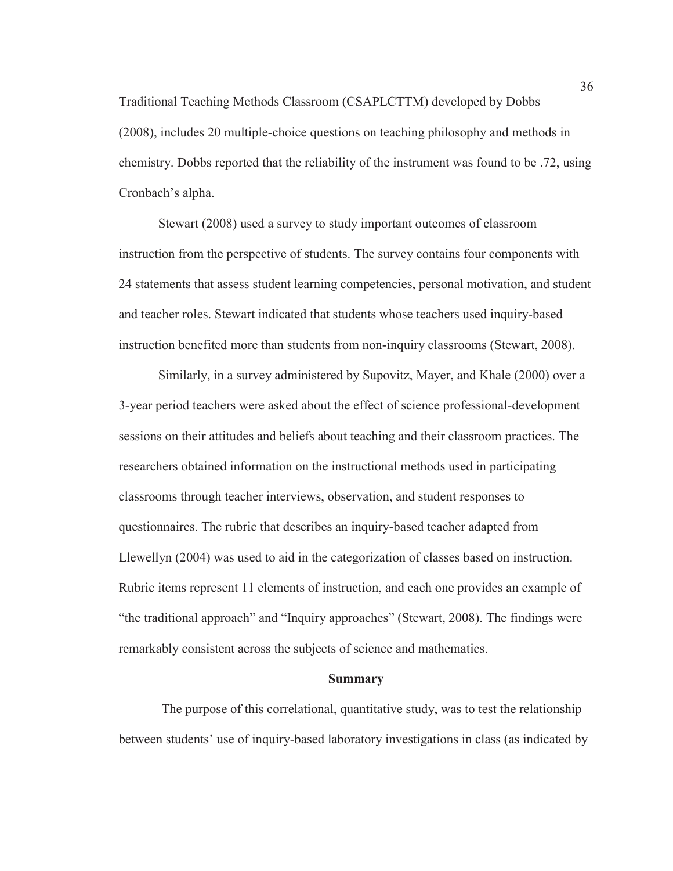Traditional Teaching Methods Classroom (CSAPLCTTM) developed by Dobbs (2008), includes 20 multiple-choice questions on teaching philosophy and methods in chemistry. Dobbs reported that the reliability of the instrument was found to be .72, using Cronbach's alpha.

Stewart (2008) used a survey to study important outcomes of classroom instruction from the perspective of students. The survey contains four components with 24 statements that assess student learning competencies, personal motivation, and student and teacher roles. Stewart indicated that students whose teachers used inquiry-based instruction benefited more than students from non-inquiry classrooms (Stewart, 2008).

Similarly, in a survey administered by Supovitz, Mayer, and Khale (2000) over a 3-year period teachers were asked about the effect of science professional-development sessions on their attitudes and beliefs about teaching and their classroom practices. The researchers obtained information on the instructional methods used in participating classrooms through teacher interviews, observation, and student responses to questionnaires. The rubric that describes an inquiry-based teacher adapted from Llewellyn (2004) was used to aid in the categorization of classes based on instruction. Rubric items represent 11 elements of instruction, and each one provides an example of "the traditional approach" and "Inquiry approaches" (Stewart, 2008). The findings were remarkably consistent across the subjects of science and mathematics.

#### **Summary**

 The purpose of this correlational, quantitative study, was to test the relationship between students' use of inquiry-based laboratory investigations in class (as indicated by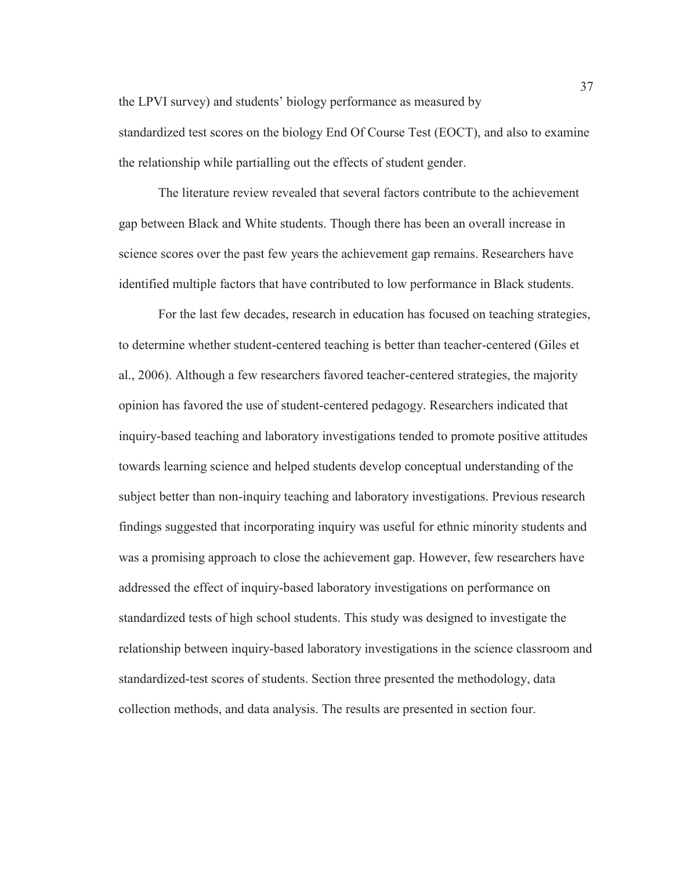the LPVI survey) and students' biology performance as measured by standardized test scores on the biology End Of Course Test (EOCT), and also to examine the relationship while partialling out the effects of student gender.

The literature review revealed that several factors contribute to the achievement gap between Black and White students. Though there has been an overall increase in science scores over the past few years the achievement gap remains. Researchers have identified multiple factors that have contributed to low performance in Black students.

For the last few decades, research in education has focused on teaching strategies, to determine whether student-centered teaching is better than teacher-centered (Giles et al., 2006). Although a few researchers favored teacher-centered strategies, the majority opinion has favored the use of student-centered pedagogy. Researchers indicated that inquiry-based teaching and laboratory investigations tended to promote positive attitudes towards learning science and helped students develop conceptual understanding of the subject better than non-inquiry teaching and laboratory investigations. Previous research findings suggested that incorporating inquiry was useful for ethnic minority students and was a promising approach to close the achievement gap. However, few researchers have addressed the effect of inquiry-based laboratory investigations on performance on standardized tests of high school students. This study was designed to investigate the relationship between inquiry-based laboratory investigations in the science classroom and standardized-test scores of students. Section three presented the methodology, data collection methods, and data analysis. The results are presented in section four.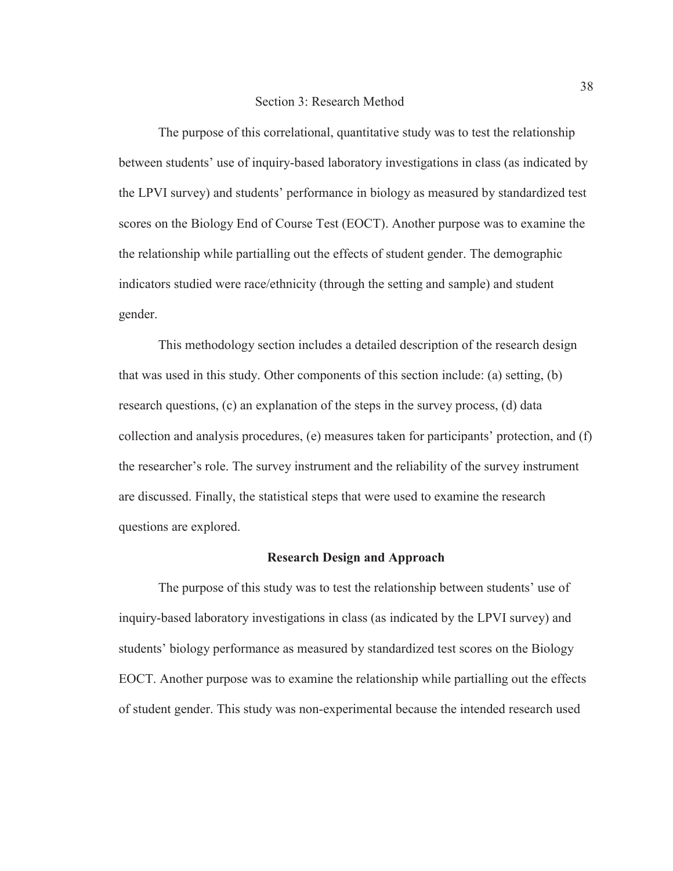The purpose of this correlational, quantitative study was to test the relationship between students' use of inquiry-based laboratory investigations in class (as indicated by the LPVI survey) and students' performance in biology as measured by standardized test scores on the Biology End of Course Test (EOCT). Another purpose was to examine the the relationship while partialling out the effects of student gender. The demographic indicators studied were race/ethnicity (through the setting and sample) and student gender.

This methodology section includes a detailed description of the research design that was used in this study. Other components of this section include: (a) setting, (b) research questions, (c) an explanation of the steps in the survey process, (d) data collection and analysis procedures, (e) measures taken for participants' protection, and (f) the researcher's role. The survey instrument and the reliability of the survey instrument are discussed. Finally, the statistical steps that were used to examine the research questions are explored.

#### **Research Design and Approach**

The purpose of this study was to test the relationship between students' use of inquiry-based laboratory investigations in class (as indicated by the LPVI survey) and students' biology performance as measured by standardized test scores on the Biology EOCT. Another purpose was to examine the relationship while partialling out the effects of student gender. This study was non-experimental because the intended research used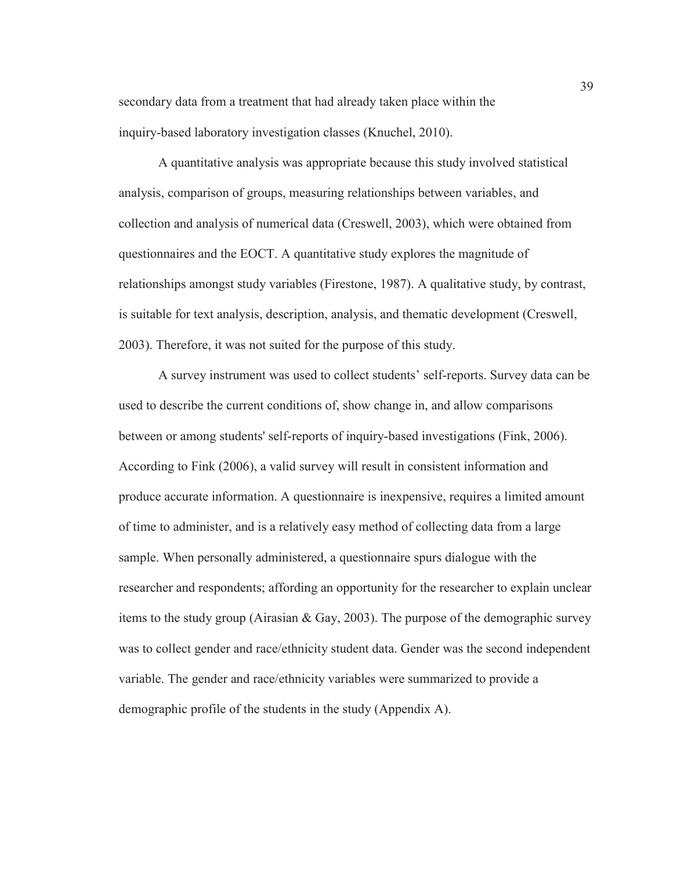secondary data from a treatment that had already taken place within the inquiry-based laboratory investigation classes (Knuchel, 2010).

A quantitative analysis was appropriate because this study involved statistical analysis, comparison of groups, measuring relationships between variables, and collection and analysis of numerical data (Creswell, 2003), which were obtained from questionnaires and the EOCT. A quantitative study explores the magnitude of relationships amongst study variables (Firestone, 1987). A qualitative study, by contrast, is suitable for text analysis, description, analysis, and thematic development (Creswell, 2003). Therefore, it was not suited for the purpose of this study.

A survey instrument was used to collect students' self-reports. Survey data can be used to describe the current conditions of, show change in, and allow comparisons between or among students' self-reports of inquiry-based investigations (Fink, 2006). According to Fink (2006), a valid survey will result in consistent information and produce accurate information. A questionnaire is inexpensive, requires a limited amount of time to administer, and is a relatively easy method of collecting data from a large sample. When personally administered, a questionnaire spurs dialogue with the researcher and respondents; affording an opportunity for the researcher to explain unclear items to the study group (Airasian & Gay, 2003). The purpose of the demographic survey was to collect gender and race/ethnicity student data. Gender was the second independent variable. The gender and race/ethnicity variables were summarized to provide a demographic profile of the students in the study (Appendix A).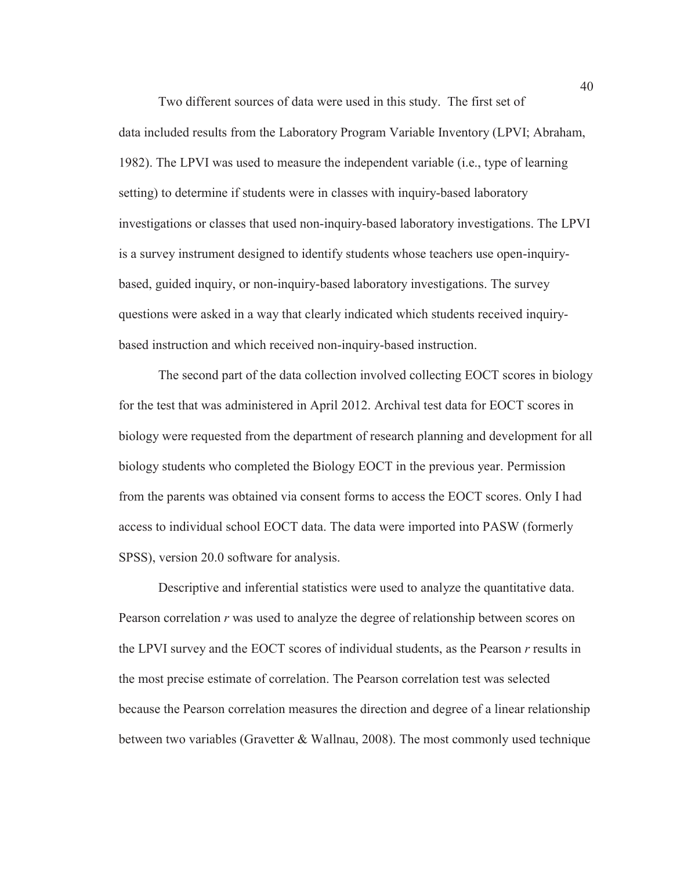Two different sources of data were used in this study. The first set of data included results from the Laboratory Program Variable Inventory (LPVI; Abraham, 1982). The LPVI was used to measure the independent variable (i.e., type of learning setting) to determine if students were in classes with inquiry-based laboratory investigations or classes that used non-inquiry-based laboratory investigations. The LPVI is a survey instrument designed to identify students whose teachers use open-inquirybased, guided inquiry, or non-inquiry-based laboratory investigations. The survey questions were asked in a way that clearly indicated which students received inquirybased instruction and which received non-inquiry-based instruction.

The second part of the data collection involved collecting EOCT scores in biology for the test that was administered in April 2012. Archival test data for EOCT scores in biology were requested from the department of research planning and development for all biology students who completed the Biology EOCT in the previous year. Permission from the parents was obtained via consent forms to access the EOCT scores. Only I had access to individual school EOCT data. The data were imported into PASW (formerly SPSS), version 20.0 software for analysis.

Descriptive and inferential statistics were used to analyze the quantitative data. Pearson correlation *r* was used to analyze the degree of relationship between scores on the LPVI survey and the EOCT scores of individual students, as the Pearson *r* results in the most precise estimate of correlation. The Pearson correlation test was selected because the Pearson correlation measures the direction and degree of a linear relationship between two variables (Gravetter  $&$  Wallnau, 2008). The most commonly used technique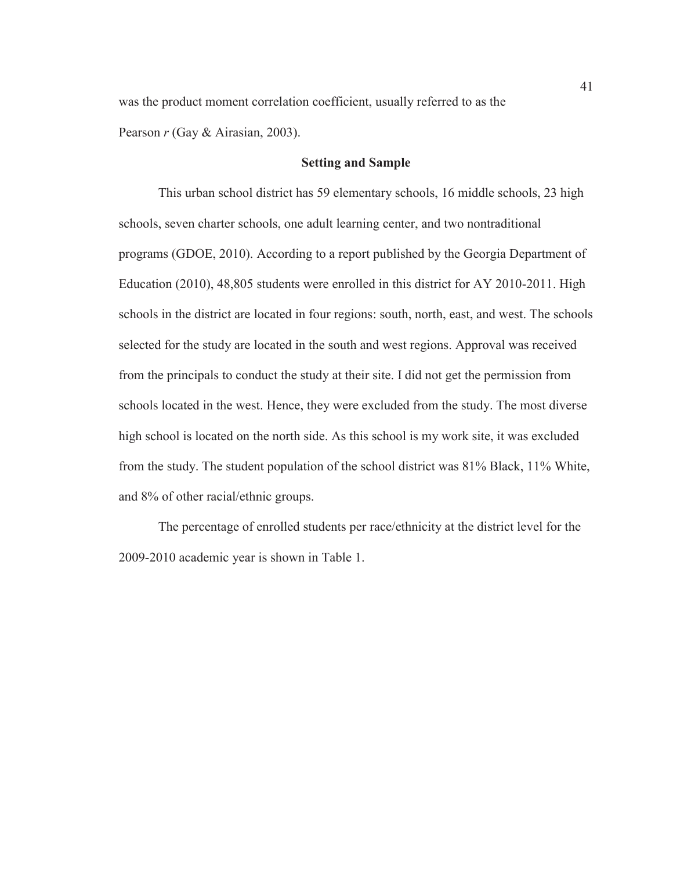was the product moment correlation coefficient, usually referred to as the Pearson *r* (Gay & Airasian, 2003).

## **Setting and Sample**

This urban school district has 59 elementary schools, 16 middle schools, 23 high schools, seven charter schools, one adult learning center, and two nontraditional programs (GDOE, 2010). According to a report published by the Georgia Department of Education (2010), 48,805 students were enrolled in this district for AY 2010-2011. High schools in the district are located in four regions: south, north, east, and west. The schools selected for the study are located in the south and west regions. Approval was received from the principals to conduct the study at their site. I did not get the permission from schools located in the west. Hence, they were excluded from the study. The most diverse high school is located on the north side. As this school is my work site, it was excluded from the study. The student population of the school district was 81% Black, 11% White, and 8% of other racial/ethnic groups.

The percentage of enrolled students per race/ethnicity at the district level for the 2009-2010 academic year is shown in Table 1.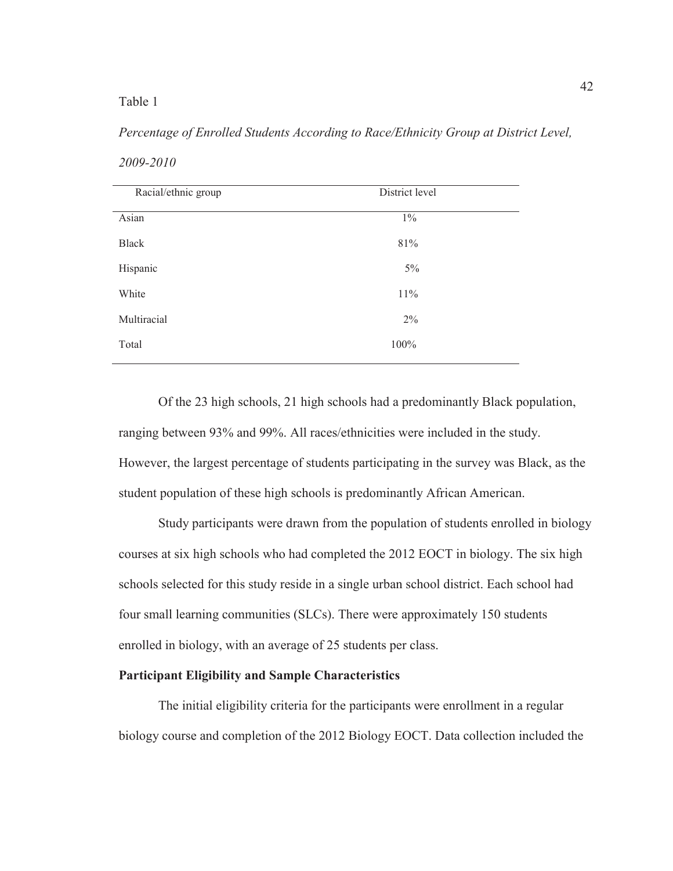## Table 1

# *Percentage of Enrolled Students According to Race/Ethnicity Group at District Level, 2009-2010*

| Racial/ethnic group | District level |  |
|---------------------|----------------|--|
| Asian               | $1\%$          |  |
| <b>Black</b>        | 81%            |  |
| Hispanic            | $5\%$          |  |
| White               | 11%            |  |
| Multiracial         | 2%             |  |
| Total               | 100%           |  |

Of the 23 high schools, 21 high schools had a predominantly Black population, ranging between 93% and 99%. All races/ethnicities were included in the study. However, the largest percentage of students participating in the survey was Black, as the student population of these high schools is predominantly African American.

Study participants were drawn from the population of students enrolled in biology courses at six high schools who had completed the 2012 EOCT in biology. The six high schools selected for this study reside in a single urban school district. Each school had four small learning communities (SLCs). There were approximately 150 students enrolled in biology, with an average of 25 students per class.

### **Participant Eligibility and Sample Characteristics**

The initial eligibility criteria for the participants were enrollment in a regular biology course and completion of the 2012 Biology EOCT. Data collection included the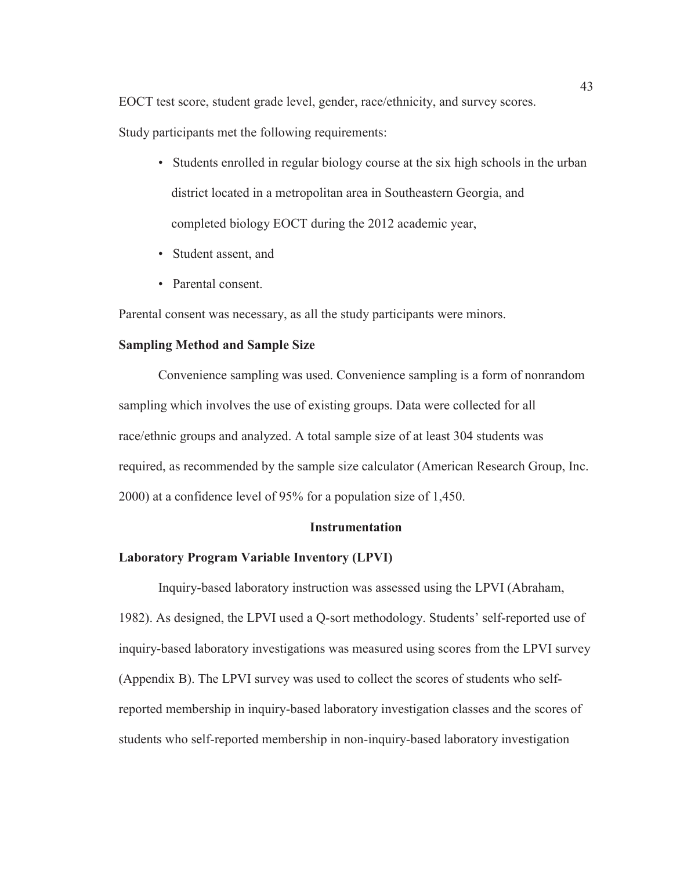EOCT test score, student grade level, gender, race/ethnicity, and survey scores.

Study participants met the following requirements:

- Students enrolled in regular biology course at the six high schools in the urban district located in a metropolitan area in Southeastern Georgia, and completed biology EOCT during the 2012 academic year,
- Student assent, and
- Parental consent.

Parental consent was necessary, as all the study participants were minors.

## **Sampling Method and Sample Size**

Convenience sampling was used. Convenience sampling is a form of nonrandom sampling which involves the use of existing groups. Data were collected for all race/ethnic groups and analyzed. A total sample size of at least 304 students was required, as recommended by the sample size calculator (American Research Group, Inc. 2000) at a confidence level of 95% for a population size of 1,450.

#### **Instrumentation**

#### **Laboratory Program Variable Inventory (LPVI)**

Inquiry-based laboratory instruction was assessed using the LPVI (Abraham, 1982). As designed, the LPVI used a Q-sort methodology. Students' self-reported use of inquiry-based laboratory investigations was measured using scores from the LPVI survey (Appendix B). The LPVI survey was used to collect the scores of students who selfreported membership in inquiry-based laboratory investigation classes and the scores of students who self-reported membership in non-inquiry-based laboratory investigation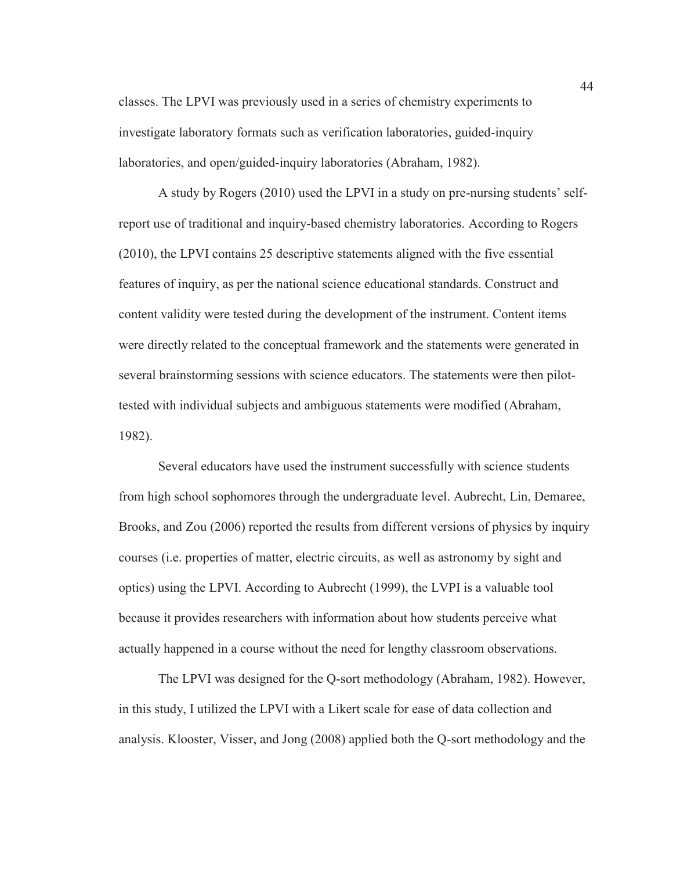classes. The LPVI was previously used in a series of chemistry experiments to investigate laboratory formats such as verification laboratories, guided-inquiry laboratories, and open/guided-inquiry laboratories (Abraham, 1982).

 A study by Rogers (2010) used the LPVI in a study on pre-nursing students' selfreport use of traditional and inquiry-based chemistry laboratories. According to Rogers (2010), the LPVI contains 25 descriptive statements aligned with the five essential features of inquiry, as per the national science educational standards. Construct and content validity were tested during the development of the instrument. Content items were directly related to the conceptual framework and the statements were generated in several brainstorming sessions with science educators. The statements were then pilottested with individual subjects and ambiguous statements were modified (Abraham, 1982).

Several educators have used the instrument successfully with science students from high school sophomores through the undergraduate level. Aubrecht, Lin, Demaree, Brooks, and Zou (2006) reported the results from different versions of physics by inquiry courses (i.e. properties of matter, electric circuits, as well as astronomy by sight and optics) using the LPVI. According to Aubrecht (1999), the LVPI is a valuable tool because it provides researchers with information about how students perceive what actually happened in a course without the need for lengthy classroom observations.

The LPVI was designed for the Q-sort methodology (Abraham, 1982). However, in this study, I utilized the LPVI with a Likert scale for ease of data collection and analysis. Klooster, Visser, and Jong (2008) applied both the Q-sort methodology and the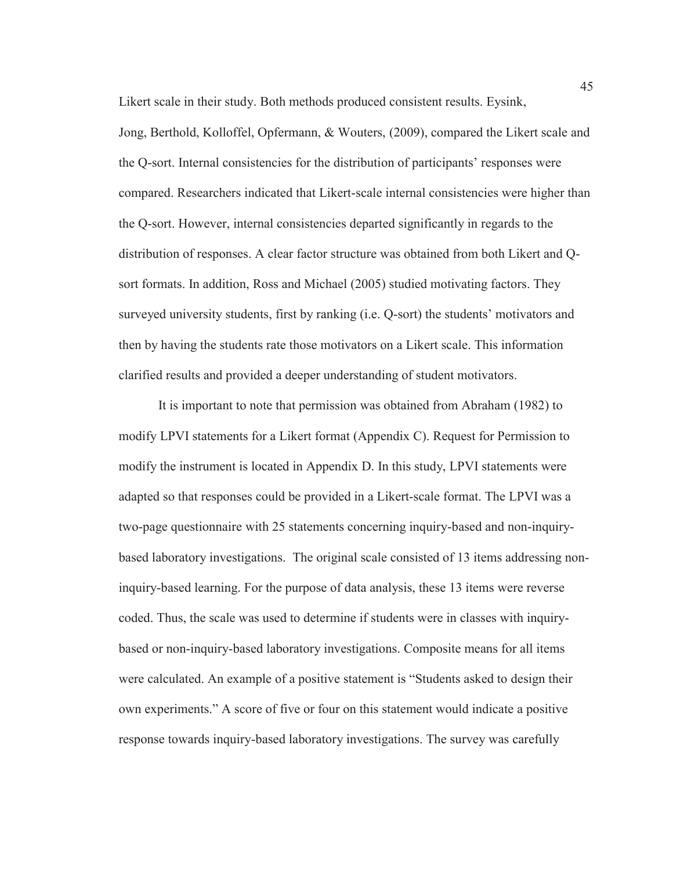Likert scale in their study. Both methods produced consistent results. Eysink, Jong, Berthold, Kolloffel, Opfermann, & Wouters, (2009), compared the Likert scale and the Q-sort. Internal consistencies for the distribution of participants' responses were compared. Researchers indicated that Likert-scale internal consistencies were higher than the Q-sort. However, internal consistencies departed significantly in regards to the distribution of responses. A clear factor structure was obtained from both Likert and Qsort formats. In addition, Ross and Michael (2005) studied motivating factors. They surveyed university students, first by ranking (i.e. Q-sort) the students' motivators and then by having the students rate those motivators on a Likert scale. This information clarified results and provided a deeper understanding of student motivators.

It is important to note that permission was obtained from Abraham (1982) to modify LPVI statements for a Likert format (Appendix C). Request for Permission to modify the instrument is located in Appendix D. In this study, LPVI statements were adapted so that responses could be provided in a Likert-scale format. The LPVI was a two-page questionnaire with 25 statements concerning inquiry-based and non-inquirybased laboratory investigations. The original scale consisted of 13 items addressing noninquiry-based learning. For the purpose of data analysis, these 13 items were reverse coded. Thus, the scale was used to determine if students were in classes with inquirybased or non-inquiry-based laboratory investigations. Composite means for all items were calculated. An example of a positive statement is "Students asked to design their own experiments." A score of five or four on this statement would indicate a positive response towards inquiry-based laboratory investigations. The survey was carefully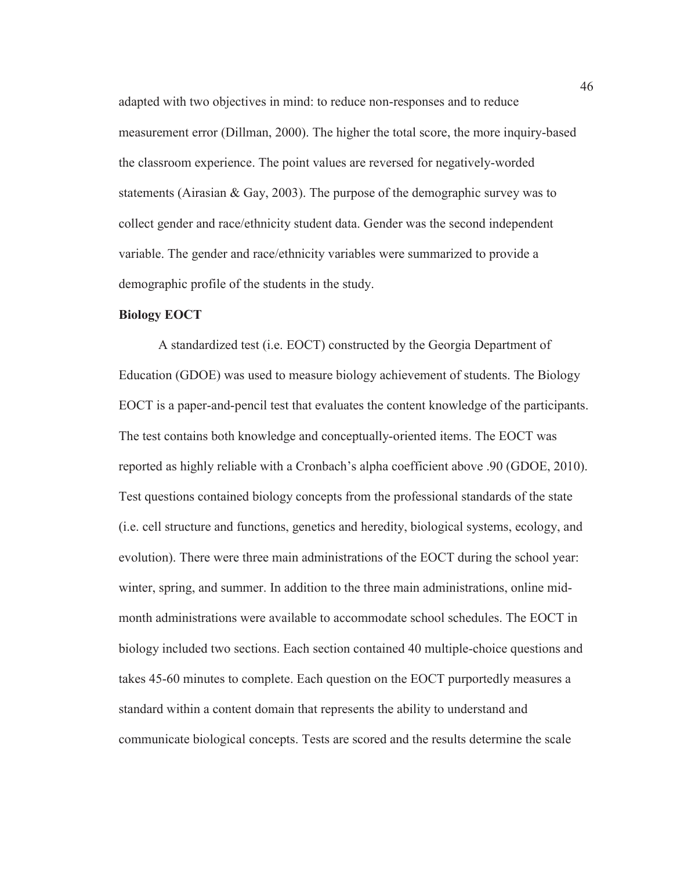adapted with two objectives in mind: to reduce non-responses and to reduce measurement error (Dillman, 2000). The higher the total score, the more inquiry-based the classroom experience. The point values are reversed for negatively-worded statements (Airasian & Gay, 2003). The purpose of the demographic survey was to collect gender and race/ethnicity student data. Gender was the second independent variable. The gender and race/ethnicity variables were summarized to provide a demographic profile of the students in the study.

## **Biology EOCT**

A standardized test (i.e. EOCT) constructed by the Georgia Department of Education (GDOE) was used to measure biology achievement of students. The Biology EOCT is a paper-and-pencil test that evaluates the content knowledge of the participants. The test contains both knowledge and conceptually-oriented items. The EOCT was reported as highly reliable with a Cronbach's alpha coefficient above .90 (GDOE, 2010). Test questions contained biology concepts from the professional standards of the state (i.e. cell structure and functions, genetics and heredity, biological systems, ecology, and evolution). There were three main administrations of the EOCT during the school year: winter, spring, and summer. In addition to the three main administrations, online midmonth administrations were available to accommodate school schedules. The EOCT in biology included two sections. Each section contained 40 multiple-choice questions and takes 45-60 minutes to complete. Each question on the EOCT purportedly measures a standard within a content domain that represents the ability to understand and communicate biological concepts. Tests are scored and the results determine the scale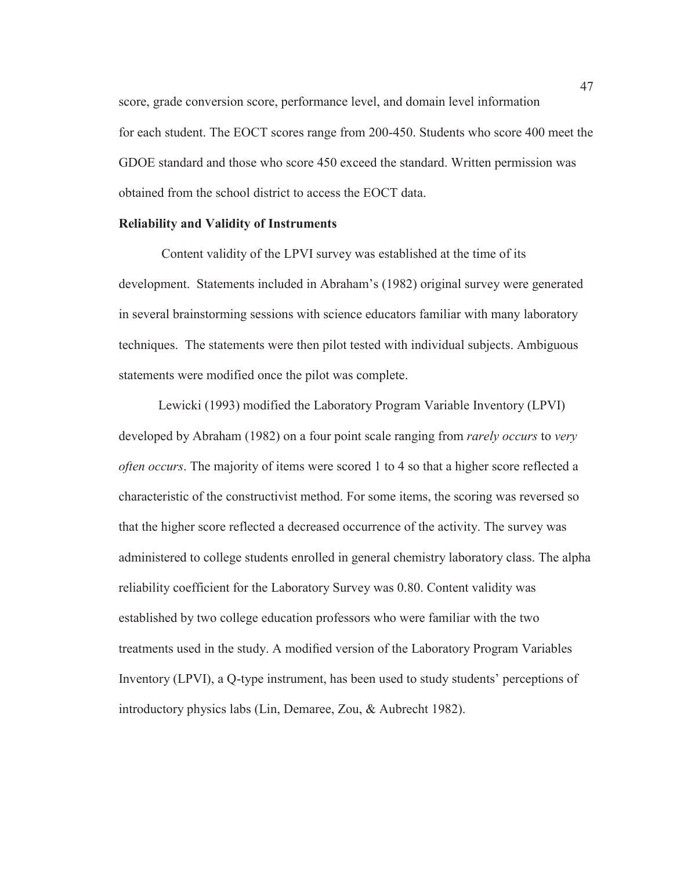score, grade conversion score, performance level, and domain level information for each student. The EOCT scores range from 200-450. Students who score 400 meet the GDOE standard and those who score 450 exceed the standard. Written permission was obtained from the school district to access the EOCT data.

#### **Reliability and Validity of Instruments**

Content validity of the LPVI survey was established at the time of its development. Statements included in Abraham's (1982) original survey were generated in several brainstorming sessions with science educators familiar with many laboratory techniques. The statements were then pilot tested with individual subjects. Ambiguous statements were modified once the pilot was complete.

Lewicki (1993) modified the Laboratory Program Variable Inventory (LPVI) developed by Abraham (1982) on a four point scale ranging from *rarely occurs* to *very often occurs*. The majority of items were scored 1 to 4 so that a higher score reflected a characteristic of the constructivist method. For some items, the scoring was reversed so that the higher score reflected a decreased occurrence of the activity. The survey was administered to college students enrolled in general chemistry laboratory class. The alpha reliability coefficient for the Laboratory Survey was 0.80. Content validity was established by two college education professors who were familiar with the two treatments used in the study. A modified version of the Laboratory Program Variables Inventory (LPVI), a Q-type instrument, has been used to study students' perceptions of introductory physics labs (Lin, Demaree, Zou, & Aubrecht 1982).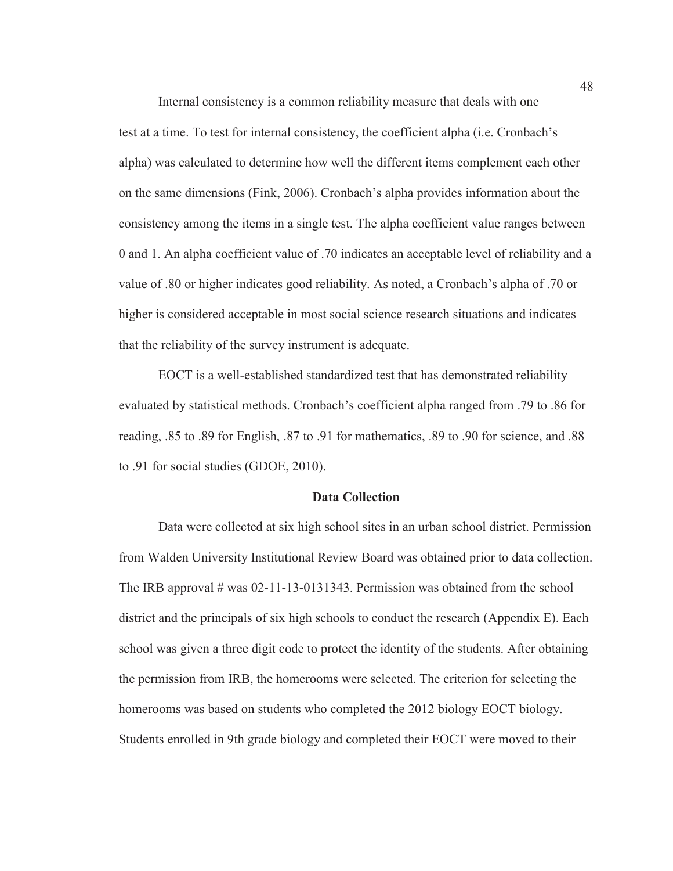Internal consistency is a common reliability measure that deals with one test at a time. To test for internal consistency, the coefficient alpha (i.e. Cronbach's alpha) was calculated to determine how well the different items complement each other on the same dimensions (Fink, 2006). Cronbach's alpha provides information about the consistency among the items in a single test. The alpha coefficient value ranges between 0 and 1. An alpha coefficient value of .70 indicates an acceptable level of reliability and a value of .80 or higher indicates good reliability. As noted, a Cronbach's alpha of .70 or higher is considered acceptable in most social science research situations and indicates that the reliability of the survey instrument is adequate.

EOCT is a well-established standardized test that has demonstrated reliability evaluated by statistical methods. Cronbach's coefficient alpha ranged from .79 to .86 for reading, .85 to .89 for English, .87 to .91 for mathematics, .89 to .90 for science, and .88 to .91 for social studies (GDOE, 2010).

## **Data Collection**

Data were collected at six high school sites in an urban school district. Permission from Walden University Institutional Review Board was obtained prior to data collection. The IRB approval  $\#$  was 02-11-13-0131343. Permission was obtained from the school district and the principals of six high schools to conduct the research (Appendix E). Each school was given a three digit code to protect the identity of the students. After obtaining the permission from IRB, the homerooms were selected. The criterion for selecting the homerooms was based on students who completed the 2012 biology EOCT biology. Students enrolled in 9th grade biology and completed their EOCT were moved to their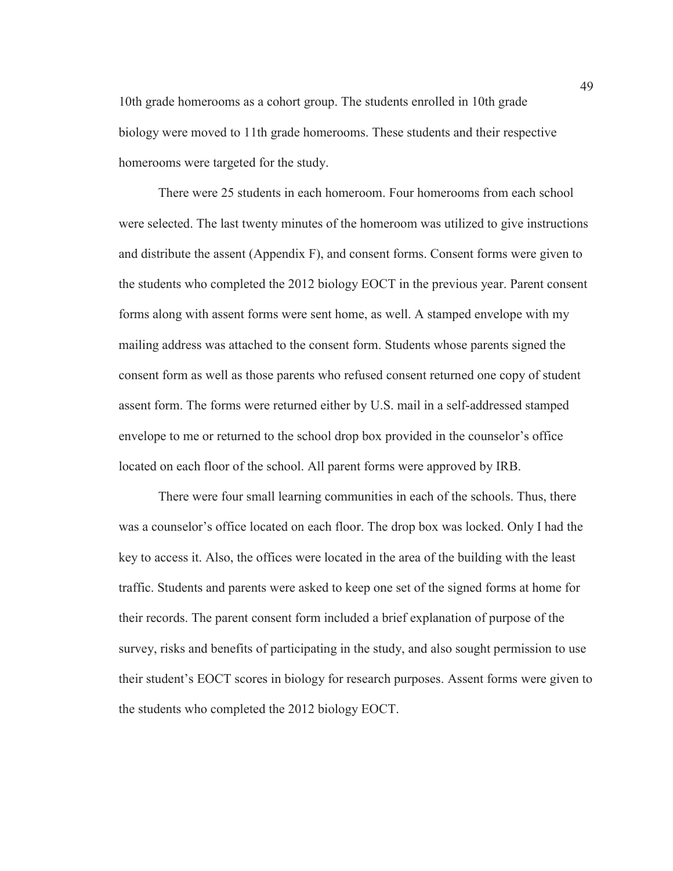10th grade homerooms as a cohort group. The students enrolled in 10th grade biology were moved to 11th grade homerooms. These students and their respective homerooms were targeted for the study.

There were 25 students in each homeroom. Four homerooms from each school were selected. The last twenty minutes of the homeroom was utilized to give instructions and distribute the assent (Appendix F), and consent forms. Consent forms were given to the students who completed the 2012 biology EOCT in the previous year. Parent consent forms along with assent forms were sent home, as well. A stamped envelope with my mailing address was attached to the consent form. Students whose parents signed the consent form as well as those parents who refused consent returned one copy of student assent form. The forms were returned either by U.S. mail in a self-addressed stamped envelope to me or returned to the school drop box provided in the counselor's office located on each floor of the school. All parent forms were approved by IRB.

There were four small learning communities in each of the schools. Thus, there was a counselor's office located on each floor. The drop box was locked. Only I had the key to access it. Also, the offices were located in the area of the building with the least traffic. Students and parents were asked to keep one set of the signed forms at home for their records. The parent consent form included a brief explanation of purpose of the survey, risks and benefits of participating in the study, and also sought permission to use their student's EOCT scores in biology for research purposes. Assent forms were given to the students who completed the 2012 biology EOCT.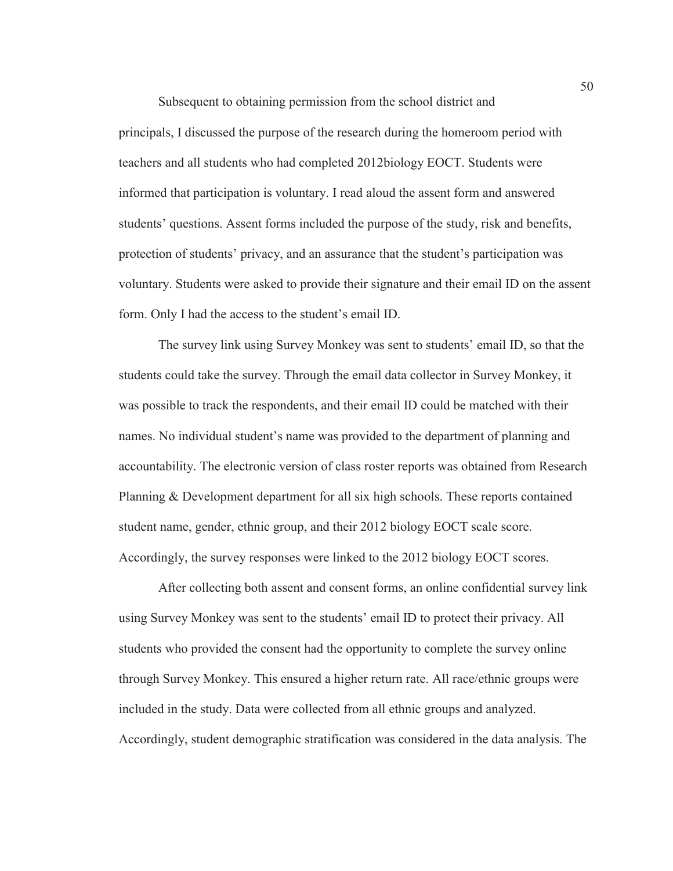Subsequent to obtaining permission from the school district and principals, I discussed the purpose of the research during the homeroom period with teachers and all students who had completed 2012biology EOCT. Students were informed that participation is voluntary. I read aloud the assent form and answered students' questions. Assent forms included the purpose of the study, risk and benefits, protection of students' privacy, and an assurance that the student's participation was voluntary. Students were asked to provide their signature and their email ID on the assent form. Only I had the access to the student's email ID.

The survey link using Survey Monkey was sent to students' email ID, so that the students could take the survey. Through the email data collector in Survey Monkey, it was possible to track the respondents, and their email ID could be matched with their names. No individual student's name was provided to the department of planning and accountability. The electronic version of class roster reports was obtained from Research Planning & Development department for all six high schools. These reports contained student name, gender, ethnic group, and their 2012 biology EOCT scale score. Accordingly, the survey responses were linked to the 2012 biology EOCT scores.

After collecting both assent and consent forms, an online confidential survey link using Survey Monkey was sent to the students' email ID to protect their privacy. All students who provided the consent had the opportunity to complete the survey online through Survey Monkey. This ensured a higher return rate. All race/ethnic groups were included in the study. Data were collected from all ethnic groups and analyzed. Accordingly, student demographic stratification was considered in the data analysis. The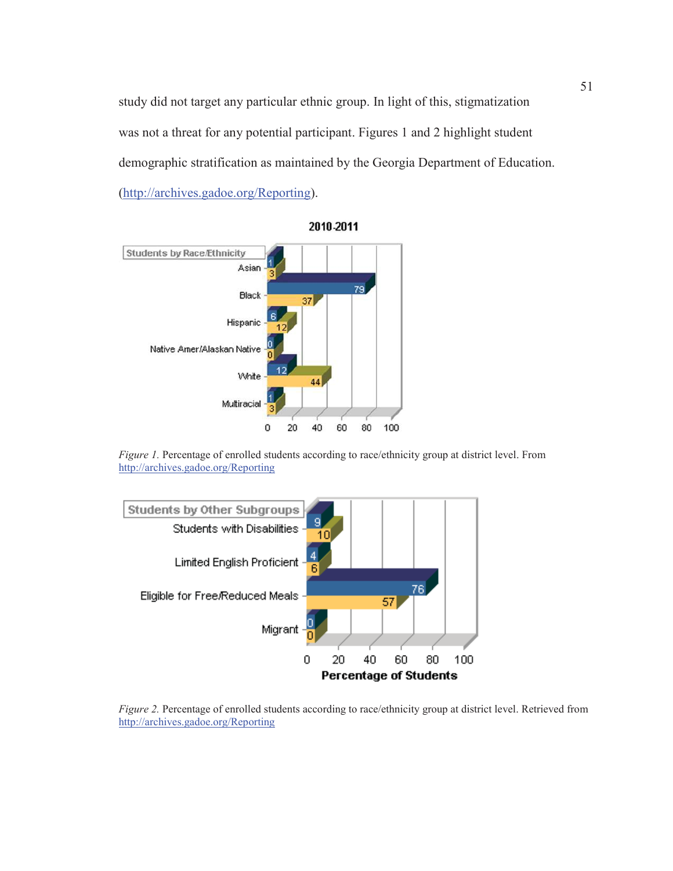study did not target any particular ethnic group. In light of this, stigmatization was not a threat for any potential participant. Figures 1 and 2 highlight student demographic stratification as maintained by the Georgia Department of Education. (http://archives.gadoe.org/Reporting).





*Figure 1.* Percentage of enrolled students according to race/ethnicity group at district level. From http://archives.gadoe.org/Reporting



*Figure 2.* Percentage of enrolled students according to race/ethnicity group at district level. Retrieved from http://archives.gadoe.org/Reporting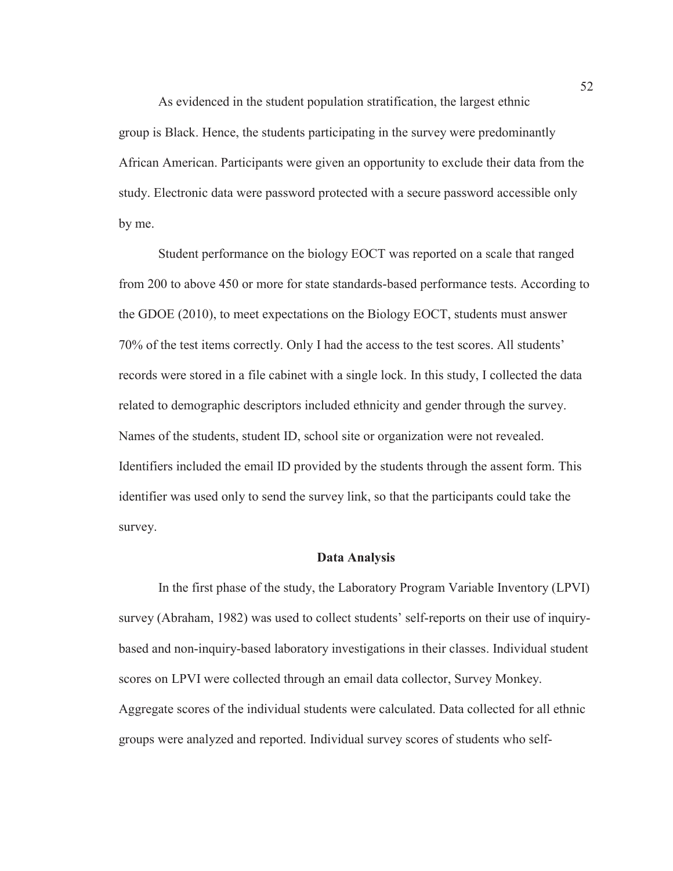As evidenced in the student population stratification, the largest ethnic group is Black. Hence, the students participating in the survey were predominantly African American. Participants were given an opportunity to exclude their data from the study. Electronic data were password protected with a secure password accessible only by me.

Student performance on the biology EOCT was reported on a scale that ranged from 200 to above 450 or more for state standards-based performance tests. According to the GDOE (2010), to meet expectations on the Biology EOCT, students must answer 70% of the test items correctly. Only I had the access to the test scores. All students' records were stored in a file cabinet with a single lock. In this study, I collected the data related to demographic descriptors included ethnicity and gender through the survey. Names of the students, student ID, school site or organization were not revealed. Identifiers included the email ID provided by the students through the assent form. This identifier was used only to send the survey link, so that the participants could take the survey.

#### **Data Analysis**

 In the first phase of the study, the Laboratory Program Variable Inventory (LPVI) survey (Abraham, 1982) was used to collect students' self-reports on their use of inquirybased and non-inquiry-based laboratory investigations in their classes. Individual student scores on LPVI were collected through an email data collector, Survey Monkey. Aggregate scores of the individual students were calculated. Data collected for all ethnic groups were analyzed and reported. Individual survey scores of students who self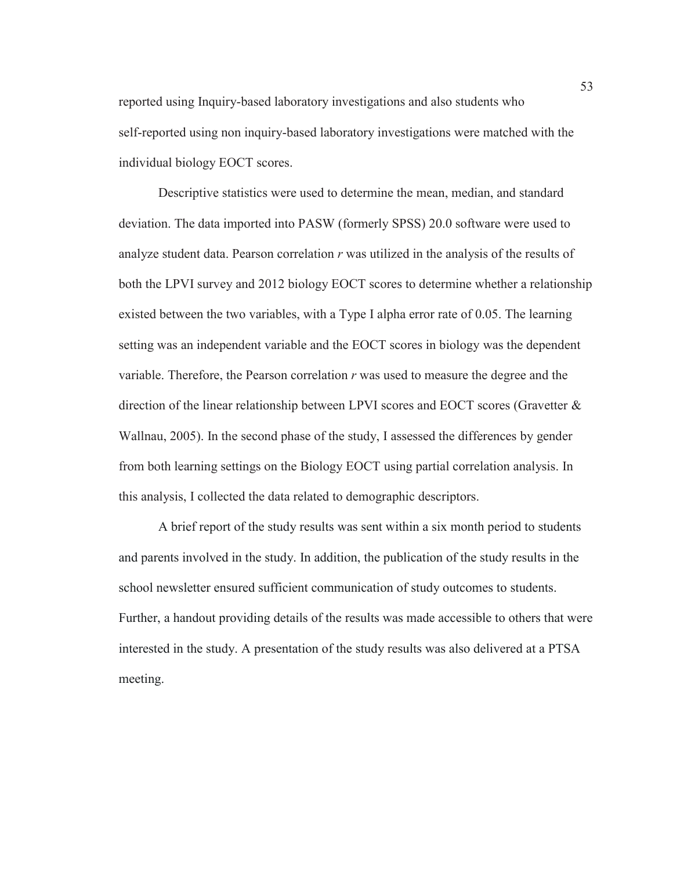reported using Inquiry-based laboratory investigations and also students who self-reported using non inquiry-based laboratory investigations were matched with the individual biology EOCT scores.

Descriptive statistics were used to determine the mean, median, and standard deviation. The data imported into PASW (formerly SPSS) 20.0 software were used to analyze student data. Pearson correlation *r* was utilized in the analysis of the results of both the LPVI survey and 2012 biology EOCT scores to determine whether a relationship existed between the two variables, with a Type I alpha error rate of 0.05. The learning setting was an independent variable and the EOCT scores in biology was the dependent variable. Therefore, the Pearson correlation *r* was used to measure the degree and the direction of the linear relationship between LPVI scores and EOCT scores (Gravetter & Wallnau, 2005). In the second phase of the study, I assessed the differences by gender from both learning settings on the Biology EOCT using partial correlation analysis. In this analysis, I collected the data related to demographic descriptors.

A brief report of the study results was sent within a six month period to students and parents involved in the study. In addition, the publication of the study results in the school newsletter ensured sufficient communication of study outcomes to students. Further, a handout providing details of the results was made accessible to others that were interested in the study. A presentation of the study results was also delivered at a PTSA meeting.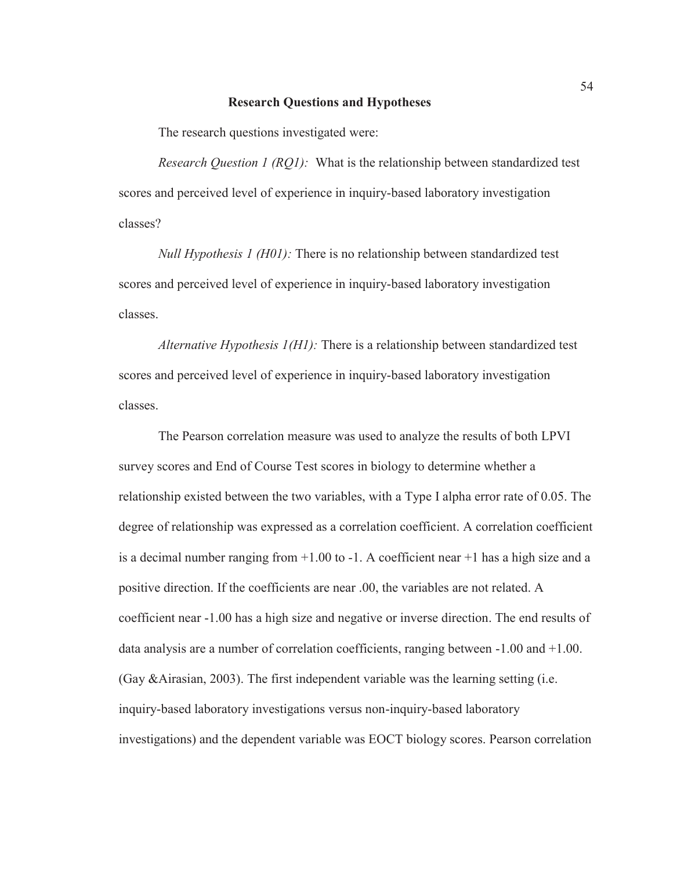#### **Research Questions and Hypotheses**

The research questions investigated were:

*Research Question 1 (RQ1):* What is the relationship between standardized test scores and perceived level of experience in inquiry-based laboratory investigation classes?

*Null Hypothesis 1 (H01):* There is no relationship between standardized test scores and perceived level of experience in inquiry-based laboratory investigation classes.

*Alternative Hypothesis 1(H1):* There is a relationship between standardized test scores and perceived level of experience in inquiry-based laboratory investigation classes.

The Pearson correlation measure was used to analyze the results of both LPVI survey scores and End of Course Test scores in biology to determine whether a relationship existed between the two variables, with a Type I alpha error rate of 0.05. The degree of relationship was expressed as a correlation coefficient. A correlation coefficient is a decimal number ranging from  $+1.00$  to  $-1$ . A coefficient near  $+1$  has a high size and a positive direction. If the coefficients are near .00, the variables are not related. A coefficient near -1.00 has a high size and negative or inverse direction. The end results of data analysis are a number of correlation coefficients, ranging between -1.00 and +1.00. (Gay &Airasian, 2003). The first independent variable was the learning setting (i.e. inquiry-based laboratory investigations versus non-inquiry-based laboratory investigations) and the dependent variable was EOCT biology scores. Pearson correlation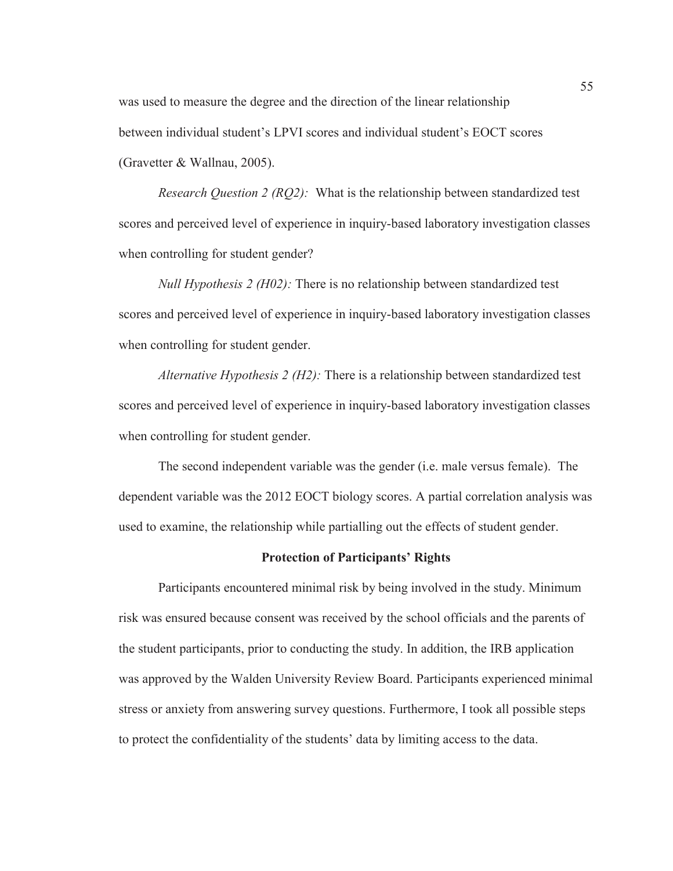was used to measure the degree and the direction of the linear relationship between individual student's LPVI scores and individual student's EOCT scores (Gravetter & Wallnau, 2005).

*Research Question 2 (RQ2):* What is the relationship between standardized test scores and perceived level of experience in inquiry-based laboratory investigation classes when controlling for student gender?

*Null Hypothesis 2 (H02):* There is no relationship between standardized test scores and perceived level of experience in inquiry-based laboratory investigation classes when controlling for student gender.

*Alternative Hypothesis 2 (H2):* There is a relationship between standardized test scores and perceived level of experience in inquiry-based laboratory investigation classes when controlling for student gender.

The second independent variable was the gender (i.e. male versus female). The dependent variable was the 2012 EOCT biology scores. A partial correlation analysis was used to examine, the relationship while partialling out the effects of student gender.

#### **Protection of Participants' Rights**

Participants encountered minimal risk by being involved in the study. Minimum risk was ensured because consent was received by the school officials and the parents of the student participants, prior to conducting the study. In addition, the IRB application was approved by the Walden University Review Board. Participants experienced minimal stress or anxiety from answering survey questions. Furthermore, I took all possible steps to protect the confidentiality of the students' data by limiting access to the data.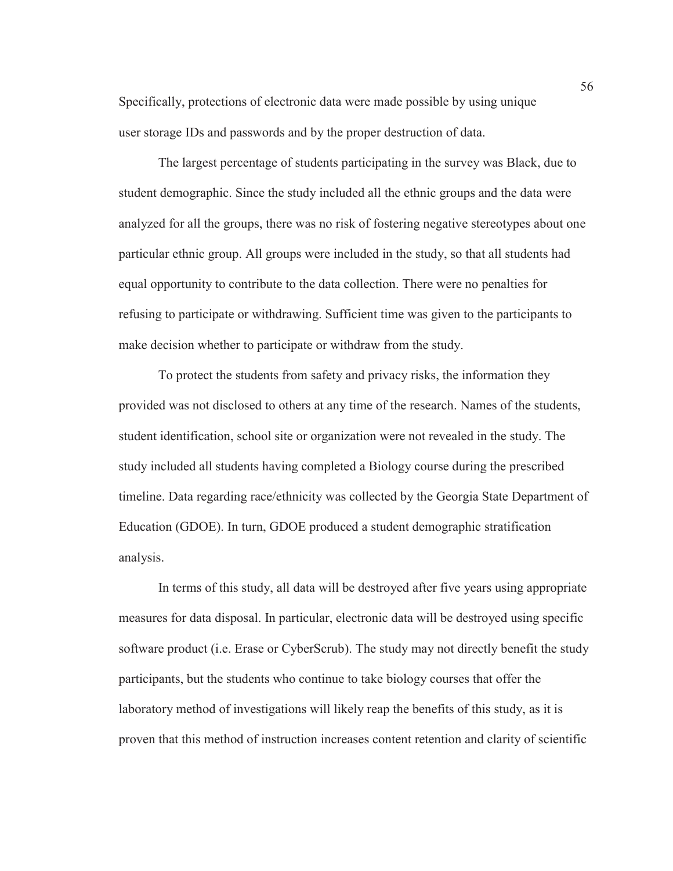Specifically, protections of electronic data were made possible by using unique user storage IDs and passwords and by the proper destruction of data.

The largest percentage of students participating in the survey was Black, due to student demographic. Since the study included all the ethnic groups and the data were analyzed for all the groups, there was no risk of fostering negative stereotypes about one particular ethnic group. All groups were included in the study, so that all students had equal opportunity to contribute to the data collection. There were no penalties for refusing to participate or withdrawing. Sufficient time was given to the participants to make decision whether to participate or withdraw from the study.

To protect the students from safety and privacy risks, the information they provided was not disclosed to others at any time of the research. Names of the students, student identification, school site or organization were not revealed in the study. The study included all students having completed a Biology course during the prescribed timeline. Data regarding race/ethnicity was collected by the Georgia State Department of Education (GDOE). In turn, GDOE produced a student demographic stratification analysis.

In terms of this study, all data will be destroyed after five years using appropriate measures for data disposal. In particular, electronic data will be destroyed using specific software product (i.e. Erase or CyberScrub). The study may not directly benefit the study participants, but the students who continue to take biology courses that offer the laboratory method of investigations will likely reap the benefits of this study, as it is proven that this method of instruction increases content retention and clarity of scientific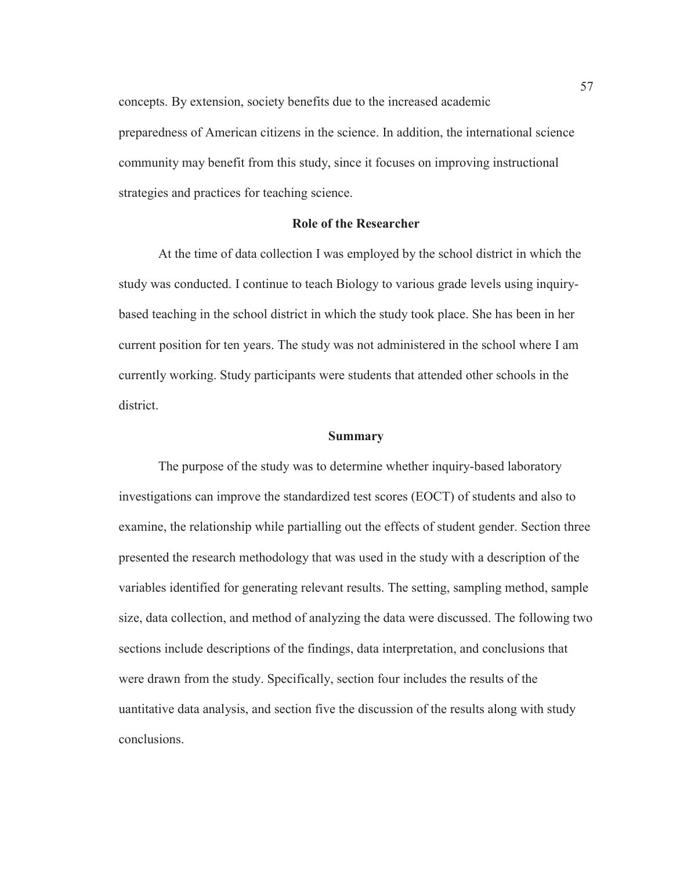concepts. By extension, society benefits due to the increased academic preparedness of American citizens in the science. In addition, the international science community may benefit from this study, since it focuses on improving instructional strategies and practices for teaching science.

#### **Role of the Researcher**

At the time of data collection I was employed by the school district in which the study was conducted. I continue to teach Biology to various grade levels using inquirybased teaching in the school district in which the study took place. She has been in her current position for ten years. The study was not administered in the school where I am currently working. Study participants were students that attended other schools in the district.

#### **Summary**

The purpose of the study was to determine whether inquiry-based laboratory investigations can improve the standardized test scores (EOCT) of students and also to examine, the relationship while partialling out the effects of student gender. Section three presented the research methodology that was used in the study with a description of the variables identified for generating relevant results. The setting, sampling method, sample size, data collection, and method of analyzing the data were discussed. The following two sections include descriptions of the findings, data interpretation, and conclusions that were drawn from the study. Specifically, section four includes the results of the uantitative data analysis, and section five the discussion of the results along with study conclusions.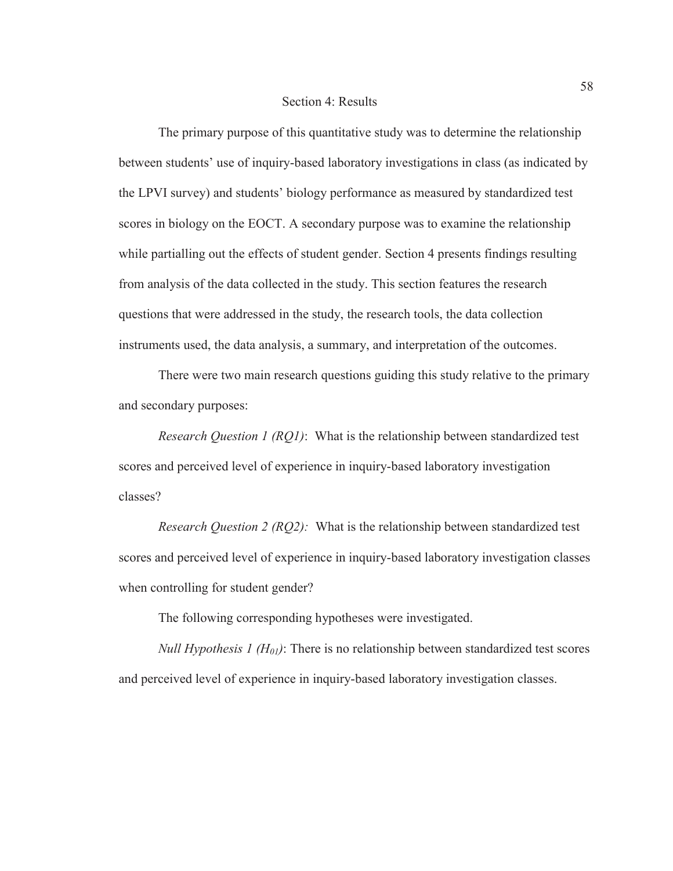#### Section 4: Results

The primary purpose of this quantitative study was to determine the relationship between students' use of inquiry-based laboratory investigations in class (as indicated by the LPVI survey) and students' biology performance as measured by standardized test scores in biology on the EOCT. A secondary purpose was to examine the relationship while partialling out the effects of student gender. Section 4 presents findings resulting from analysis of the data collected in the study. This section features the research questions that were addressed in the study, the research tools, the data collection instruments used, the data analysis, a summary, and interpretation of the outcomes.

There were two main research questions guiding this study relative to the primary and secondary purposes:

*Research Question 1 (RQ1)*: What is the relationship between standardized test scores and perceived level of experience in inquiry-based laboratory investigation classes?

*Research Question 2 (RQ2):* What is the relationship between standardized test scores and perceived level of experience in inquiry-based laboratory investigation classes when controlling for student gender?

The following corresponding hypotheses were investigated.

*Null Hypothesis 1 (H<sub>01</sub>)*: There is no relationship between standardized test scores and perceived level of experience in inquiry-based laboratory investigation classes.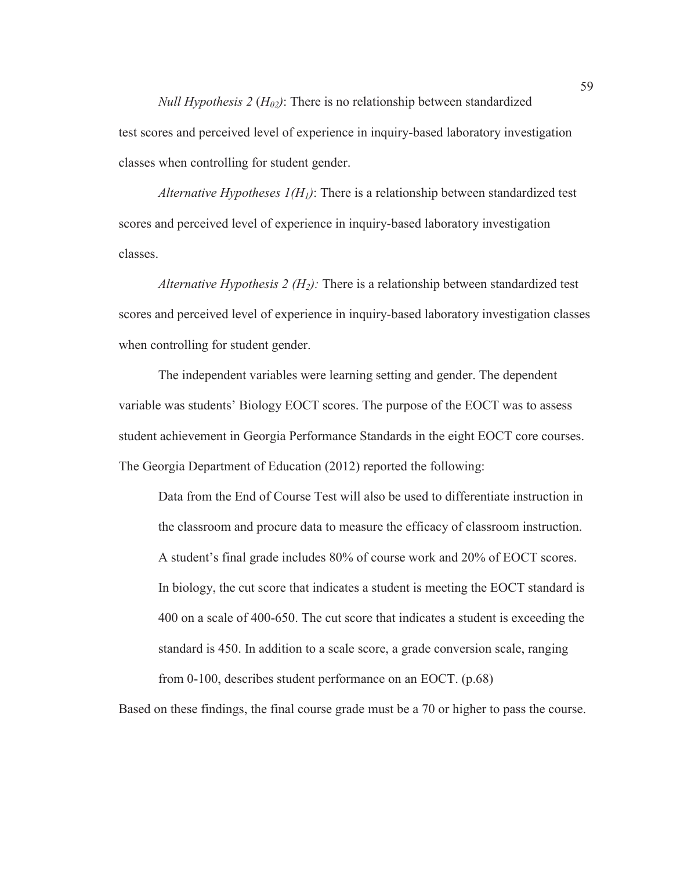*Null Hypothesis* 2 ( $H_{02}$ ): There is no relationship between standardized test scores and perceived level of experience in inquiry-based laboratory investigation classes when controlling for student gender.

*Alternative Hypotheses*  $I(H_l)$ *:* There is a relationship between standardized test scores and perceived level of experience in inquiry-based laboratory investigation classes.

*Alternative Hypothesis 2 (H2):* There is a relationship between standardized test scores and perceived level of experience in inquiry-based laboratory investigation classes when controlling for student gender.

The independent variables were learning setting and gender. The dependent variable was students' Biology EOCT scores. The purpose of the EOCT was to assess student achievement in Georgia Performance Standards in the eight EOCT core courses. The Georgia Department of Education (2012) reported the following:

Data from the End of Course Test will also be used to differentiate instruction in the classroom and procure data to measure the efficacy of classroom instruction. A student's final grade includes 80% of course work and 20% of EOCT scores. In biology, the cut score that indicates a student is meeting the EOCT standard is 400 on a scale of 400-650. The cut score that indicates a student is exceeding the standard is 450. In addition to a scale score, a grade conversion scale, ranging from 0-100, describes student performance on an EOCT. (p.68)

Based on these findings, the final course grade must be a 70 or higher to pass the course.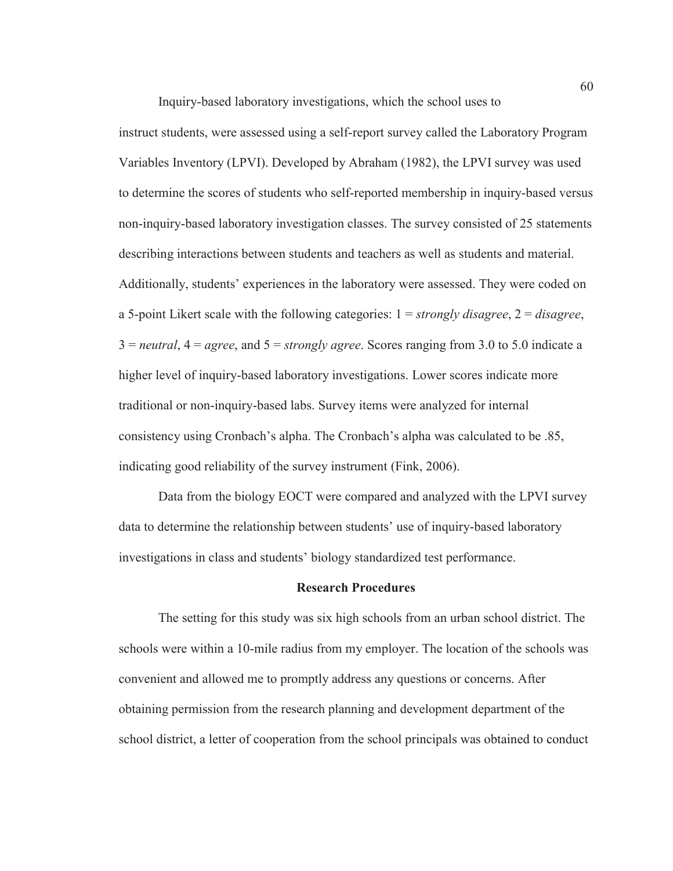Inquiry-based laboratory investigations, which the school uses to

instruct students, were assessed using a self-report survey called the Laboratory Program Variables Inventory (LPVI). Developed by Abraham (1982), the LPVI survey was used to determine the scores of students who self-reported membership in inquiry-based versus non-inquiry-based laboratory investigation classes. The survey consisted of 25 statements describing interactions between students and teachers as well as students and material. Additionally, students' experiences in the laboratory were assessed. They were coded on a 5-point Likert scale with the following categories: 1 = *strongly disagree*, 2 = *disagree*, 3 = *neutral*, 4 = *agree*, and 5 = *strongly agree*. Scores ranging from 3.0 to 5.0 indicate a higher level of inquiry-based laboratory investigations. Lower scores indicate more traditional or non-inquiry-based labs. Survey items were analyzed for internal consistency using Cronbach's alpha. The Cronbach's alpha was calculated to be .85, indicating good reliability of the survey instrument (Fink, 2006).

Data from the biology EOCT were compared and analyzed with the LPVI survey data to determine the relationship between students' use of inquiry-based laboratory investigations in class and students' biology standardized test performance.

## **Research Procedures**

The setting for this study was six high schools from an urban school district. The schools were within a 10-mile radius from my employer. The location of the schools was convenient and allowed me to promptly address any questions or concerns. After obtaining permission from the research planning and development department of the school district, a letter of cooperation from the school principals was obtained to conduct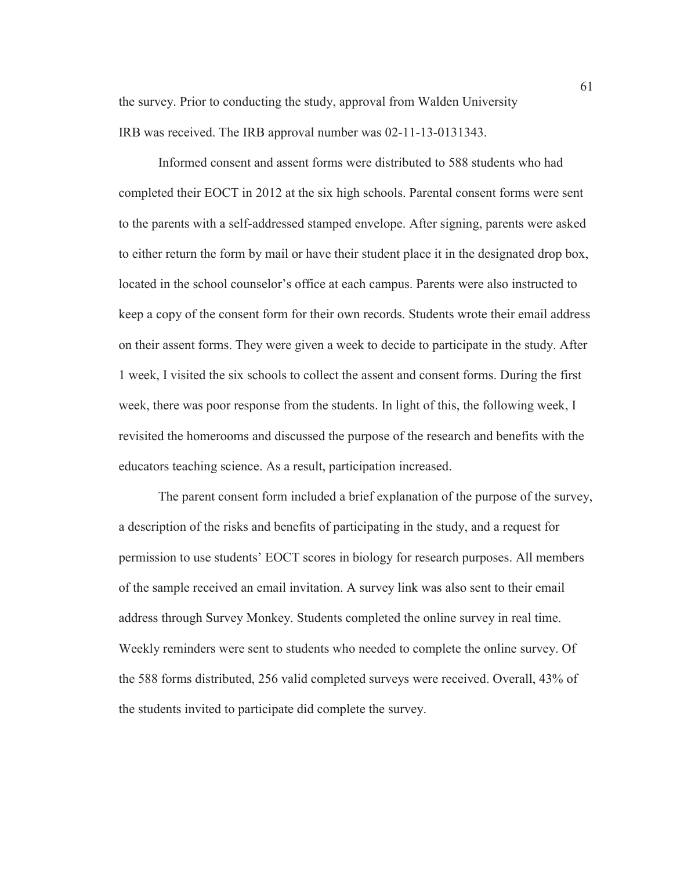the survey. Prior to conducting the study, approval from Walden University IRB was received. The IRB approval number was 02-11-13-0131343.

Informed consent and assent forms were distributed to 588 students who had completed their EOCT in 2012 at the six high schools. Parental consent forms were sent to the parents with a self-addressed stamped envelope. After signing, parents were asked to either return the form by mail or have their student place it in the designated drop box, located in the school counselor's office at each campus. Parents were also instructed to keep a copy of the consent form for their own records. Students wrote their email address on their assent forms. They were given a week to decide to participate in the study. After 1 week, I visited the six schools to collect the assent and consent forms. During the first week, there was poor response from the students. In light of this, the following week, I revisited the homerooms and discussed the purpose of the research and benefits with the educators teaching science. As a result, participation increased.

The parent consent form included a brief explanation of the purpose of the survey, a description of the risks and benefits of participating in the study, and a request for permission to use students' EOCT scores in biology for research purposes. All members of the sample received an email invitation. A survey link was also sent to their email address through Survey Monkey. Students completed the online survey in real time. Weekly reminders were sent to students who needed to complete the online survey. Of the 588 forms distributed, 256 valid completed surveys were received. Overall, 43% of the students invited to participate did complete the survey.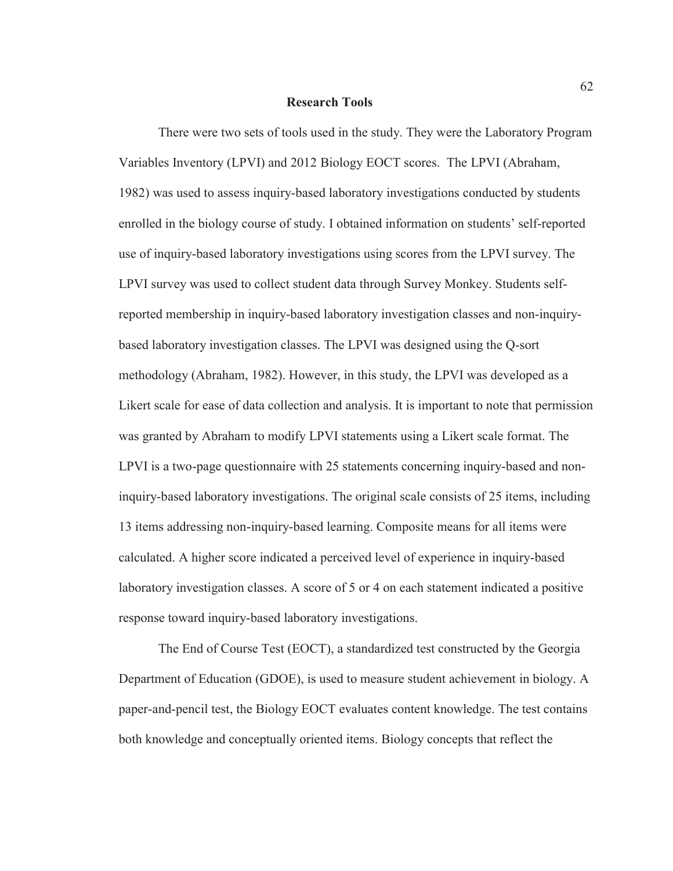#### **Research Tools**

There were two sets of tools used in the study. They were the Laboratory Program Variables Inventory (LPVI) and 2012 Biology EOCT scores. The LPVI (Abraham, 1982) was used to assess inquiry-based laboratory investigations conducted by students enrolled in the biology course of study. I obtained information on students' self-reported use of inquiry-based laboratory investigations using scores from the LPVI survey. The LPVI survey was used to collect student data through Survey Monkey. Students selfreported membership in inquiry-based laboratory investigation classes and non-inquirybased laboratory investigation classes. The LPVI was designed using the Q-sort methodology (Abraham, 1982). However, in this study, the LPVI was developed as a Likert scale for ease of data collection and analysis. It is important to note that permission was granted by Abraham to modify LPVI statements using a Likert scale format. The LPVI is a two-page questionnaire with 25 statements concerning inquiry-based and noninquiry-based laboratory investigations. The original scale consists of 25 items, including 13 items addressing non-inquiry-based learning. Composite means for all items were calculated. A higher score indicated a perceived level of experience in inquiry-based laboratory investigation classes. A score of 5 or 4 on each statement indicated a positive response toward inquiry-based laboratory investigations.

The End of Course Test (EOCT), a standardized test constructed by the Georgia Department of Education (GDOE), is used to measure student achievement in biology. A paper-and-pencil test, the Biology EOCT evaluates content knowledge. The test contains both knowledge and conceptually oriented items. Biology concepts that reflect the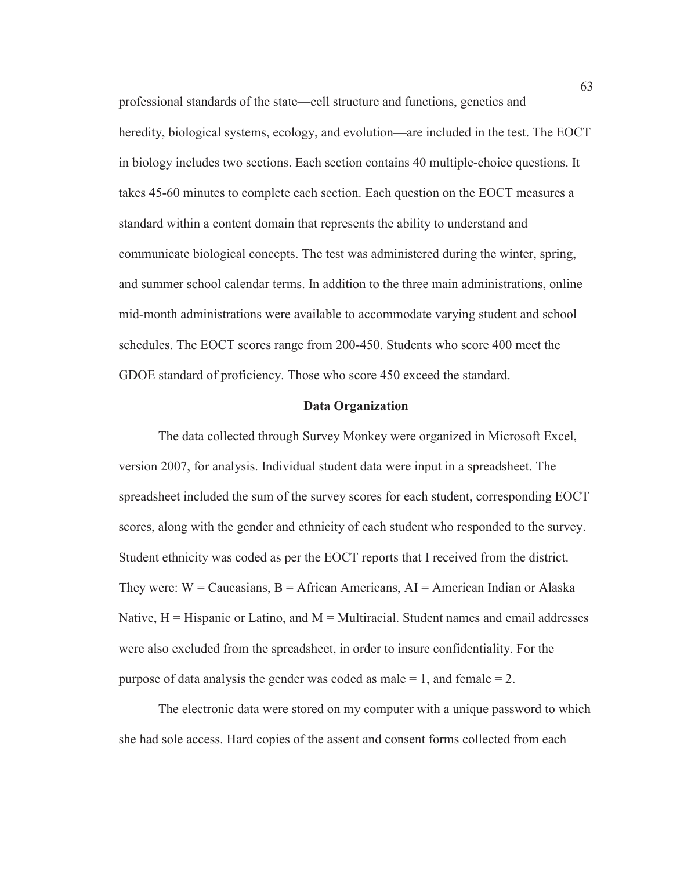professional standards of the state—cell structure and functions, genetics and heredity, biological systems, ecology, and evolution—are included in the test. The EOCT in biology includes two sections. Each section contains 40 multiple-choice questions. It takes 45-60 minutes to complete each section. Each question on the EOCT measures a standard within a content domain that represents the ability to understand and communicate biological concepts. The test was administered during the winter, spring, and summer school calendar terms. In addition to the three main administrations, online mid-month administrations were available to accommodate varying student and school schedules. The EOCT scores range from 200-450. Students who score 400 meet the GDOE standard of proficiency. Those who score 450 exceed the standard.

#### **Data Organization**

The data collected through Survey Monkey were organized in Microsoft Excel, version 2007, for analysis. Individual student data were input in a spreadsheet. The spreadsheet included the sum of the survey scores for each student, corresponding EOCT scores, along with the gender and ethnicity of each student who responded to the survey. Student ethnicity was coded as per the EOCT reports that I received from the district. They were:  $W =$  Caucasians,  $B =$  African Americans,  $AI =$  American Indian or Alaska Native,  $H = H$  ispanic or Latino, and  $M = M$ ultiracial. Student names and email addresses were also excluded from the spreadsheet, in order to insure confidentiality. For the purpose of data analysis the gender was coded as male  $= 1$ , and female  $= 2$ .

The electronic data were stored on my computer with a unique password to which she had sole access. Hard copies of the assent and consent forms collected from each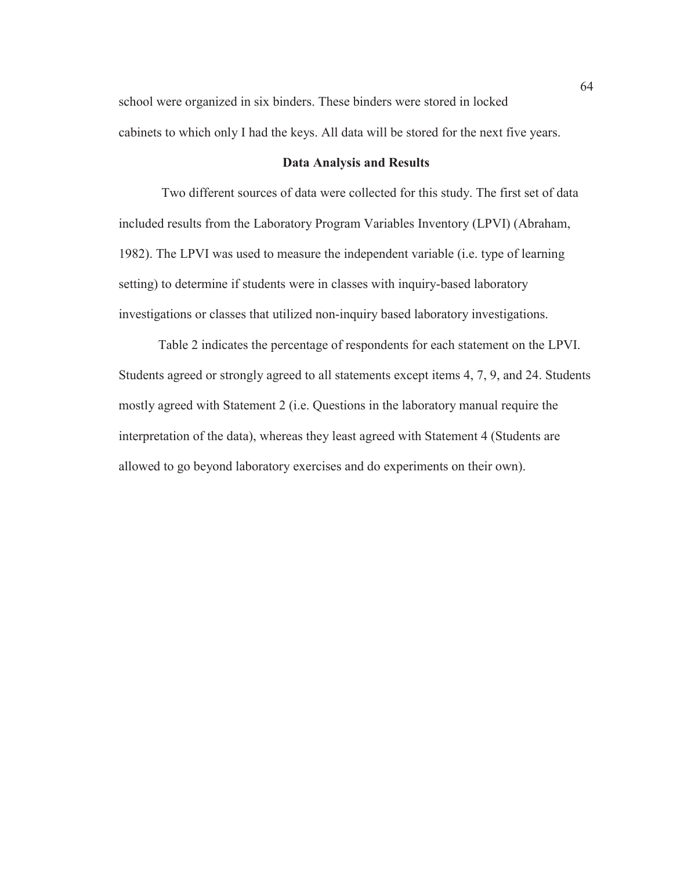school were organized in six binders. These binders were stored in locked cabinets to which only I had the keys. All data will be stored for the next five years.

# **Data Analysis and Results**

 Two different sources of data were collected for this study. The first set of data included results from the Laboratory Program Variables Inventory (LPVI) (Abraham, 1982). The LPVI was used to measure the independent variable (i.e. type of learning setting) to determine if students were in classes with inquiry-based laboratory investigations or classes that utilized non-inquiry based laboratory investigations.

Table 2 indicates the percentage of respondents for each statement on the LPVI. Students agreed or strongly agreed to all statements except items 4, 7, 9, and 24. Students mostly agreed with Statement 2 (i.e. Questions in the laboratory manual require the interpretation of the data), whereas they least agreed with Statement 4 (Students are allowed to go beyond laboratory exercises and do experiments on their own).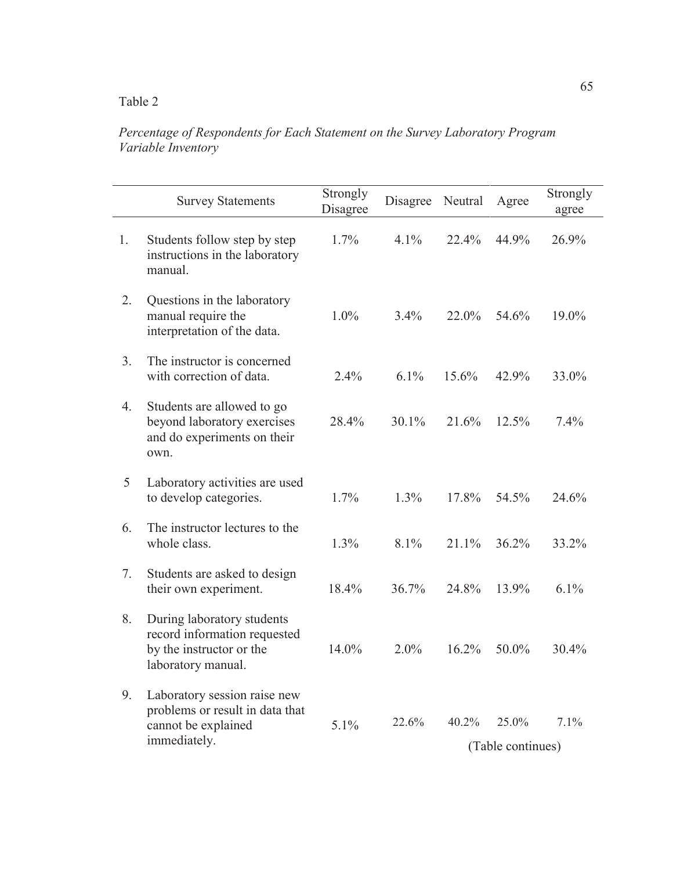# *Percentage of Respondents for Each Statement on the Survey Laboratory Program Variable Inventory*

|                | <b>Survey Statements</b>                                                                                     | Strongly<br>Disagree | Disagree | Neutral | Agree                      | Strongly<br>agree |
|----------------|--------------------------------------------------------------------------------------------------------------|----------------------|----------|---------|----------------------------|-------------------|
| 1.             | Students follow step by step<br>instructions in the laboratory<br>manual.                                    | 1.7%                 | 4.1%     | 22.4%   | 44.9%                      | 26.9%             |
| 2.             | Questions in the laboratory<br>manual require the<br>interpretation of the data.                             | 1.0%                 | 3.4%     | 22.0%   | 54.6%                      | 19.0%             |
| 3 <sub>1</sub> | The instructor is concerned<br>with correction of data.                                                      | 2.4%                 | $6.1\%$  | 15.6%   | 42.9%                      | 33.0%             |
| 4.             | Students are allowed to go<br>beyond laboratory exercises<br>and do experiments on their<br>own.             | 28.4%                | 30.1%    | 21.6%   | 12.5%                      | 7.4%              |
| 5              | Laboratory activities are used<br>to develop categories.                                                     | 1.7%                 | 1.3%     | 17.8%   | 54.5%                      | 24.6%             |
| 6.             | The instructor lectures to the<br>whole class.                                                               | 1.3%                 | 8.1%     | 21.1%   | 36.2%                      | 33.2%             |
| 7.             | Students are asked to design<br>their own experiment.                                                        | 18.4%                | 36.7%    | 24.8%   | 13.9%                      | 6.1%              |
| 8.             | During laboratory students<br>record information requested<br>by the instructor or the<br>laboratory manual. | 14.0%                | 2.0%     | 16.2%   | 50.0%                      | 30.4%             |
| 9.             | Laboratory session raise new<br>problems or result in data that<br>cannot be explained<br>immediately.       | 5.1%                 | 22.6%    | 40.2%   | 25.0%<br>(Table continues) | 7.1%              |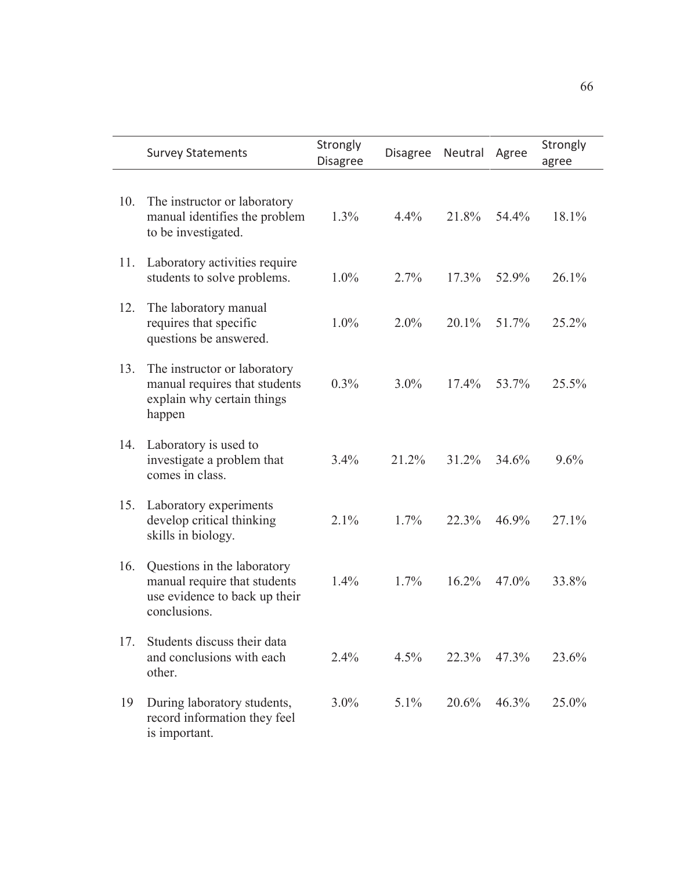|     | <b>Survey Statements</b>                                                                                     | Strongly<br><b>Disagree</b> | <b>Disagree</b> | Neutral | Agree    | Strongly<br>agree |
|-----|--------------------------------------------------------------------------------------------------------------|-----------------------------|-----------------|---------|----------|-------------------|
| 10. | The instructor or laboratory<br>manual identifies the problem<br>to be investigated.                         | 1.3%                        | 4.4%            | 21.8%   | 54.4%    | 18.1%             |
| 11. | Laboratory activities require<br>students to solve problems.                                                 | $1.0\%$                     | 2.7%            | 17.3%   | 52.9%    | 26.1%             |
| 12. | The laboratory manual<br>requires that specific<br>questions be answered.                                    | $1.0\%$                     | 2.0%            | 20.1%   | 51.7%    | 25.2%             |
| 13. | The instructor or laboratory<br>manual requires that students<br>explain why certain things<br>happen        | 0.3%                        | $3.0\%$         | 17.4%   | 53.7%    | 25.5%             |
| 14. | Laboratory is used to<br>investigate a problem that<br>comes in class.                                       | 3.4%                        | 21.2%           | 31.2%   | 34.6%    | 9.6%              |
| 15. | Laboratory experiments<br>develop critical thinking<br>skills in biology.                                    | 2.1%                        | 1.7%            | 22.3%   | 46.9%    | 27.1%             |
| 16. | Questions in the laboratory<br>manual require that students<br>use evidence to back up their<br>conclusions. | 1.4%                        | 1.7%            | 16.2%   | 47.0%    | 33.8%             |
| 17. | Students discuss their data<br>and conclusions with each<br>other.                                           | 2.4%                        | 4.5%            | 22.3%   | $47.3\%$ | 23.6%             |
| 19  | During laboratory students,<br>record information they feel<br>is important.                                 | $3.0\%$                     | $5.1\%$         | 20.6%   | 46.3%    | 25.0%             |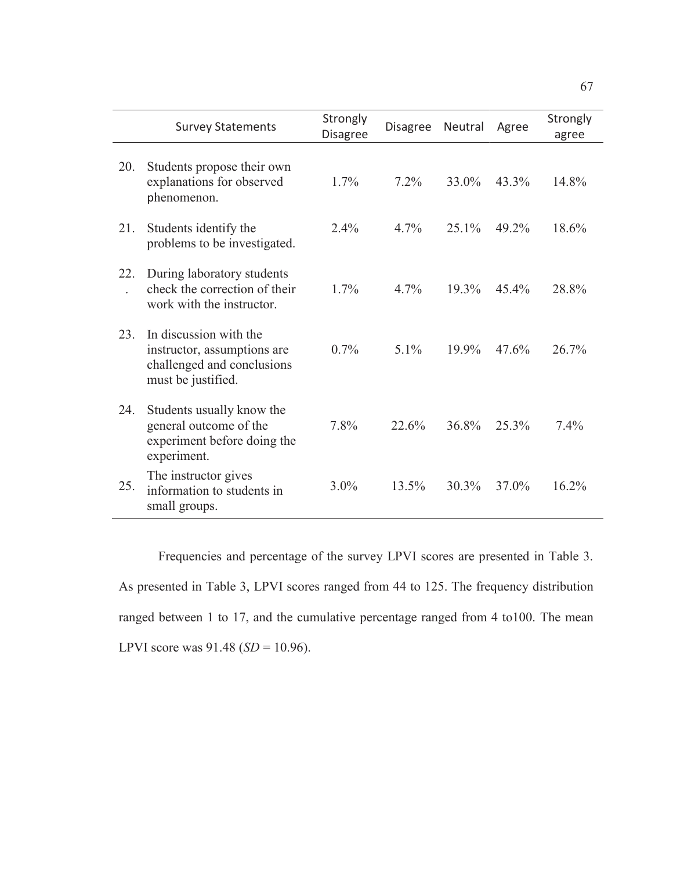|     | <b>Survey Statements</b>                                                                                  | Strongly<br><b>Disagree</b> | <b>Disagree</b> | Neutral  | Agree    | Strongly<br>agree |
|-----|-----------------------------------------------------------------------------------------------------------|-----------------------------|-----------------|----------|----------|-------------------|
| 20. | Students propose their own<br>explanations for observed<br>phenomenon.                                    | $1.7\%$                     | $7.2\%$         | 33.0%    | 43.3%    | 14.8%             |
| 21. | Students identify the<br>problems to be investigated.                                                     | 2.4%                        | 4.7%            | 25.1%    | 49.2%    | 18.6%             |
| 22. | During laboratory students<br>check the correction of their<br>work with the instructor.                  | $1.7\%$                     | $4.7\%$         | 19.3%    | $45.4\%$ | 28.8%             |
| 23. | In discussion with the<br>instructor, assumptions are<br>challenged and conclusions<br>must be justified. | 0.7%                        | $5.1\%$         | $19.9\%$ | 47.6%    | $26.7\%$          |
| 24. | Students usually know the<br>general outcome of the<br>experiment before doing the<br>experiment.         | 7.8%                        | 22.6%           | 36.8%    | 25.3%    | 7.4%              |
| 25. | The instructor gives<br>information to students in<br>small groups.                                       | $3.0\%$                     | 13.5%           | $30.3\%$ | 37.0%    | 16.2%             |

Frequencies and percentage of the survey LPVI scores are presented in Table 3. As presented in Table 3, LPVI scores ranged from 44 to 125. The frequency distribution ranged between 1 to 17, and the cumulative percentage ranged from 4 to100. The mean LPVI score was 91.48 (*SD* = 10.96).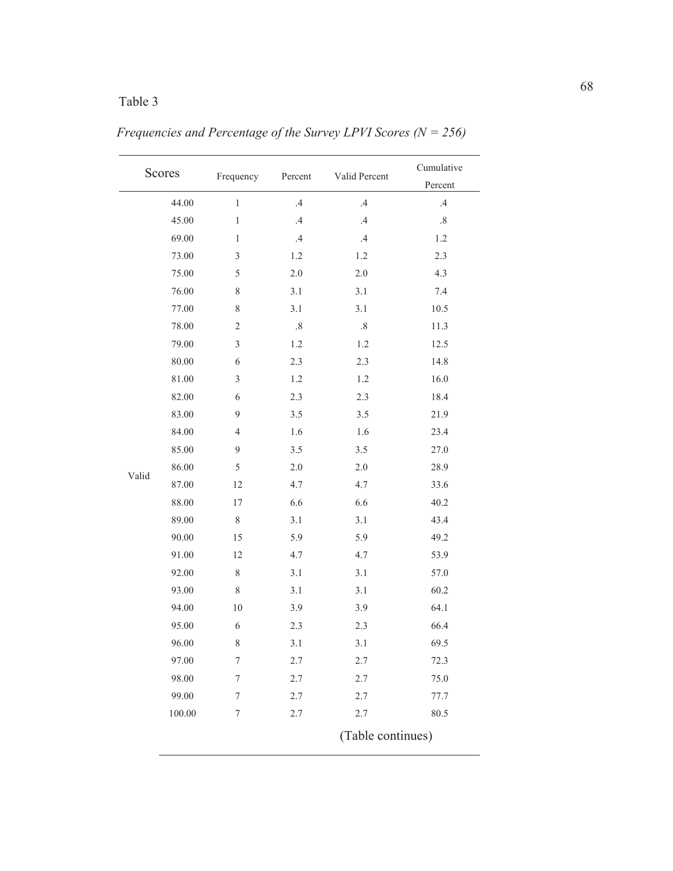|       | Scores    | Frequency        | Percent         | Valid Percent                                                                | Cumulative<br>Percent |
|-------|-----------|------------------|-----------------|------------------------------------------------------------------------------|-----------------------|
|       | 44.00     | $\,1$            | $.4\,$          | $.4\,$                                                                       | $.4\,$                |
|       | 45.00     | $\,1$            | $.4\,$          | $.4\,$                                                                       | $.8\,$                |
|       | 69.00     | $\,1$            | $.4\phantom{0}$ | $\mathcal{A}% _{0}=\mathcal{A}_{\mathrm{CL}}\times\mathcal{A}_{\mathrm{CL}}$ | $1.2\,$               |
|       | 73.00     | $\mathfrak{Z}$   | 1.2             | 1.2                                                                          | 2.3                   |
|       | 75.00     | 5                | $2.0\,$         | $2.0\,$                                                                      | 4.3                   |
|       | 76.00     | $8\,$            | 3.1             | 3.1                                                                          | 7.4                   |
|       | 77.00     | $8\,$            | 3.1             | 3.1                                                                          | 10.5                  |
|       | 78.00     | $\boldsymbol{2}$ | $.8\,$          | $.8\,$                                                                       | 11.3                  |
|       | 79.00     | $\mathfrak{Z}$   | $1.2\,$         | $1.2\,$                                                                      | 12.5                  |
|       | 80.00     | 6                | 2.3             | 2.3                                                                          | 14.8                  |
|       | $81.00\,$ | $\mathfrak{Z}$   | 1.2             | 1.2                                                                          | 16.0                  |
|       | 82.00     | 6                | 2.3             | 2.3                                                                          | 18.4                  |
|       | 83.00     | 9                | 3.5             | $3.5$                                                                        | 21.9                  |
|       | 84.00     | $\overline{4}$   | 1.6             | 1.6                                                                          | 23.4                  |
|       | 85.00     | 9                | $3.5$           | 3.5                                                                          | 27.0                  |
|       | 86.00     | 5                | $2.0\,$         | $2.0\,$                                                                      | 28.9                  |
| Valid | 87.00     | 12               | 4.7             | 4.7                                                                          | 33.6                  |
|       | 88.00     | 17               | 6.6             | 6.6                                                                          | 40.2                  |
|       | 89.00     | $8\,$            | 3.1             | 3.1                                                                          | 43.4                  |
|       | 90.00     | 15               | 5.9             | 5.9                                                                          | 49.2                  |
|       | 91.00     | 12               | 4.7             | 4.7                                                                          | 53.9                  |
|       | 92.00     | $8\,$            | 3.1             | 3.1                                                                          | 57.0                  |
|       | 93.00     | $8\,$            | 3.1             | 3.1                                                                          | 60.2                  |
|       | 94.00     | $10\,$           | 3.9             | 3.9                                                                          | 64.1                  |
|       | 95.00     | $\sqrt{6}$       | 2.3             | 2.3                                                                          | 66.4                  |
|       | 96.00     | 8                | 3.1             | 3.1                                                                          | 69.5                  |
|       | 97.00     | $\boldsymbol{7}$ | 2.7             | 2.7                                                                          | 72.3                  |
|       | 98.00     | $\boldsymbol{7}$ | 2.7             | 2.7                                                                          | 75.0                  |
|       | 99.00     | 7                | 2.7             | 2.7                                                                          | 77.7                  |
|       | 100.00    | $\boldsymbol{7}$ | 2.7             | 2.7                                                                          | 80.5                  |
|       |           |                  |                 | (Table continues)                                                            |                       |

 *Frequencies and Percentage of the Survey LPVI Scores (N = 256)*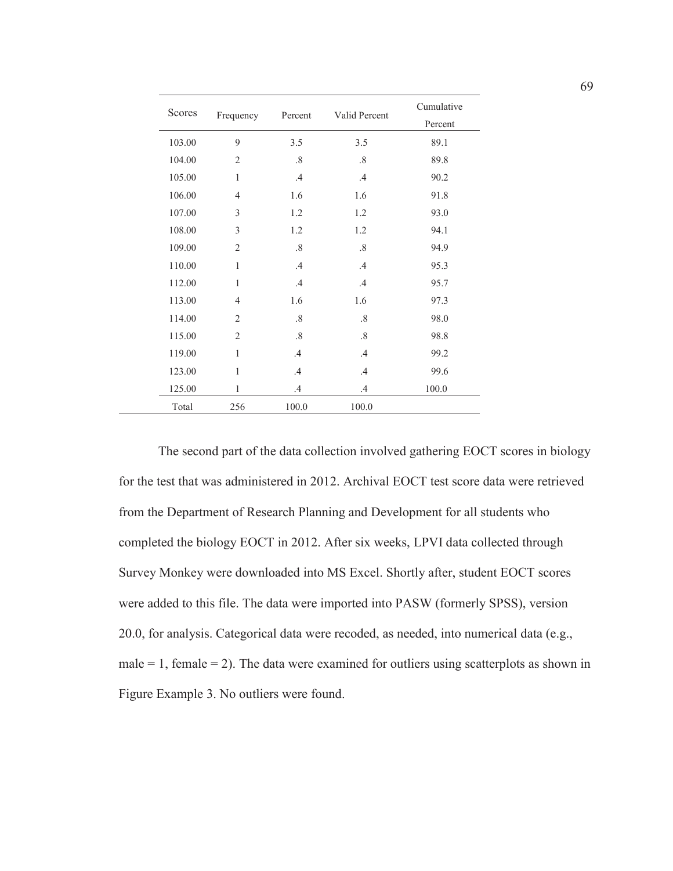| Scores | Frequency      | Percent | Valid Percent | Cumulative<br>Percent |
|--------|----------------|---------|---------------|-----------------------|
| 103.00 | 9              | 3.5     | 3.5           | 89.1                  |
| 104.00 | $\overline{2}$ | $.8\,$  | $.8\,$        | 89.8                  |
| 105.00 | 1              | .4      | .4            | 90.2                  |
| 106.00 | $\overline{4}$ | 1.6     | 1.6           | 91.8                  |
| 107.00 | 3              | 1.2     | 1.2           | 93.0                  |
| 108.00 | 3              | 1.2     | 1.2           | 94.1                  |
| 109.00 | $\overline{2}$ | .8      | $.8\,$        | 94.9                  |
| 110.00 | 1              | .4      | .4            | 95.3                  |
| 112.00 | 1              | .4      | .4            | 95.7                  |
| 113.00 | $\overline{4}$ | 1.6     | 1.6           | 97.3                  |
| 114.00 | $\overline{2}$ | .8      | .8            | 98.0                  |
| 115.00 | $\overline{2}$ | .8      | .8            | 98.8                  |
| 119.00 | 1              | .4      | $\mathcal{A}$ | 99.2                  |
| 123.00 | 1              | .4      | $\cdot$ 4     | 99.6                  |
| 125.00 | 1              | $\cdot$ | $\cdot$       | 100.0                 |
| Total  | 256            | 100.0   | 100.0         |                       |

The second part of the data collection involved gathering EOCT scores in biology for the test that was administered in 2012. Archival EOCT test score data were retrieved from the Department of Research Planning and Development for all students who completed the biology EOCT in 2012. After six weeks, LPVI data collected through Survey Monkey were downloaded into MS Excel. Shortly after, student EOCT scores were added to this file. The data were imported into PASW (formerly SPSS), version 20.0, for analysis. Categorical data were recoded, as needed, into numerical data (e.g.,  $male = 1$ , female  $= 2$ ). The data were examined for outliers using scatterplots as shown in Figure Example 3. No outliers were found.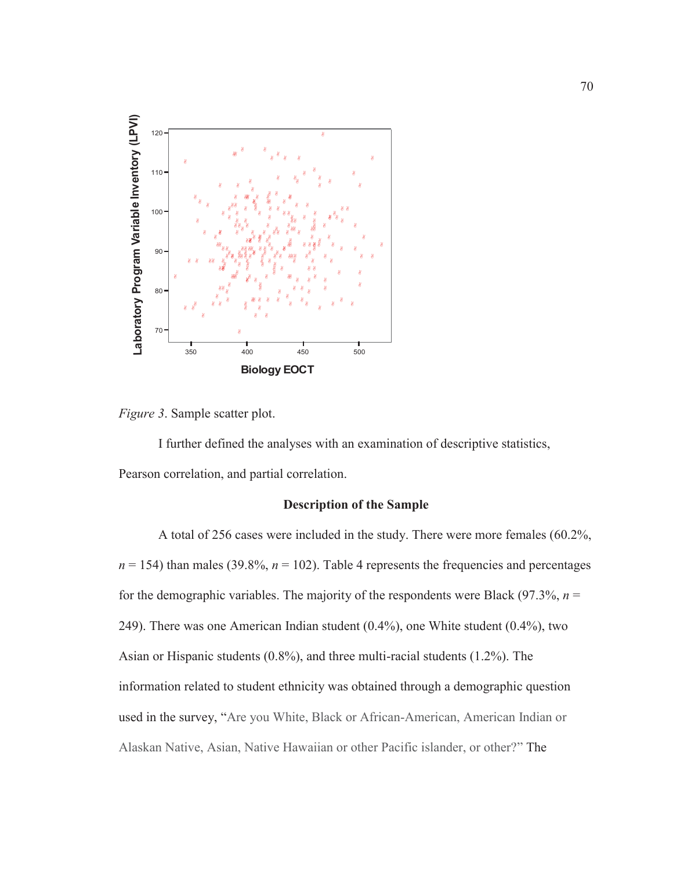

*Figure 3*. Sample scatter plot.

I further defined the analyses with an examination of descriptive statistics, Pearson correlation, and partial correlation.

# **Description of the Sample**

A total of 256 cases were included in the study. There were more females (60.2%,  $n = 154$ ) than males (39.8%,  $n = 102$ ). Table 4 represents the frequencies and percentages for the demographic variables. The majority of the respondents were Black (97.3%,  $n =$ 249). There was one American Indian student (0.4%), one White student (0.4%), two Asian or Hispanic students (0.8%), and three multi-racial students (1.2%). The information related to student ethnicity was obtained through a demographic question used in the survey, "Are you White, Black or African-American, American Indian or Alaskan Native, Asian, Native Hawaiian or other Pacific islander, or other?" The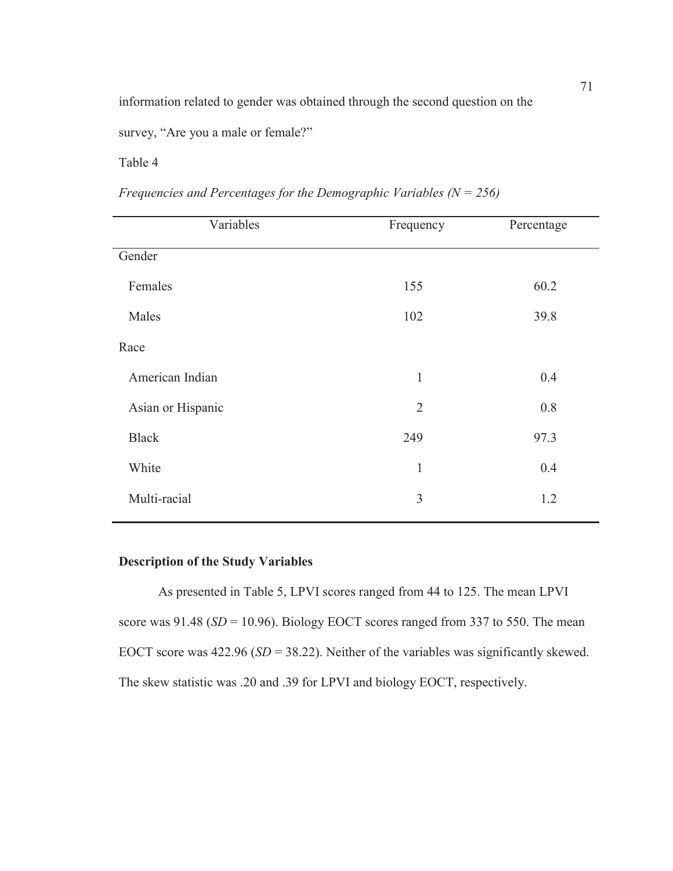information related to gender was obtained through the second question on the

survey, "Are you a male or female?"

Table 4

| Variables         | Frequency      | Percentage |
|-------------------|----------------|------------|
| Gender            |                |            |
| Females           | 155            | 60.2       |
| Males             | 102            | 39.8       |
| Race              |                |            |
| American Indian   | $\mathbf{1}$   | 0.4        |
| Asian or Hispanic | $\overline{2}$ | 0.8        |
| <b>Black</b>      | 249            | 97.3       |
| White             | $\mathbf{1}$   | 0.4        |
| Multi-racial      | 3              | 1.2        |
|                   |                |            |

*Frequencies and Percentages for the Demographic Variables (N = 256)* 

# **Description of the Study Variables**

 As presented in Table 5, LPVI scores ranged from 44 to 125. The mean LPVI score was  $91.48$  ( $SD = 10.96$ ). Biology EOCT scores ranged from 337 to 550. The mean EOCT score was 422.96 (*SD* = 38.22). Neither of the variables was significantly skewed. The skew statistic was .20 and .39 for LPVI and biology EOCT, respectively.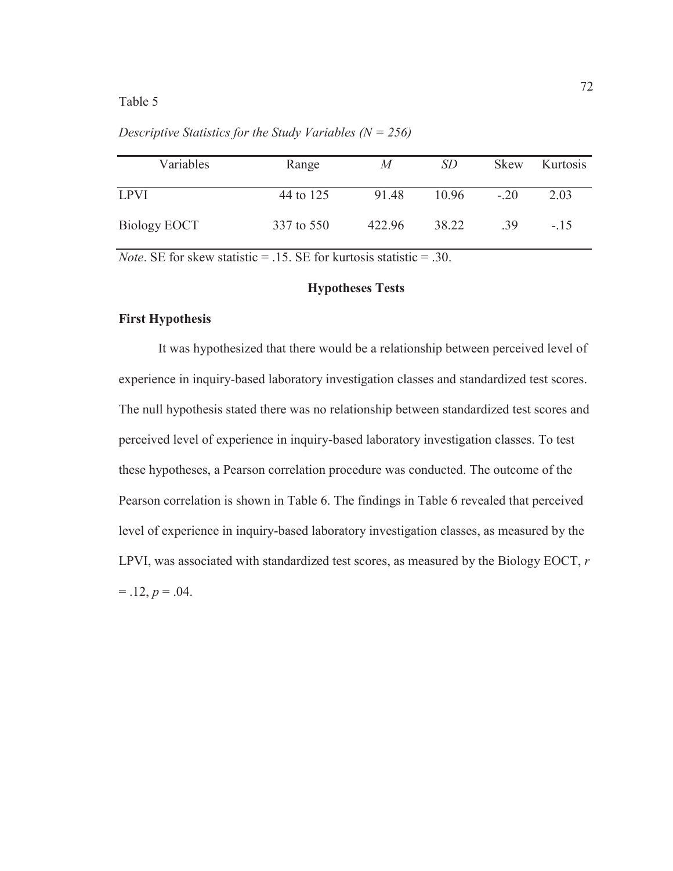| Variables    | Range      | M      | <i>SD</i> | <b>Skew</b> | Kurtosis |
|--------------|------------|--------|-----------|-------------|----------|
| <b>LPVI</b>  | 44 to 125  | 91.48  | 10.96     | $-.20$      | 2.03     |
| Biology EOCT | 337 to 550 | 422.96 | 38.22     | -39         | $-15$    |

*Descriptive Statistics for the Study Variables (N = 256)* 

*Note*. SE for skew statistic  $= .15$ . SE for kurtosis statistic  $= .30$ .

## **Hypotheses Tests**

#### **First Hypothesis**

It was hypothesized that there would be a relationship between perceived level of experience in inquiry-based laboratory investigation classes and standardized test scores. The null hypothesis stated there was no relationship between standardized test scores and perceived level of experience in inquiry-based laboratory investigation classes. To test these hypotheses, a Pearson correlation procedure was conducted. The outcome of the Pearson correlation is shown in Table 6. The findings in Table 6 revealed that perceived level of experience in inquiry-based laboratory investigation classes, as measured by the LPVI, was associated with standardized test scores, as measured by the Biology EOCT, *r*  $= .12, p = .04.$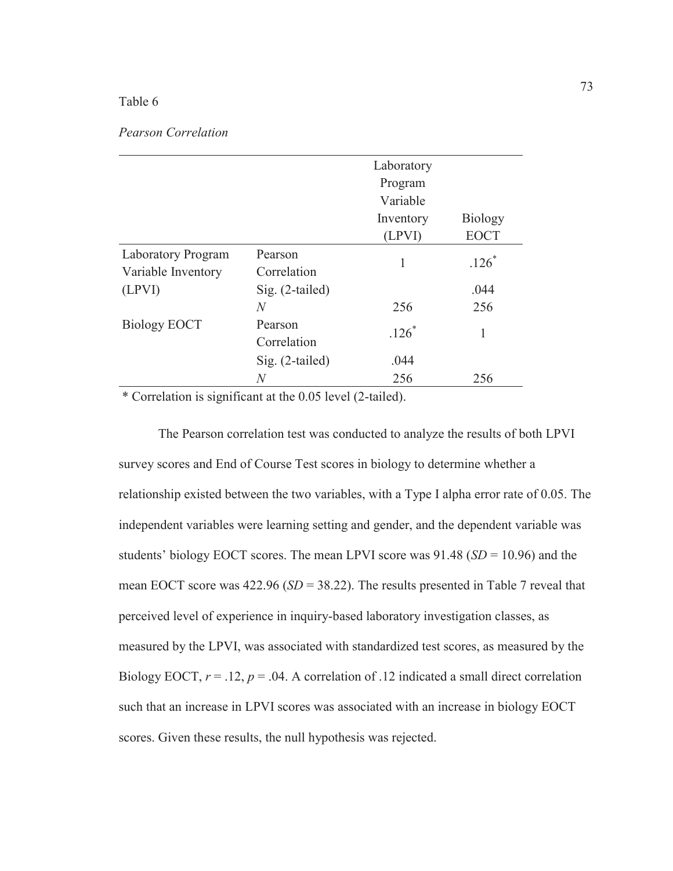## *Pearson Correlation*

|                           |                 | Laboratory |                |
|---------------------------|-----------------|------------|----------------|
|                           |                 | Program    |                |
|                           |                 | Variable   |                |
|                           |                 | Inventory  | <b>Biology</b> |
|                           |                 | (LPVI)     | <b>EOCT</b>    |
| <b>Laboratory Program</b> | Pearson         | 1          | $.126*$        |
| Variable Inventory        | Correlation     |            |                |
| (LPVI)                    | Sig. (2-tailed) |            | .044           |
|                           | $\overline{N}$  | 256        | 256            |
| <b>Biology EOCT</b>       | Pearson         | $.126*$    | 1              |
|                           | Correlation     |            |                |
|                           | Sig. (2-tailed) | .044       |                |
|                           | N               | 256        | 256            |

\* Correlation is significant at the 0.05 level (2-tailed).

The Pearson correlation test was conducted to analyze the results of both LPVI survey scores and End of Course Test scores in biology to determine whether a relationship existed between the two variables, with a Type I alpha error rate of 0.05. The independent variables were learning setting and gender, and the dependent variable was students' biology EOCT scores. The mean LPVI score was  $91.48$  (*SD* = 10.96) and the mean EOCT score was 422.96 (*SD* = 38.22). The results presented in Table 7 reveal that perceived level of experience in inquiry-based laboratory investigation classes, as measured by the LPVI, was associated with standardized test scores, as measured by the Biology EOCT,  $r = .12$ ,  $p = .04$ . A correlation of .12 indicated a small direct correlation such that an increase in LPVI scores was associated with an increase in biology EOCT scores. Given these results, the null hypothesis was rejected.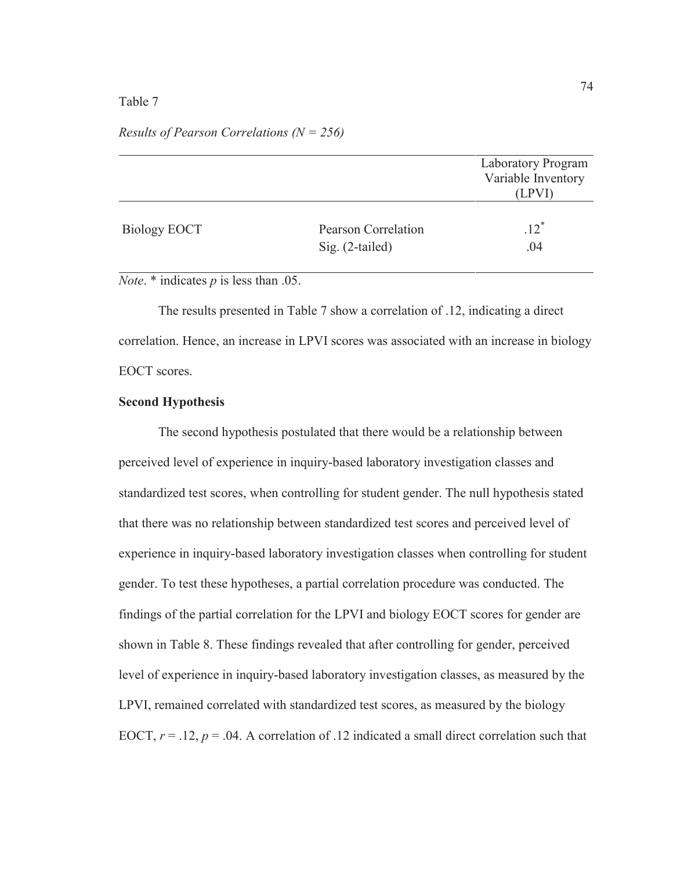|                     |                     | <b>Laboratory Program</b> |
|---------------------|---------------------|---------------------------|
|                     |                     | Variable Inventory        |
|                     |                     | (LPVI)                    |
|                     |                     |                           |
| <b>Biology EOCT</b> | Pearson Correlation | $.12^{*}$                 |
|                     | $Sig. (2-tailed)$   | .04                       |
|                     |                     |                           |

### *Results of Pearson Correlations (N = 256)*

*Note*. \* indicates *p* is less than .05.

The results presented in Table 7 show a correlation of .12, indicating a direct correlation. Hence, an increase in LPVI scores was associated with an increase in biology EOCT scores.

## **Second Hypothesis**

The second hypothesis postulated that there would be a relationship between perceived level of experience in inquiry-based laboratory investigation classes and standardized test scores, when controlling for student gender. The null hypothesis stated that there was no relationship between standardized test scores and perceived level of experience in inquiry-based laboratory investigation classes when controlling for student gender. To test these hypotheses, a partial correlation procedure was conducted. The findings of the partial correlation for the LPVI and biology EOCT scores for gender are shown in Table 8. These findings revealed that after controlling for gender, perceived level of experience in inquiry-based laboratory investigation classes, as measured by the LPVI, remained correlated with standardized test scores, as measured by the biology EOCT,  $r = .12$ ,  $p = .04$ . A correlation of .12 indicated a small direct correlation such that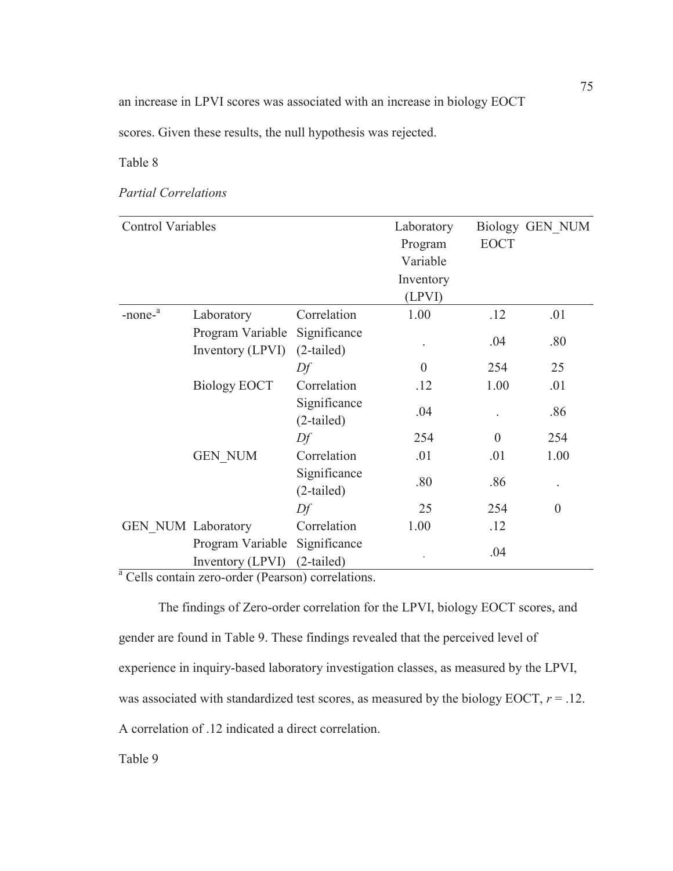an increase in LPVI scores was associated with an increase in biology EOCT

scores. Given these results, the null hypothesis was rejected.

# Table 8

# *Partial Correlations*

| <b>Control Variables</b>  |                                                                                   |                              | Laboratory |             | Biology GEN NUM |
|---------------------------|-----------------------------------------------------------------------------------|------------------------------|------------|-------------|-----------------|
|                           |                                                                                   |                              | Program    | <b>EOCT</b> |                 |
|                           |                                                                                   |                              | Variable   |             |                 |
|                           |                                                                                   |                              | Inventory  |             |                 |
|                           |                                                                                   |                              | (LPVI)     |             |                 |
| $-nonea$                  | Laboratory                                                                        | Correlation                  | 1.00       | .12         | .01             |
|                           | Program Variable<br>Inventory (LPVI)                                              | Significance<br>$(2-tailed)$ |            | .04         | .80             |
|                           |                                                                                   | Df                           | $\theta$   | 254         | 25              |
|                           | <b>Biology EOCT</b>                                                               | Correlation                  | .12        | 1.00        | .01             |
|                           |                                                                                   | Significance<br>$(2-tailed)$ | .04        |             | .86             |
|                           |                                                                                   | Df                           | 254        | $\theta$    | 254             |
|                           | <b>GEN NUM</b>                                                                    | Correlation                  | .01        | .01         | 1.00            |
|                           |                                                                                   | Significance<br>$(2-tailed)$ | .80        | .86         |                 |
|                           |                                                                                   | Df                           | 25         | 254         | $\theta$        |
| <b>GEN NUM Laboratory</b> |                                                                                   | Correlation                  | 1.00       | .12         |                 |
|                           | Program Variable                                                                  | Significance                 |            | .04         |                 |
|                           | Inventory (LPVI)<br><sup>a</sup> Colla contain zoro, order (Boorgan) correlations | $(2-tailed)$                 |            |             |                 |

Cells contain zero-order (Pearson) correlations.

The findings of Zero-order correlation for the LPVI, biology EOCT scores, and gender are found in Table 9. These findings revealed that the perceived level of experience in inquiry-based laboratory investigation classes, as measured by the LPVI, was associated with standardized test scores, as measured by the biology EOCT,  $r = .12$ . A correlation of .12 indicated a direct correlation.

Table 9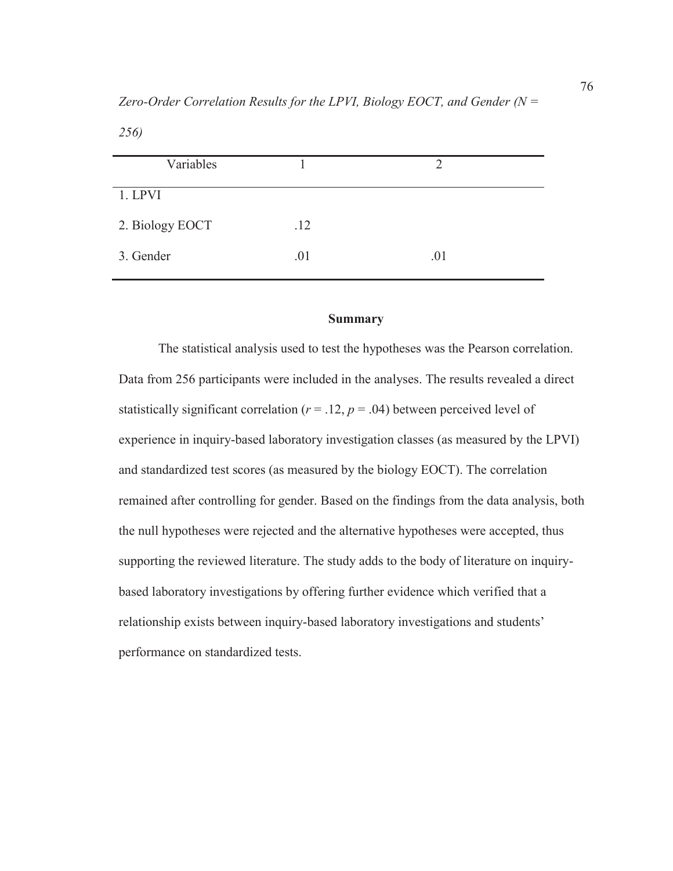*256)* 

| .12 |     |
|-----|-----|
| .01 | .01 |
|     |     |

## **Summary**

The statistical analysis used to test the hypotheses was the Pearson correlation. Data from 256 participants were included in the analyses. The results revealed a direct statistically significant correlation ( $r = .12$ ,  $p = .04$ ) between perceived level of experience in inquiry-based laboratory investigation classes (as measured by the LPVI) and standardized test scores (as measured by the biology EOCT). The correlation remained after controlling for gender. Based on the findings from the data analysis, both the null hypotheses were rejected and the alternative hypotheses were accepted, thus supporting the reviewed literature. The study adds to the body of literature on inquirybased laboratory investigations by offering further evidence which verified that a relationship exists between inquiry-based laboratory investigations and students' performance on standardized tests.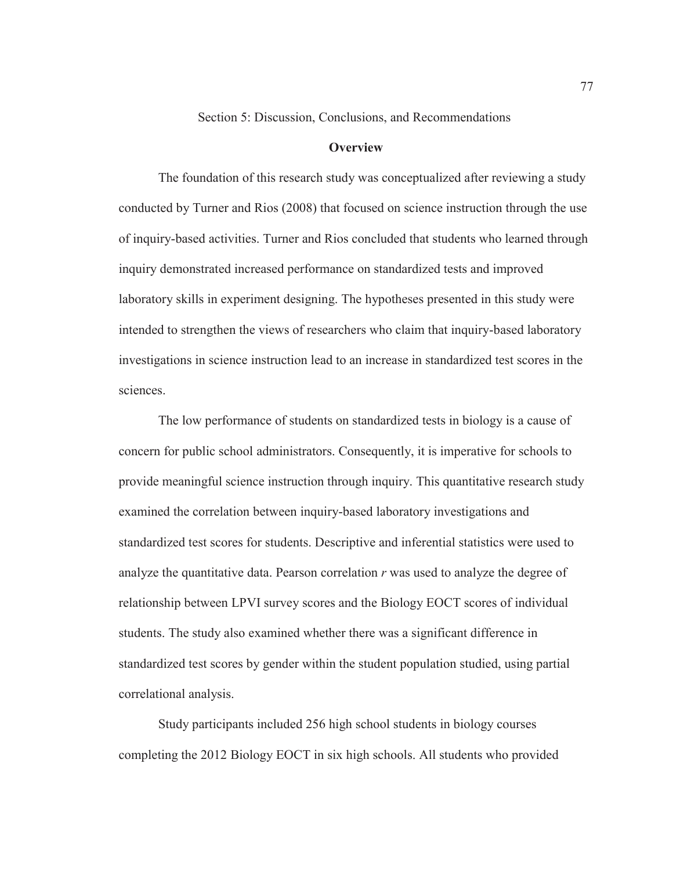Section 5: Discussion, Conclusions, and Recommendations

#### **Overview**

The foundation of this research study was conceptualized after reviewing a study conducted by Turner and Rios (2008) that focused on science instruction through the use of inquiry-based activities. Turner and Rios concluded that students who learned through inquiry demonstrated increased performance on standardized tests and improved laboratory skills in experiment designing. The hypotheses presented in this study were intended to strengthen the views of researchers who claim that inquiry-based laboratory investigations in science instruction lead to an increase in standardized test scores in the sciences.

The low performance of students on standardized tests in biology is a cause of concern for public school administrators. Consequently, it is imperative for schools to provide meaningful science instruction through inquiry. This quantitative research study examined the correlation between inquiry-based laboratory investigations and standardized test scores for students. Descriptive and inferential statistics were used to analyze the quantitative data. Pearson correlation *r* was used to analyze the degree of relationship between LPVI survey scores and the Biology EOCT scores of individual students. The study also examined whether there was a significant difference in standardized test scores by gender within the student population studied, using partial correlational analysis.

Study participants included 256 high school students in biology courses completing the 2012 Biology EOCT in six high schools. All students who provided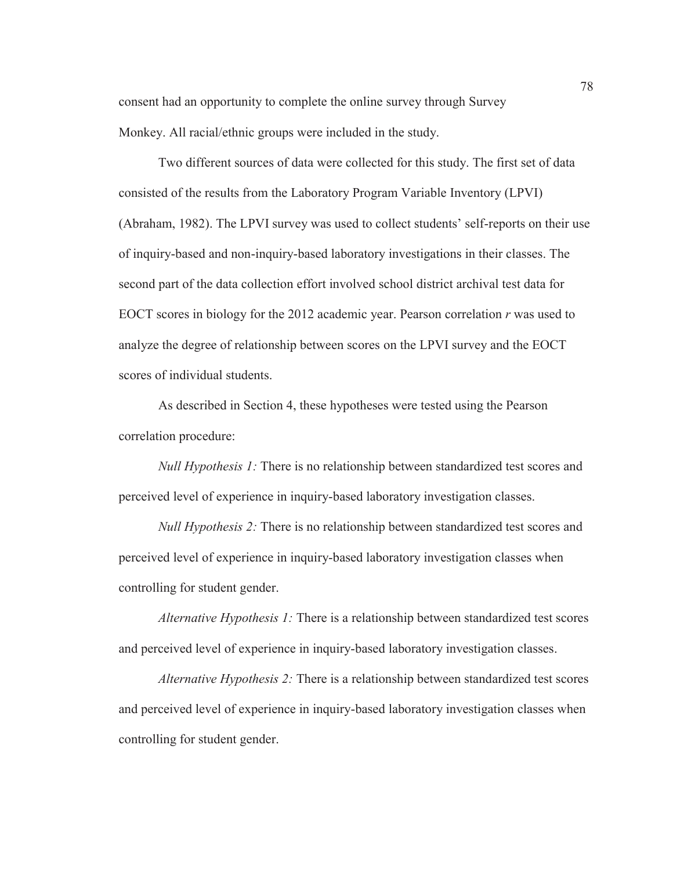consent had an opportunity to complete the online survey through Survey Monkey. All racial/ethnic groups were included in the study.

Two different sources of data were collected for this study. The first set of data consisted of the results from the Laboratory Program Variable Inventory (LPVI) (Abraham, 1982). The LPVI survey was used to collect students' self-reports on their use of inquiry-based and non-inquiry-based laboratory investigations in their classes. The second part of the data collection effort involved school district archival test data for EOCT scores in biology for the 2012 academic year. Pearson correlation *r* was used to analyze the degree of relationship between scores on the LPVI survey and the EOCT scores of individual students.

As described in Section 4, these hypotheses were tested using the Pearson correlation procedure:

*Null Hypothesis 1:* There is no relationship between standardized test scores and perceived level of experience in inquiry-based laboratory investigation classes.

*Null Hypothesis 2:* There is no relationship between standardized test scores and perceived level of experience in inquiry-based laboratory investigation classes when controlling for student gender.

*Alternative Hypothesis 1:* There is a relationship between standardized test scores and perceived level of experience in inquiry-based laboratory investigation classes.

*Alternative Hypothesis 2:* There is a relationship between standardized test scores and perceived level of experience in inquiry-based laboratory investigation classes when controlling for student gender.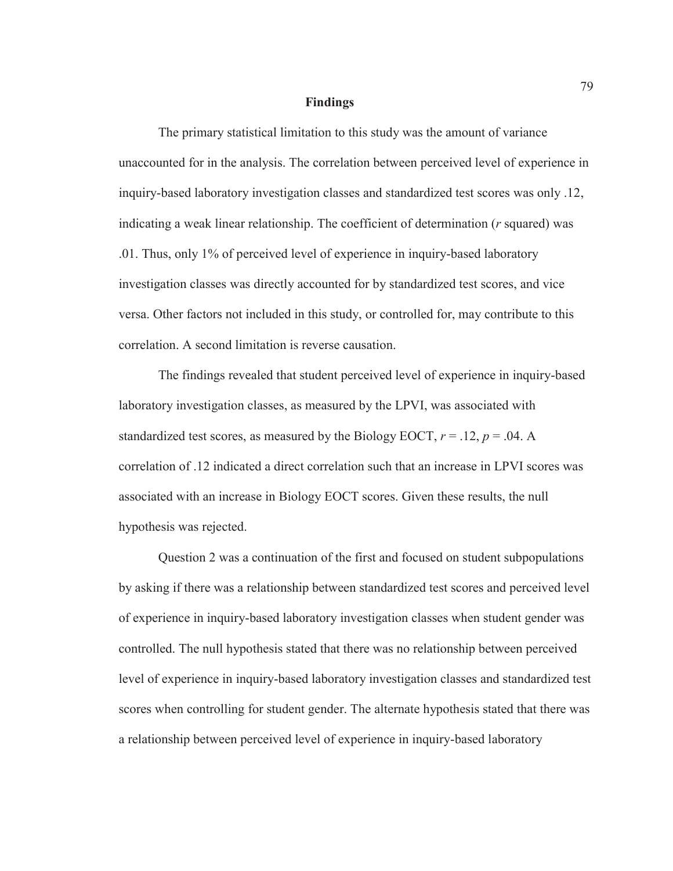#### **Findings**

The primary statistical limitation to this study was the amount of variance unaccounted for in the analysis. The correlation between perceived level of experience in inquiry-based laboratory investigation classes and standardized test scores was only .12, indicating a weak linear relationship. The coefficient of determination (*r* squared) was .01. Thus, only 1% of perceived level of experience in inquiry-based laboratory investigation classes was directly accounted for by standardized test scores, and vice versa. Other factors not included in this study, or controlled for, may contribute to this correlation. A second limitation is reverse causation.

The findings revealed that student perceived level of experience in inquiry-based laboratory investigation classes, as measured by the LPVI, was associated with standardized test scores, as measured by the Biology EOCT,  $r = .12$ ,  $p = .04$ . A correlation of .12 indicated a direct correlation such that an increase in LPVI scores was associated with an increase in Biology EOCT scores. Given these results, the null hypothesis was rejected.

Question 2 was a continuation of the first and focused on student subpopulations by asking if there was a relationship between standardized test scores and perceived level of experience in inquiry-based laboratory investigation classes when student gender was controlled. The null hypothesis stated that there was no relationship between perceived level of experience in inquiry-based laboratory investigation classes and standardized test scores when controlling for student gender. The alternate hypothesis stated that there was a relationship between perceived level of experience in inquiry-based laboratory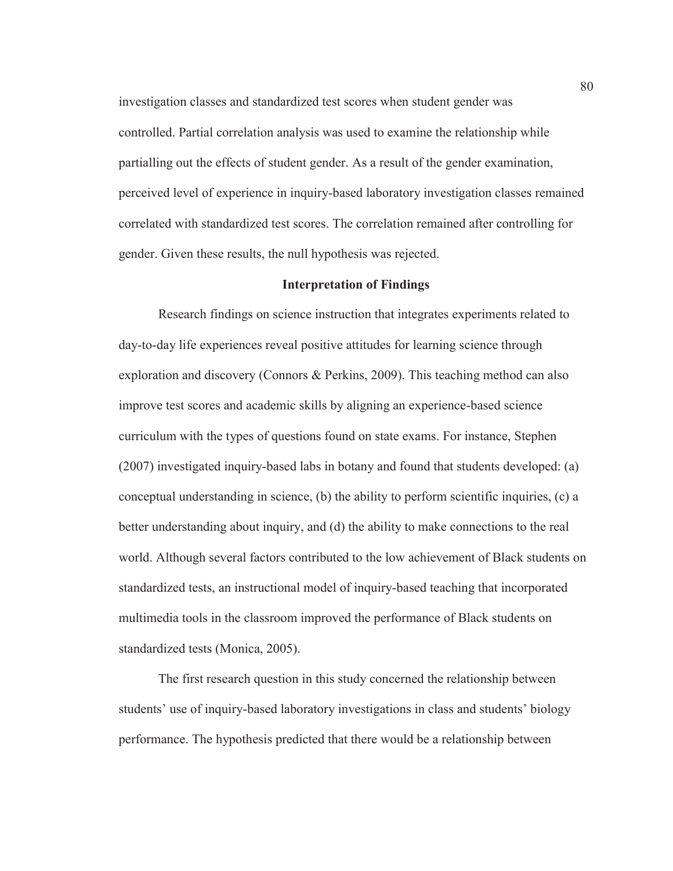investigation classes and standardized test scores when student gender was controlled. Partial correlation analysis was used to examine the relationship while partialling out the effects of student gender. As a result of the gender examination, perceived level of experience in inquiry-based laboratory investigation classes remained correlated with standardized test scores. The correlation remained after controlling for gender. Given these results, the null hypothesis was rejected.

#### **Interpretation of Findings**

Research findings on science instruction that integrates experiments related to day-to-day life experiences reveal positive attitudes for learning science through exploration and discovery (Connors & Perkins, 2009). This teaching method can also improve test scores and academic skills by aligning an experience-based science curriculum with the types of questions found on state exams. For instance, Stephen (2007) investigated inquiry-based labs in botany and found that students developed: (a) conceptual understanding in science, (b) the ability to perform scientific inquiries, (c) a better understanding about inquiry, and (d) the ability to make connections to the real world. Although several factors contributed to the low achievement of Black students on standardized tests, an instructional model of inquiry-based teaching that incorporated multimedia tools in the classroom improved the performance of Black students on standardized tests (Monica, 2005).

The first research question in this study concerned the relationship between students' use of inquiry-based laboratory investigations in class and students' biology performance. The hypothesis predicted that there would be a relationship between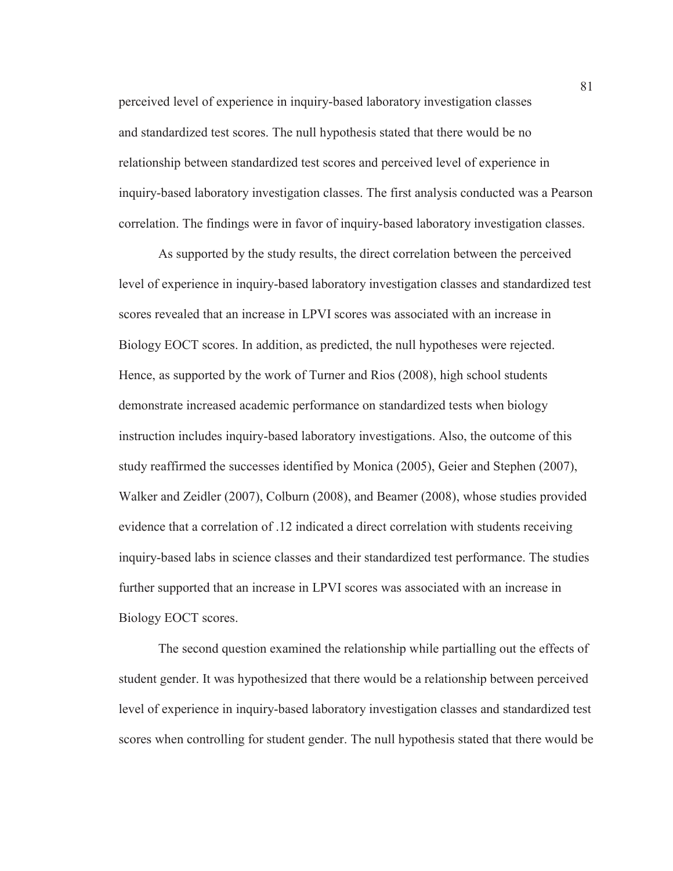perceived level of experience in inquiry-based laboratory investigation classes and standardized test scores. The null hypothesis stated that there would be no relationship between standardized test scores and perceived level of experience in inquiry-based laboratory investigation classes. The first analysis conducted was a Pearson correlation. The findings were in favor of inquiry-based laboratory investigation classes.

As supported by the study results, the direct correlation between the perceived level of experience in inquiry-based laboratory investigation classes and standardized test scores revealed that an increase in LPVI scores was associated with an increase in Biology EOCT scores. In addition, as predicted, the null hypotheses were rejected. Hence, as supported by the work of Turner and Rios (2008), high school students demonstrate increased academic performance on standardized tests when biology instruction includes inquiry-based laboratory investigations. Also, the outcome of this study reaffirmed the successes identified by Monica (2005), Geier and Stephen (2007), Walker and Zeidler (2007), Colburn (2008), and Beamer (2008), whose studies provided evidence that a correlation of .12 indicated a direct correlation with students receiving inquiry-based labs in science classes and their standardized test performance. The studies further supported that an increase in LPVI scores was associated with an increase in Biology EOCT scores.

The second question examined the relationship while partialling out the effects of student gender. It was hypothesized that there would be a relationship between perceived level of experience in inquiry-based laboratory investigation classes and standardized test scores when controlling for student gender. The null hypothesis stated that there would be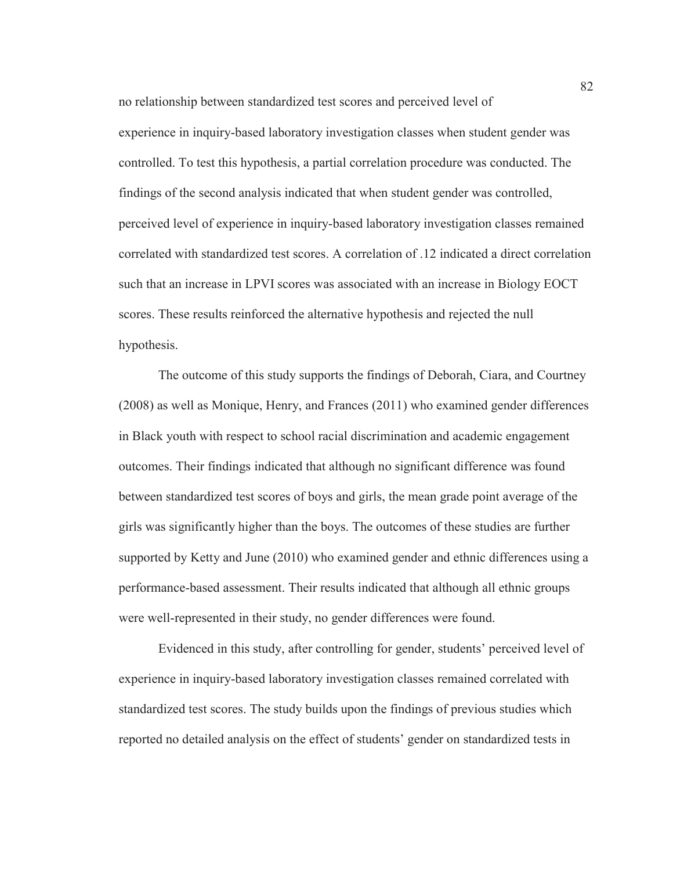no relationship between standardized test scores and perceived level of experience in inquiry-based laboratory investigation classes when student gender was controlled. To test this hypothesis, a partial correlation procedure was conducted. The findings of the second analysis indicated that when student gender was controlled, perceived level of experience in inquiry-based laboratory investigation classes remained correlated with standardized test scores. A correlation of .12 indicated a direct correlation such that an increase in LPVI scores was associated with an increase in Biology EOCT scores. These results reinforced the alternative hypothesis and rejected the null hypothesis.

The outcome of this study supports the findings of Deborah, Ciara, and Courtney (2008) as well as Monique, Henry, and Frances (2011) who examined gender differences in Black youth with respect to school racial discrimination and academic engagement outcomes. Their findings indicated that although no significant difference was found between standardized test scores of boys and girls, the mean grade point average of the girls was significantly higher than the boys. The outcomes of these studies are further supported by Ketty and June (2010) who examined gender and ethnic differences using a performance-based assessment. Their results indicated that although all ethnic groups were well-represented in their study, no gender differences were found.

Evidenced in this study, after controlling for gender, students' perceived level of experience in inquiry-based laboratory investigation classes remained correlated with standardized test scores. The study builds upon the findings of previous studies which reported no detailed analysis on the effect of students' gender on standardized tests in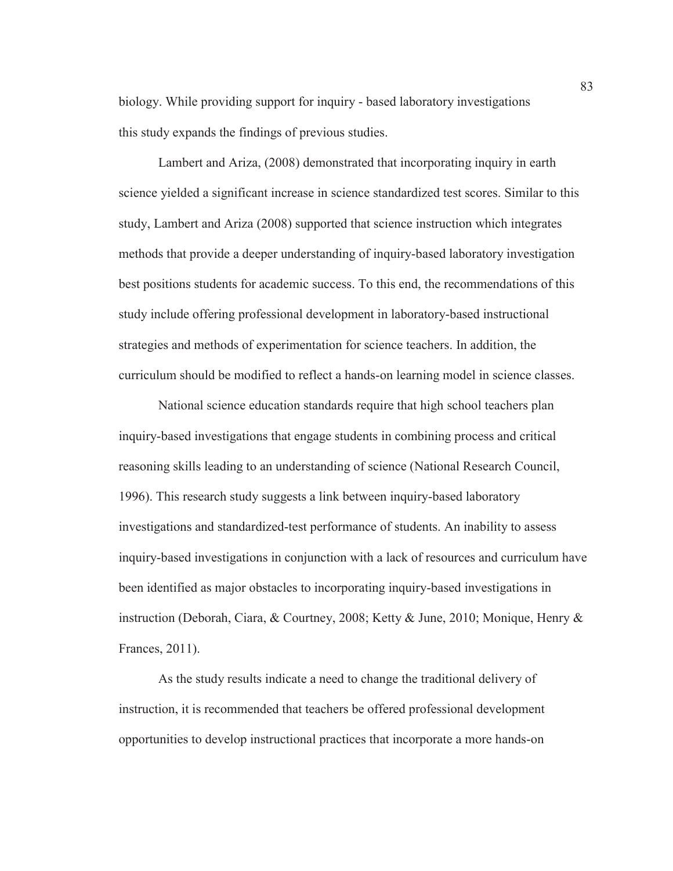biology. While providing support for inquiry - based laboratory investigations this study expands the findings of previous studies.

Lambert and Ariza, (2008) demonstrated that incorporating inquiry in earth science yielded a significant increase in science standardized test scores. Similar to this study, Lambert and Ariza (2008) supported that science instruction which integrates methods that provide a deeper understanding of inquiry-based laboratory investigation best positions students for academic success. To this end, the recommendations of this study include offering professional development in laboratory-based instructional strategies and methods of experimentation for science teachers. In addition, the curriculum should be modified to reflect a hands-on learning model in science classes.

National science education standards require that high school teachers plan inquiry-based investigations that engage students in combining process and critical reasoning skills leading to an understanding of science (National Research Council, 1996). This research study suggests a link between inquiry-based laboratory investigations and standardized-test performance of students. An inability to assess inquiry-based investigations in conjunction with a lack of resources and curriculum have been identified as major obstacles to incorporating inquiry-based investigations in instruction (Deborah, Ciara, & Courtney, 2008; Ketty & June, 2010; Monique, Henry & Frances, 2011).

As the study results indicate a need to change the traditional delivery of instruction, it is recommended that teachers be offered professional development opportunities to develop instructional practices that incorporate a more hands-on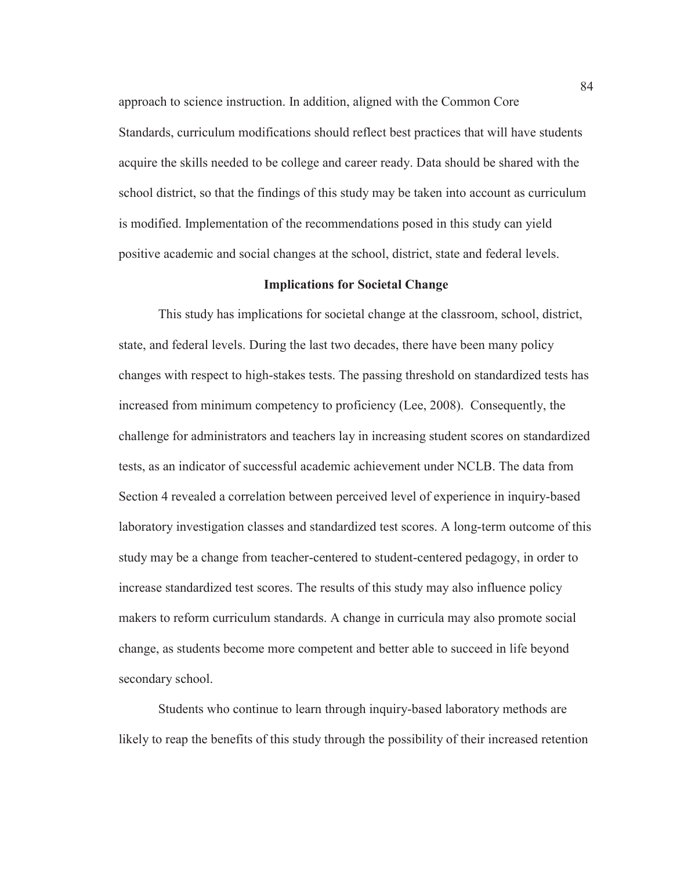approach to science instruction. In addition, aligned with the Common Core Standards, curriculum modifications should reflect best practices that will have students acquire the skills needed to be college and career ready. Data should be shared with the school district, so that the findings of this study may be taken into account as curriculum is modified. Implementation of the recommendations posed in this study can yield positive academic and social changes at the school, district, state and federal levels.

#### **Implications for Societal Change**

This study has implications for societal change at the classroom, school, district, state, and federal levels. During the last two decades, there have been many policy changes with respect to high-stakes tests. The passing threshold on standardized tests has increased from minimum competency to proficiency (Lee, 2008). Consequently, the challenge for administrators and teachers lay in increasing student scores on standardized tests, as an indicator of successful academic achievement under NCLB. The data from Section 4 revealed a correlation between perceived level of experience in inquiry-based laboratory investigation classes and standardized test scores. A long-term outcome of this study may be a change from teacher-centered to student-centered pedagogy, in order to increase standardized test scores. The results of this study may also influence policy makers to reform curriculum standards. A change in curricula may also promote social change, as students become more competent and better able to succeed in life beyond secondary school.

Students who continue to learn through inquiry-based laboratory methods are likely to reap the benefits of this study through the possibility of their increased retention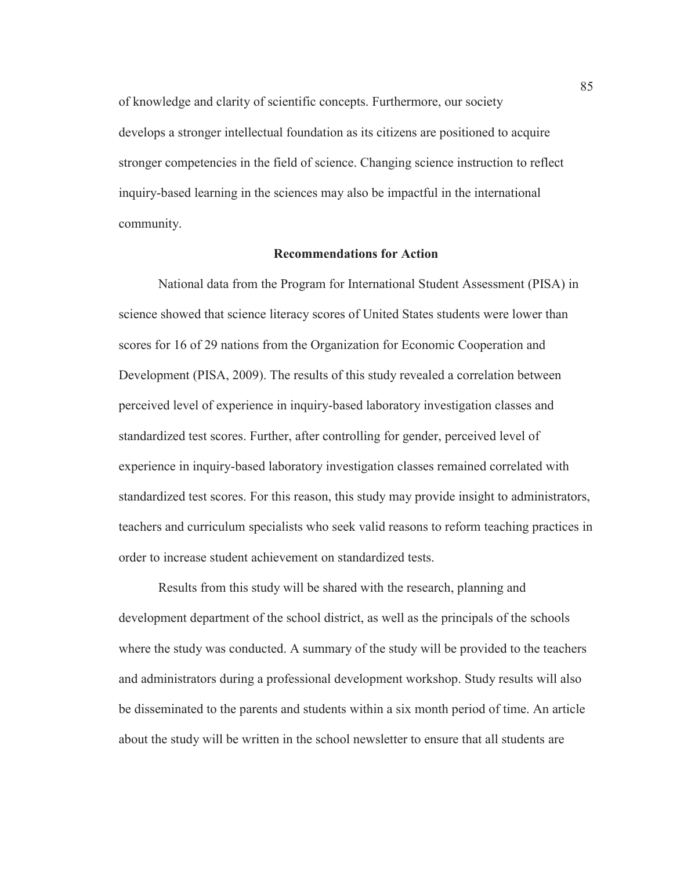of knowledge and clarity of scientific concepts. Furthermore, our society develops a stronger intellectual foundation as its citizens are positioned to acquire stronger competencies in the field of science. Changing science instruction to reflect inquiry-based learning in the sciences may also be impactful in the international community.

## **Recommendations for Action**

National data from the Program for International Student Assessment (PISA) in science showed that science literacy scores of United States students were lower than scores for 16 of 29 nations from the Organization for Economic Cooperation and Development (PISA, 2009). The results of this study revealed a correlation between perceived level of experience in inquiry-based laboratory investigation classes and standardized test scores. Further, after controlling for gender, perceived level of experience in inquiry-based laboratory investigation classes remained correlated with standardized test scores. For this reason, this study may provide insight to administrators, teachers and curriculum specialists who seek valid reasons to reform teaching practices in order to increase student achievement on standardized tests.

Results from this study will be shared with the research, planning and development department of the school district, as well as the principals of the schools where the study was conducted. A summary of the study will be provided to the teachers and administrators during a professional development workshop. Study results will also be disseminated to the parents and students within a six month period of time. An article about the study will be written in the school newsletter to ensure that all students are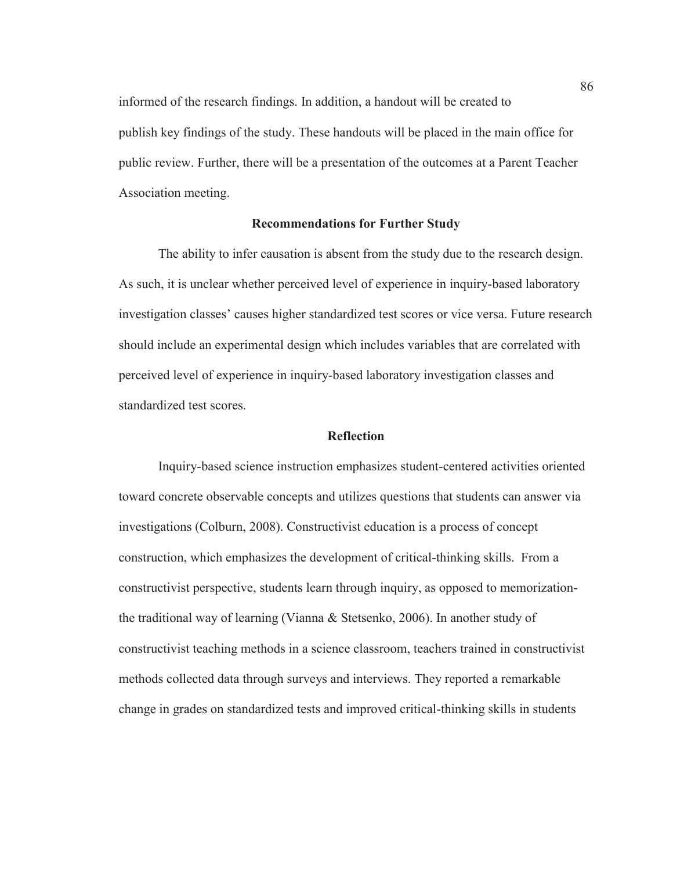informed of the research findings. In addition, a handout will be created to publish key findings of the study. These handouts will be placed in the main office for public review. Further, there will be a presentation of the outcomes at a Parent Teacher Association meeting.

## **Recommendations for Further Study**

The ability to infer causation is absent from the study due to the research design. As such, it is unclear whether perceived level of experience in inquiry-based laboratory investigation classes' causes higher standardized test scores or vice versa. Future research should include an experimental design which includes variables that are correlated with perceived level of experience in inquiry-based laboratory investigation classes and standardized test scores.

# **Reflection**

Inquiry-based science instruction emphasizes student-centered activities oriented toward concrete observable concepts and utilizes questions that students can answer via investigations (Colburn, 2008). Constructivist education is a process of concept construction, which emphasizes the development of critical-thinking skills. From a constructivist perspective, students learn through inquiry, as opposed to memorizationthe traditional way of learning (Vianna & Stetsenko, 2006). In another study of constructivist teaching methods in a science classroom, teachers trained in constructivist methods collected data through surveys and interviews. They reported a remarkable change in grades on standardized tests and improved critical-thinking skills in students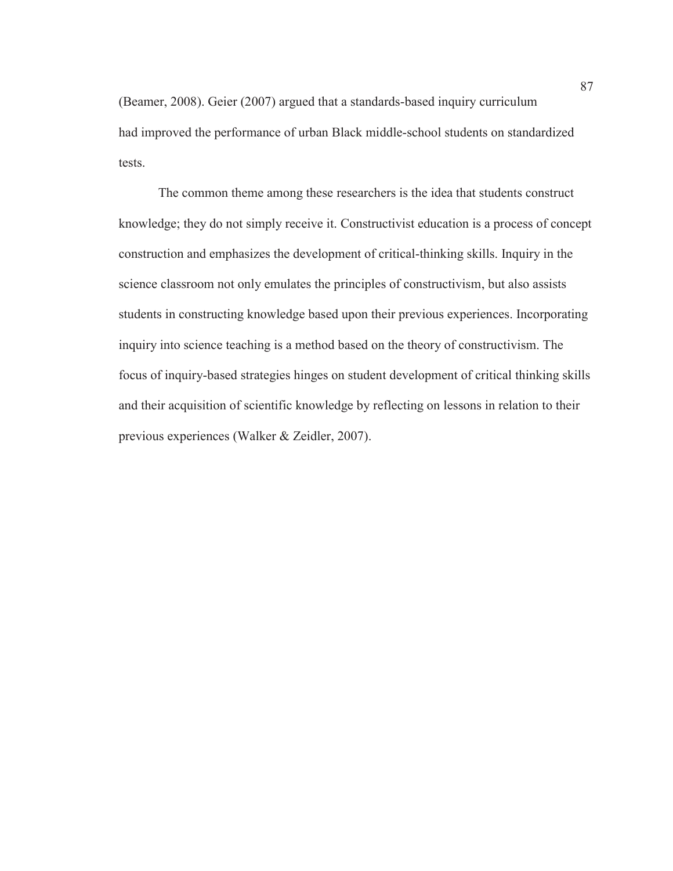(Beamer, 2008). Geier (2007) argued that a standards-based inquiry curriculum had improved the performance of urban Black middle-school students on standardized tests.

The common theme among these researchers is the idea that students construct knowledge; they do not simply receive it. Constructivist education is a process of concept construction and emphasizes the development of critical-thinking skills. Inquiry in the science classroom not only emulates the principles of constructivism, but also assists students in constructing knowledge based upon their previous experiences. Incorporating inquiry into science teaching is a method based on the theory of constructivism. The focus of inquiry-based strategies hinges on student development of critical thinking skills and their acquisition of scientific knowledge by reflecting on lessons in relation to their previous experiences (Walker & Zeidler, 2007).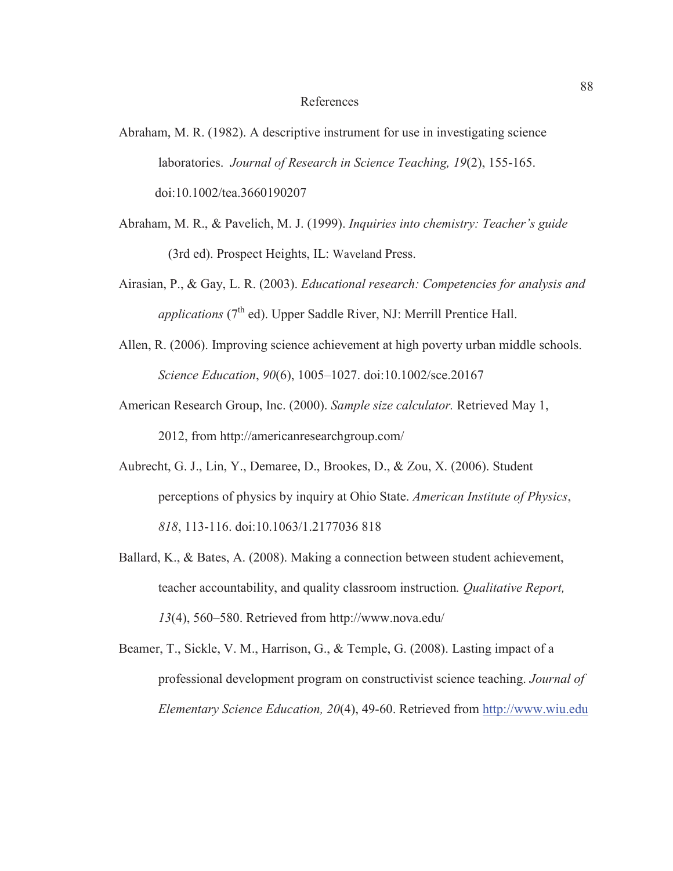#### References

- Abraham, M. R. (1982). A descriptive instrument for use in investigating science laboratories. *Journal of Research in Science Teaching, 19*(2), 155-165. doi:10.1002/tea.3660190207
- Abraham, M. R., & Pavelich, M. J. (1999). *Inquiries into chemistry: Teacher's guide*  (3rd ed). Prospect Heights, IL: Waveland Press.
- Airasian, P., & Gay, L. R. (2003). *Educational research: Competencies for analysis and applications* (7<sup>th</sup> ed). Upper Saddle River, NJ: Merrill Prentice Hall.
- Allen, R. (2006). Improving science achievement at high poverty urban middle schools. *Science Education*, *90*(6), 1005–1027. doi:10.1002/sce.20167
- American Research Group, Inc. (2000). *Sample size calculator.* Retrieved May 1, 2012, from http://americanresearchgroup.com/
- Aubrecht, G. J., Lin, Y., Demaree, D., Brookes, D., & Zou, X. (2006). Student perceptions of physics by inquiry at Ohio State. *American Institute of Physics*, *818*, 113-116. doi:10.1063/1.2177036 818
- Ballard, K., & Bates, A. (2008). Making a connection between student achievement, teacher accountability, and quality classroom instruction*. Qualitative Report, 13*(4), 560–580. Retrieved from http://www.nova.edu/
- Beamer, T., Sickle, V. M., Harrison, G., & Temple, G. (2008). Lasting impact of a professional development program on constructivist science teaching. *Journal of Elementary Science Education, 20*(4), 49-60. Retrieved from http://www.wiu.edu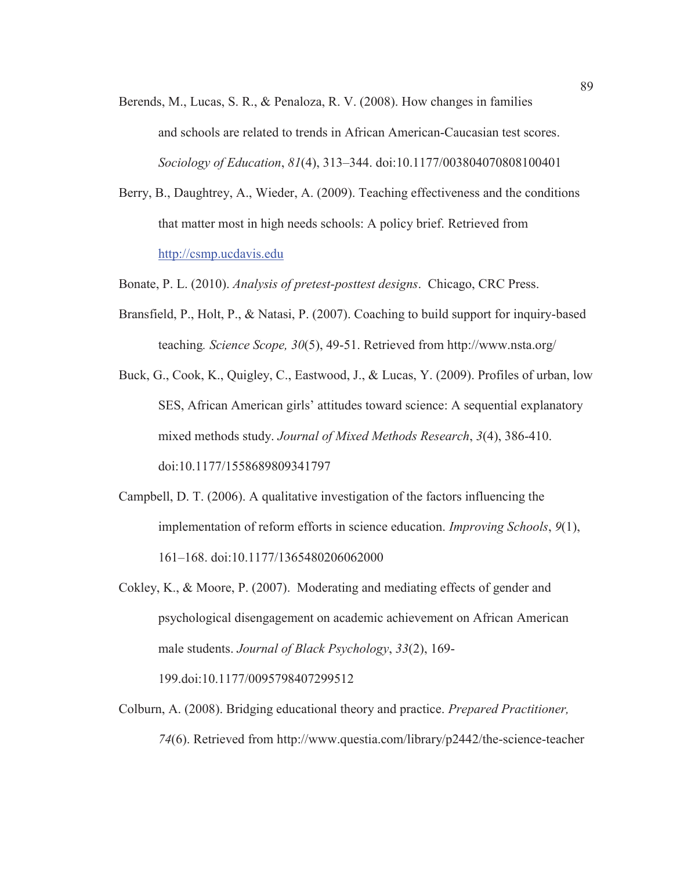- Berends, M., Lucas, S. R., & Penaloza, R. V. (2008). How changes in families and schools are related to trends in African American-Caucasian test scores. *Sociology of Education*, *81*(4), 313–344. doi:10.1177/003804070808100401
- Berry, B., Daughtrey, A., Wieder, A. (2009). Teaching effectiveness and the conditions that matter most in high needs schools: A policy brief. Retrieved from http://csmp.ucdavis.edu
- Bonate, P. L. (2010). *Analysis of pretest-posttest designs*. Chicago, CRC Press.
- Bransfield, P., Holt, P., & Natasi, P. (2007). Coaching to build support for inquiry-based teaching*. Science Scope, 30*(5), 49-51. Retrieved from http://www.nsta.org/
- Buck, G., Cook, K., Quigley, C., Eastwood, J., & Lucas, Y. (2009). Profiles of urban, low SES, African American girls' attitudes toward science: A sequential explanatory mixed methods study. *Journal of Mixed Methods Research*, *3*(4), 386-410. doi:10.1177/1558689809341797
- Campbell, D. T. (2006). A qualitative investigation of the factors influencing the implementation of reform efforts in science education. *Improving Schools*, *9*(1), 161–168. doi:10.1177/1365480206062000
- Cokley, K., & Moore, P. (2007). Moderating and mediating effects of gender and psychological disengagement on academic achievement on African American male students. *Journal of Black Psychology*, *33*(2), 169-

199.doi:10.1177/0095798407299512

Colburn, A. (2008). Bridging educational theory and practice. *Prepared Practitioner, 74*(6). Retrieved from http://www.questia.com/library/p2442/the-science-teacher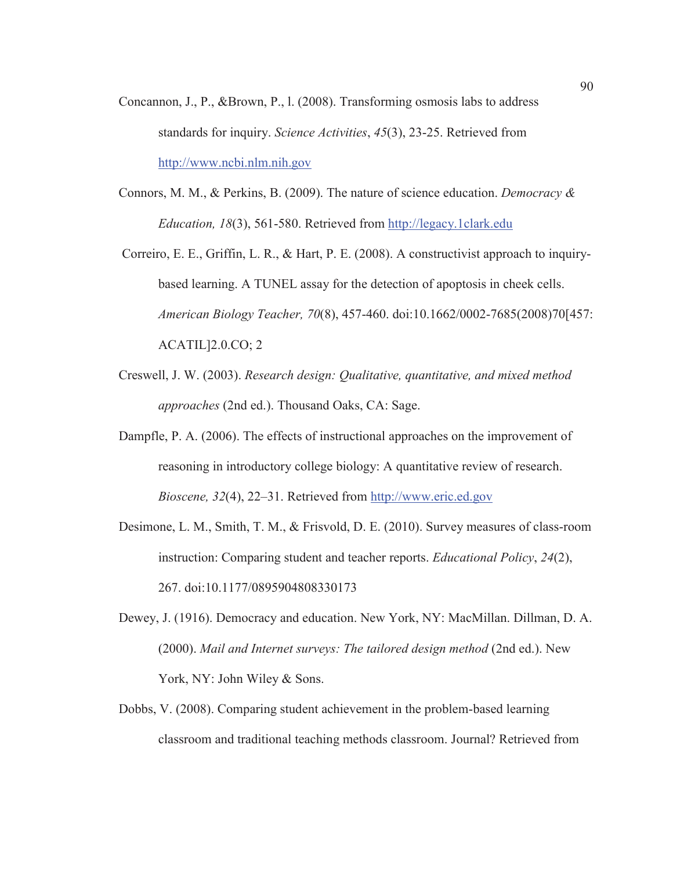- Concannon, J., P., &Brown, P., l. (2008). Transforming osmosis labs to address standards for inquiry. *Science Activities*, *45*(3), 23-25. Retrieved from http://www.ncbi.nlm.nih.gov
- Connors, M. M., & Perkins, B. (2009). The nature of science education. *Democracy & Education, 18*(3), 561-580. Retrieved from http://legacy.1clark.edu
- Correiro, E. E., Griffin, L. R., & Hart, P. E. (2008). A constructivist approach to inquirybased learning. A TUNEL assay for the detection of apoptosis in cheek cells. *American Biology Teacher, 70*(8), 457-460. doi:10.1662/0002-7685(2008)70[457: ACATIL]2.0.CO; 2
- Creswell, J. W. (2003). *Research design: Qualitative, quantitative, and mixed method approaches* (2nd ed.). Thousand Oaks, CA: Sage.
- Dampfle, P. A. (2006). The effects of instructional approaches on the improvement of reasoning in introductory college biology: A quantitative review of research. *Bioscene, 32*(4), 22–31. Retrieved from http://www.eric.ed.gov
- Desimone, L. M., Smith, T. M., & Frisvold, D. E. (2010). Survey measures of class-room instruction: Comparing student and teacher reports. *Educational Policy*, *24*(2), 267. doi:10.1177/0895904808330173
- Dewey, J. (1916). Democracy and education. New York, NY: MacMillan. Dillman, D. A. (2000). *Mail and Internet surveys: The tailored design method* (2nd ed.). New York, NY: John Wiley & Sons.
- Dobbs, V. (2008). Comparing student achievement in the problem-based learning classroom and traditional teaching methods classroom. Journal? Retrieved from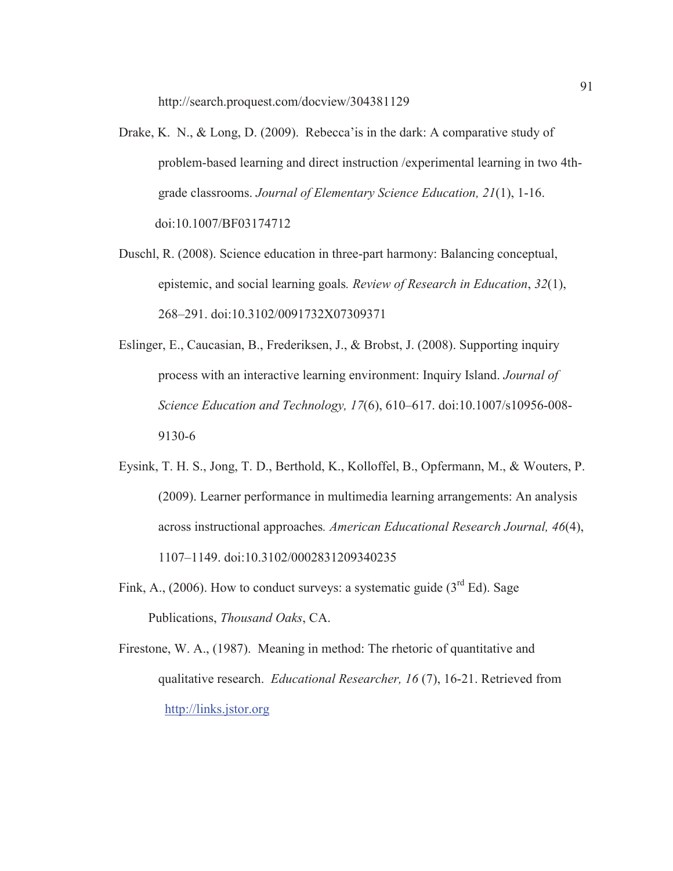http://search.proquest.com/docview/304381129

- Drake, K. N., & Long, D. (2009). Rebecca'is in the dark: A comparative study of problem-based learning and direct instruction /experimental learning in two 4thgrade classrooms. *Journal of Elementary Science Education, 21*(1), 1-16. doi:10.1007/BF03174712
- Duschl, R. (2008). Science education in three-part harmony: Balancing conceptual, epistemic, and social learning goals*. Review of Research in Education*, *32*(1), 268–291. doi:10.3102/0091732X07309371
- Eslinger, E., Caucasian, B., Frederiksen, J., & Brobst, J. (2008). Supporting inquiry process with an interactive learning environment: Inquiry Island. *Journal of Science Education and Technology, 17*(6), 610–617. doi:10.1007/s10956-008- 9130-6
- Eysink, T. H. S., Jong, T. D., Berthold, K., Kolloffel, B., Opfermann, M., & Wouters, P. (2009). Learner performance in multimedia learning arrangements: An analysis across instructional approaches*. American Educational Research Journal, 46*(4), 1107–1149. doi:10.3102/0002831209340235
- Fink, A., (2006). How to conduct surveys: a systematic guide  $(3<sup>rd</sup> Ed)$ . Sage Publications, *Thousand Oaks*, CA.
- Firestone, W. A., (1987). Meaning in method: The rhetoric of quantitative and qualitative research. *Educational Researcher, 16* (7), 16-21. Retrieved from http://links.jstor.org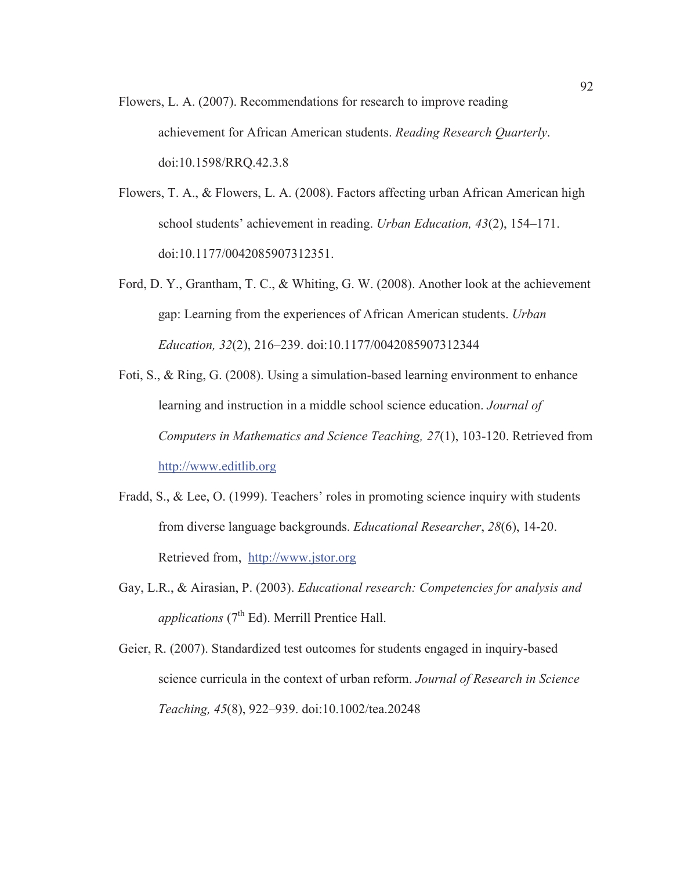- Flowers, L. A. (2007). Recommendations for research to improve reading achievement for African American students. *Reading Research Quarterly*. doi:10.1598/RRQ.42.3.8
- Flowers, T. A., & Flowers, L. A. (2008). Factors affecting urban African American high school students' achievement in reading. *Urban Education, 43*(2), 154–171. doi:10.1177/0042085907312351.
- Ford, D. Y., Grantham, T. C., & Whiting, G. W. (2008). Another look at the achievement gap: Learning from the experiences of African American students. *Urban Education, 32*(2), 216–239. doi:10.1177/0042085907312344
- Foti, S., & Ring, G. (2008). Using a simulation-based learning environment to enhance learning and instruction in a middle school science education. *Journal of Computers in Mathematics and Science Teaching, 27*(1), 103-120. Retrieved from http://www.editlib.org
- Fradd, S., & Lee, O. (1999). Teachers' roles in promoting science inquiry with students from diverse language backgrounds. *Educational Researcher*, *28*(6), 14-20. Retrieved from, http://www.jstor.org
- Gay, L.R., & Airasian, P. (2003). *Educational research: Competencies for analysis and applications*  $(7<sup>th</sup> Ed)$ . Merrill Prentice Hall.
- Geier, R. (2007). Standardized test outcomes for students engaged in inquiry-based science curricula in the context of urban reform. *Journal of Research in Science Teaching, 45*(8), 922–939. doi:10.1002/tea.20248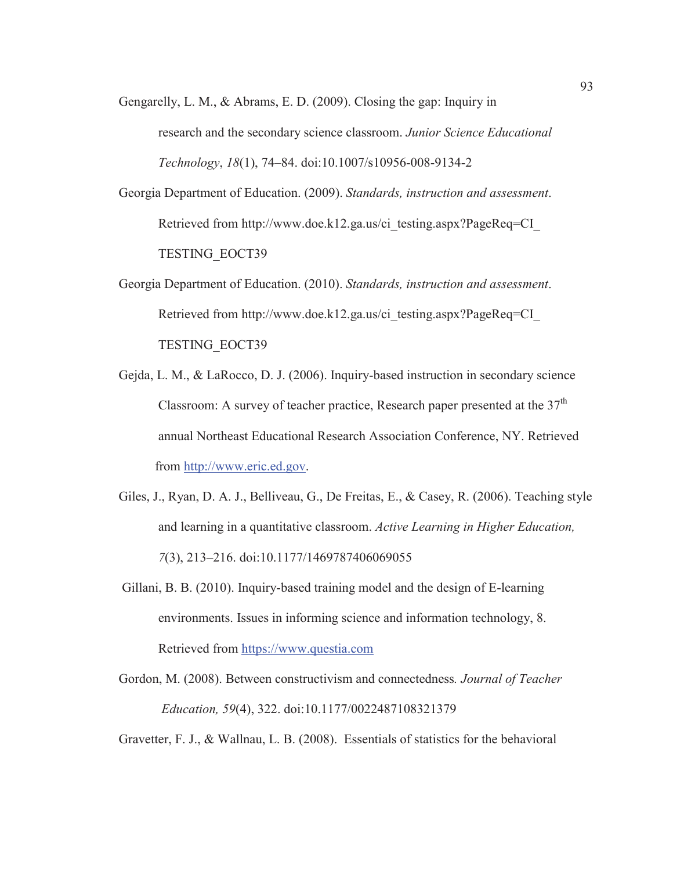Gengarelly, L. M., & Abrams, E. D. (2009). Closing the gap: Inquiry in research and the secondary science classroom. *Junior Science Educational Technology*, *18*(1), 74–84. doi:10.1007/s10956-008-9134-2

Georgia Department of Education. (2009). *Standards, instruction and assessment*. Retrieved from http://www.doe.k12.ga.us/ci\_testing.aspx?PageReq=CI TESTING\_EOCT39

Georgia Department of Education. (2010). *Standards, instruction and assessment*. Retrieved from http://www.doe.k12.ga.us/ci\_testing.aspx?PageReq=CI\_ TESTING\_EOCT39

- Gejda, L. M., & LaRocco, D. J. (2006). Inquiry-based instruction in secondary science Classroom: A survey of teacher practice, Research paper presented at the  $37<sup>th</sup>$  annual Northeast Educational Research Association Conference, NY. Retrieved from http://www.eric.ed.gov.
- Giles, J., Ryan, D. A. J., Belliveau, G., De Freitas, E., & Casey, R. (2006). Teaching style and learning in a quantitative classroom. *Active Learning in Higher Education, 7*(3), 213–216. doi:10.1177/1469787406069055

 Gillani, B. B. (2010). Inquiry-based training model and the design of E-learning environments. Issues in informing science and information technology, 8. Retrieved from https://www.questia.com

Gordon, M. (2008). Between constructivism and connectedness*. Journal of Teacher Education, 59*(4), 322. doi:10.1177/0022487108321379

Gravetter, F. J., & Wallnau, L. B. (2008). Essentials of statistics for the behavioral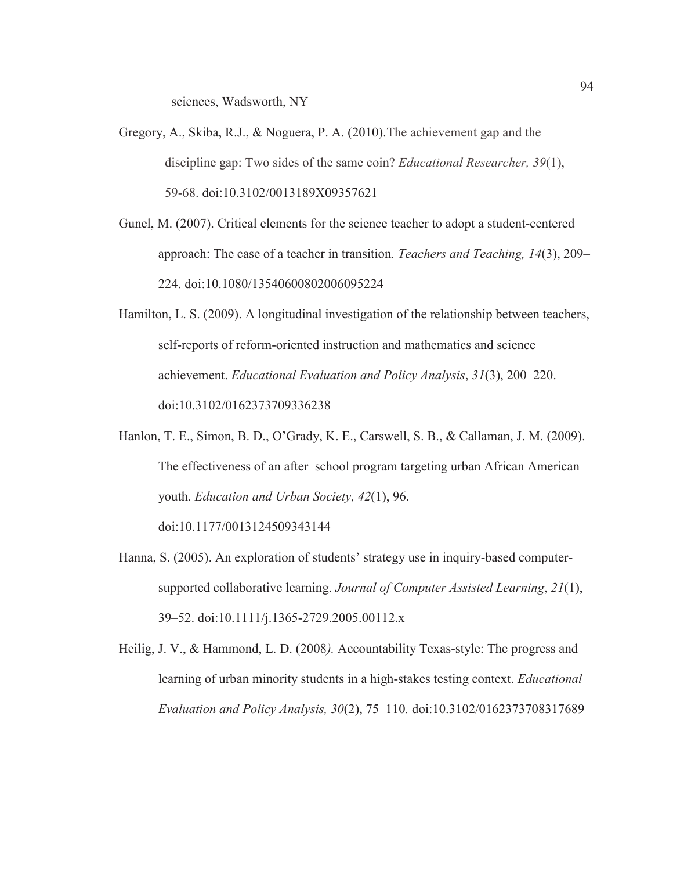sciences, Wadsworth, NY

- Gregory, A., Skiba, R.J., & Noguera, P. A. (2010).The achievement gap and the discipline gap: Two sides of the same coin? *Educational Researcher, 39*(1), 59-68. doi:10.3102/0013189X09357621
- Gunel, M. (2007). Critical elements for the science teacher to adopt a student-centered approach: The case of a teacher in transition*. Teachers and Teaching, 14*(3), 209– 224. doi:10.1080/13540600802006095224
- Hamilton, L. S. (2009). A longitudinal investigation of the relationship between teachers, self-reports of reform-oriented instruction and mathematics and science achievement. *Educational Evaluation and Policy Analysis*, *31*(3), 200–220. doi:10.3102/0162373709336238
- Hanlon, T. E., Simon, B. D., O'Grady, K. E., Carswell, S. B., & Callaman, J. M. (2009). The effectiveness of an after–school program targeting urban African American youth*. Education and Urban Society, 42*(1), 96.

doi:10.1177/0013124509343144

- Hanna, S. (2005). An exploration of students' strategy use in inquiry-based computersupported collaborative learning. *Journal of Computer Assisted Learning*, *21*(1), 39–52. doi:10.1111/j.1365-2729.2005.00112.x
- Heilig, J. V., & Hammond, L. D. (2008*).* Accountability Texas-style: The progress and learning of urban minority students in a high-stakes testing context. *Educational Evaluation and Policy Analysis, 30*(2), 75–110*.* doi:10.3102/0162373708317689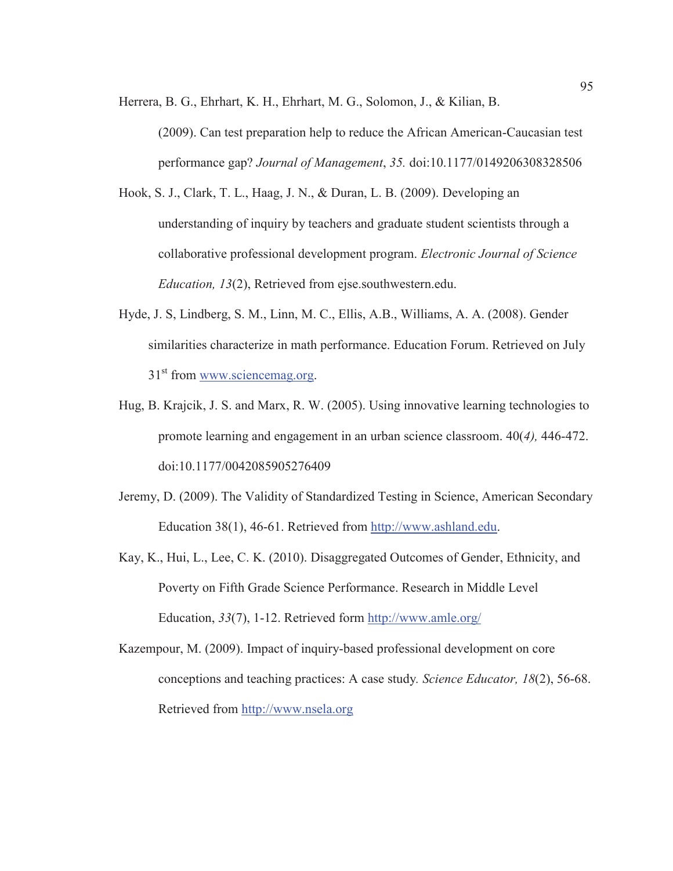Herrera, B. G., Ehrhart, K. H., Ehrhart, M. G., Solomon, J., & Kilian, B.

- (2009). Can test preparation help to reduce the African American-Caucasian test performance gap? *Journal of Management*, *35.* doi:10.1177/0149206308328506
- Hook, S. J., Clark, T. L., Haag, J. N., & Duran, L. B. (2009). Developing an understanding of inquiry by teachers and graduate student scientists through a collaborative professional development program. *Electronic Journal of Science Education, 13*(2), Retrieved from ejse.southwestern.edu.
- Hyde, J. S, Lindberg, S. M., Linn, M. C., Ellis, A.B., Williams, A. A. (2008). Gender similarities characterize in math performance. Education Forum. Retrieved on July 31<sup>st</sup> from www.sciencemag.org.
- Hug, B. Krajcik, J. S. and Marx, R. W. (2005). Using innovative learning technologies to promote learning and engagement in an urban science classroom. 40(*4),* 446-472. doi:10.1177/0042085905276409
- Jeremy, D. (2009). The Validity of Standardized Testing in Science, American Secondary Education 38(1), 46-61. Retrieved from http://www.ashland.edu.
- Kay, K., Hui, L., Lee, C. K. (2010). Disaggregated Outcomes of Gender, Ethnicity, and Poverty on Fifth Grade Science Performance. Research in Middle Level Education, *33*(7), 1-12. Retrieved form http://www.amle.org/
- Kazempour, M. (2009). Impact of inquiry-based professional development on core conceptions and teaching practices: A case study*. Science Educator, 18*(2), 56-68. Retrieved from http://www.nsela.org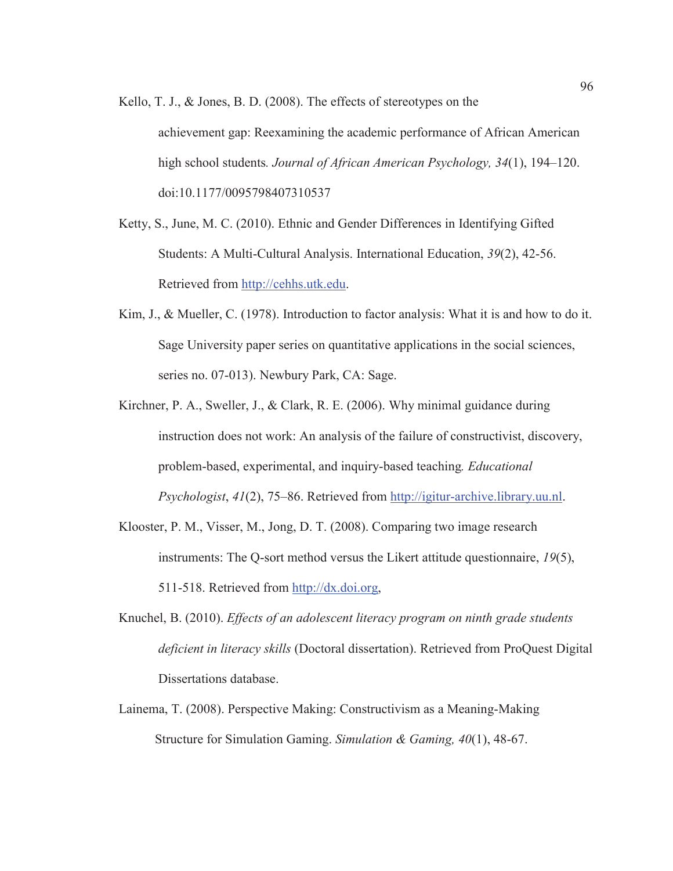- Kello, T. J., & Jones, B. D. (2008). The effects of stereotypes on the achievement gap: Reexamining the academic performance of African American high school students*. Journal of African American Psychology, 34*(1), 194–120. doi:10.1177/0095798407310537
- Ketty, S., June, M. C. (2010). Ethnic and Gender Differences in Identifying Gifted Students: A Multi-Cultural Analysis. International Education, *39*(2), 42-56. Retrieved from http://cehhs.utk.edu.
- Kim, J., & Mueller, C. (1978). Introduction to factor analysis: What it is and how to do it. Sage University paper series on quantitative applications in the social sciences, series no. 07-013). Newbury Park, CA: Sage.
- Kirchner, P. A., Sweller, J., & Clark, R. E. (2006). Why minimal guidance during instruction does not work: An analysis of the failure of constructivist, discovery, problem-based, experimental, and inquiry-based teaching*. Educational Psychologist*, *41*(2), 75–86. Retrieved from http://igitur-archive.library.uu.nl.
- Klooster, P. M., Visser, M., Jong, D. T. (2008). Comparing two image research instruments: The Q-sort method versus the Likert attitude questionnaire, *19*(5), 511-518. Retrieved from http://dx.doi.org,
- Knuchel, B. (2010). *Effects of an adolescent literacy program on ninth grade students deficient in literacy skills* (Doctoral dissertation). Retrieved from ProQuest Digital Dissertations database.
- Lainema, T. (2008). Perspective Making: Constructivism as a Meaning-Making Structure for Simulation Gaming. *Simulation & Gaming, 40*(1), 48-67.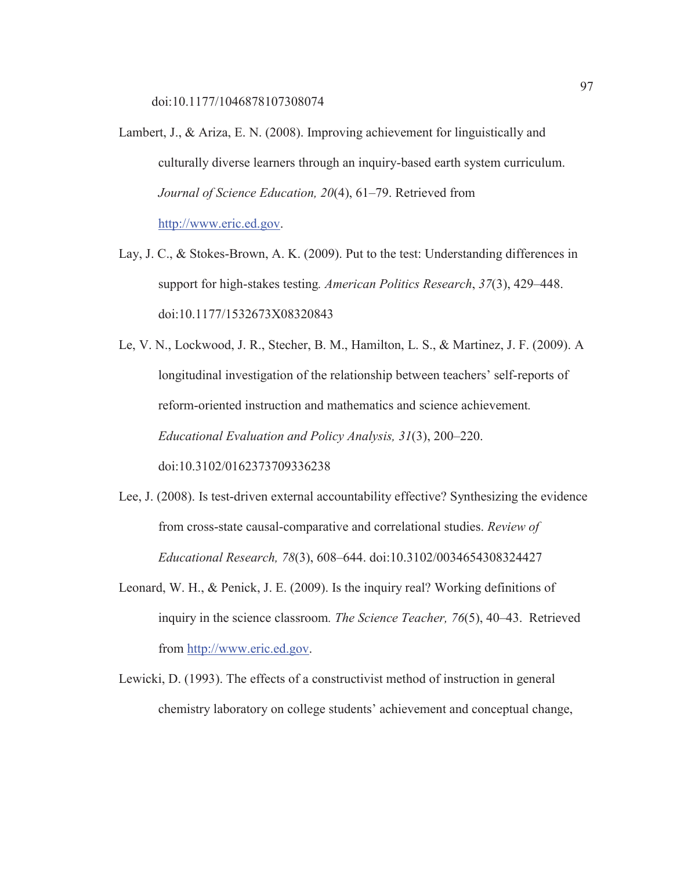doi:10.1177/1046878107308074

- Lambert, J., & Ariza, E. N. (2008). Improving achievement for linguistically and culturally diverse learners through an inquiry-based earth system curriculum. *Journal of Science Education, 20*(4), 61–79. Retrieved from http://www.eric.ed.gov.
- Lay, J. C., & Stokes-Brown, A. K. (2009). Put to the test: Understanding differences in support for high-stakes testing*. American Politics Research*, *37*(3), 429–448. doi:10.1177/1532673X08320843

Le, V. N., Lockwood, J. R., Stecher, B. M., Hamilton, L. S., & Martinez, J. F. (2009). A longitudinal investigation of the relationship between teachers' self-reports of reform-oriented instruction and mathematics and science achievement*. Educational Evaluation and Policy Analysis, 31*(3), 200–220. doi:10.3102/0162373709336238

- Lee, J. (2008). Is test-driven external accountability effective? Synthesizing the evidence from cross-state causal-comparative and correlational studies. *Review of Educational Research, 78*(3), 608–644. doi:10.3102/0034654308324427
- Leonard, W. H., & Penick, J. E. (2009). Is the inquiry real? Working definitions of inquiry in the science classroom*. The Science Teacher, 76*(5), 40–43. Retrieved from http://www.eric.ed.gov.
- Lewicki, D. (1993). The effects of a constructivist method of instruction in general chemistry laboratory on college students' achievement and conceptual change,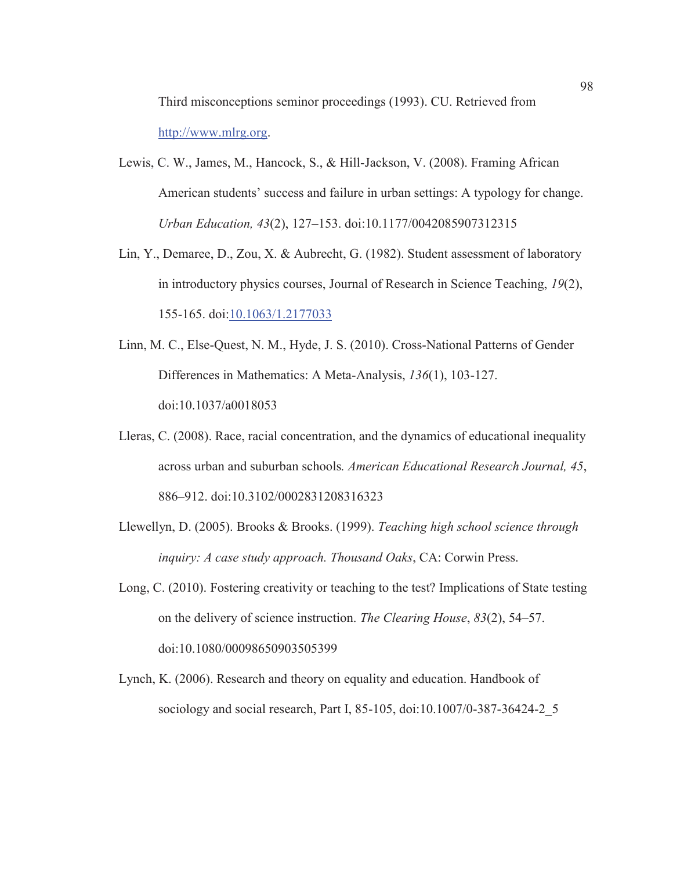Third misconceptions seminor proceedings (1993). CU. Retrieved from http://www.mlrg.org.

- Lewis, C. W., James, M., Hancock, S., & Hill-Jackson, V. (2008). Framing African American students' success and failure in urban settings: A typology for change. *Urban Education, 43*(2), 127–153. doi:10.1177/0042085907312315
- Lin, Y., Demaree, D., Zou, X. & Aubrecht, G. (1982). Student assessment of laboratory in introductory physics courses, Journal of Research in Science Teaching, *19*(2), 155-165. doi:10.1063/1.2177033
- Linn, M. C., Else-Quest, N. M., Hyde, J. S. (2010). Cross-National Patterns of Gender Differences in Mathematics: A Meta-Analysis, *136*(1), 103-127. doi:10.1037/a0018053
- Lleras, C. (2008). Race, racial concentration, and the dynamics of educational inequality across urban and suburban schools*. American Educational Research Journal, 45*, 886–912. doi:10.3102/0002831208316323
- Llewellyn, D. (2005). Brooks & Brooks. (1999). *Teaching high school science through inquiry: A case study approach. Thousand Oaks*, CA: Corwin Press.
- Long, C. (2010). Fostering creativity or teaching to the test? Implications of State testing on the delivery of science instruction. *The Clearing House*, *83*(2), 54–57. doi:10.1080/00098650903505399
- Lynch, K. (2006). Research and theory on equality and education. Handbook of sociology and social research, Part I, 85-105, doi:10.1007/0-387-36424-2\_5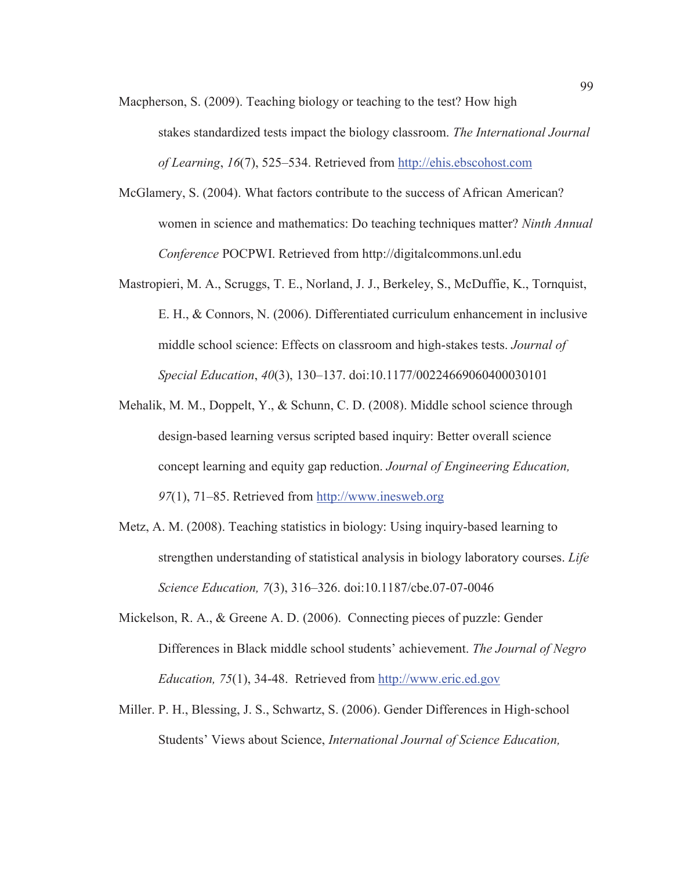Macpherson, S. (2009). Teaching biology or teaching to the test? How high

stakes standardized tests impact the biology classroom. *The International Journal of Learning*, *16*(7), 525–534. Retrieved from http://ehis.ebscohost.com

- McGlamery, S. (2004). What factors contribute to the success of African American? women in science and mathematics: Do teaching techniques matter? *Ninth Annual Conference* POCPWI. Retrieved from http://digitalcommons.unl.edu
- Mastropieri, M. A., Scruggs, T. E., Norland, J. J., Berkeley, S., McDuffie, K., Tornquist, E. H., & Connors, N. (2006). Differentiated curriculum enhancement in inclusive middle school science: Effects on classroom and high-stakes tests. *Journal of Special Education*, *40*(3), 130–137. doi:10.1177/00224669060400030101
- Mehalik, M. M., Doppelt, Y., & Schunn, C. D. (2008). Middle school science through design-based learning versus scripted based inquiry: Better overall science concept learning and equity gap reduction. *Journal of Engineering Education, 97*(1), 71–85. Retrieved from http://www.inesweb.org
- Metz, A. M. (2008). Teaching statistics in biology: Using inquiry-based learning to strengthen understanding of statistical analysis in biology laboratory courses. *Life Science Education, 7*(3), 316–326. doi:10.1187/cbe.07-07-0046
- Mickelson, R. A., & Greene A. D. (2006). Connecting pieces of puzzle: Gender Differences in Black middle school students' achievement. *The Journal of Negro Education, 75*(1), 34-48. Retrieved from http://www.eric.ed.gov
- Miller. P. H., Blessing, J. S., Schwartz, S. (2006). Gender Differences in High-school Students' Views about Science, *International Journal of Science Education,*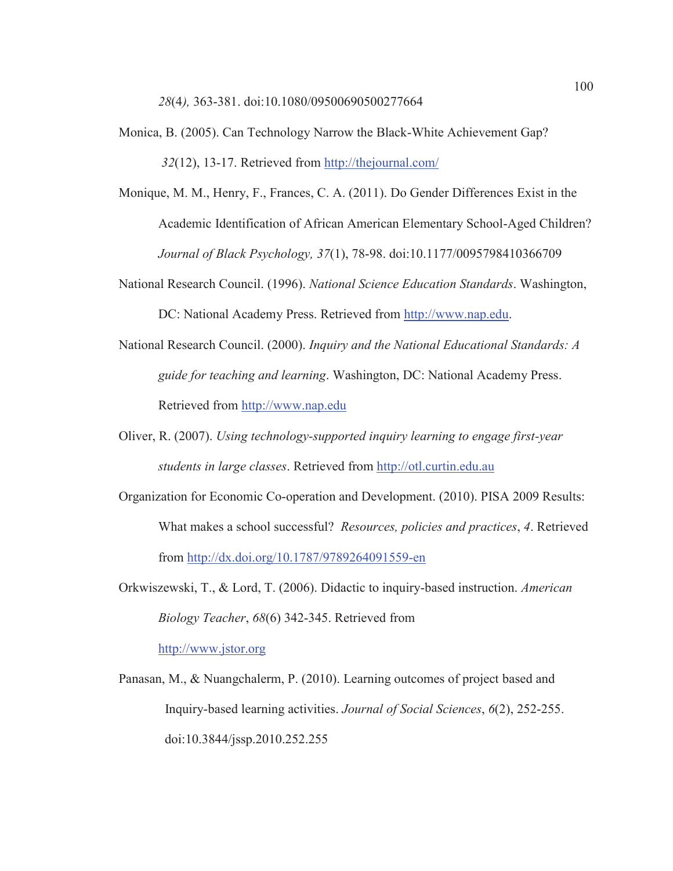- Monica, B. (2005). Can Technology Narrow the Black-White Achievement Gap? *32*(12), 13-17. Retrieved from http://thejournal.com/
- Monique, M. M., Henry, F., Frances, C. A. (2011). Do Gender Differences Exist in the Academic Identification of African American Elementary School-Aged Children? *Journal of Black Psychology, 37*(1), 78-98. doi:10.1177/0095798410366709
- National Research Council. (1996). *National Science Education Standards*. Washington, DC: National Academy Press. Retrieved from http://www.nap.edu.
- National Research Council. (2000). *Inquiry and the National Educational Standards: A guide for teaching and learning*. Washington, DC: National Academy Press. Retrieved from http://www.nap.edu
- Oliver, R. (2007). *Using technology-supported inquiry learning to engage first-year students in large classes*. Retrieved from http://otl.curtin.edu.au
- Organization for Economic Co-operation and Development. (2010). PISA 2009 Results: What makes a school successful? *Resources, policies and practices*, *4*. Retrieved from http://dx.doi.org/10.1787/9789264091559-en
- Orkwiszewski, T., & Lord, T. (2006). Didactic to inquiry-based instruction. *American Biology Teacher*, *68*(6) 342-345. Retrieved from

http://www.jstor.org

Panasan, M., & Nuangchalerm, P. (2010). Learning outcomes of project based and Inquiry-based learning activities. *Journal of Social Sciences*, *6*(2), 252-255. doi:10.3844/jssp.2010.252.255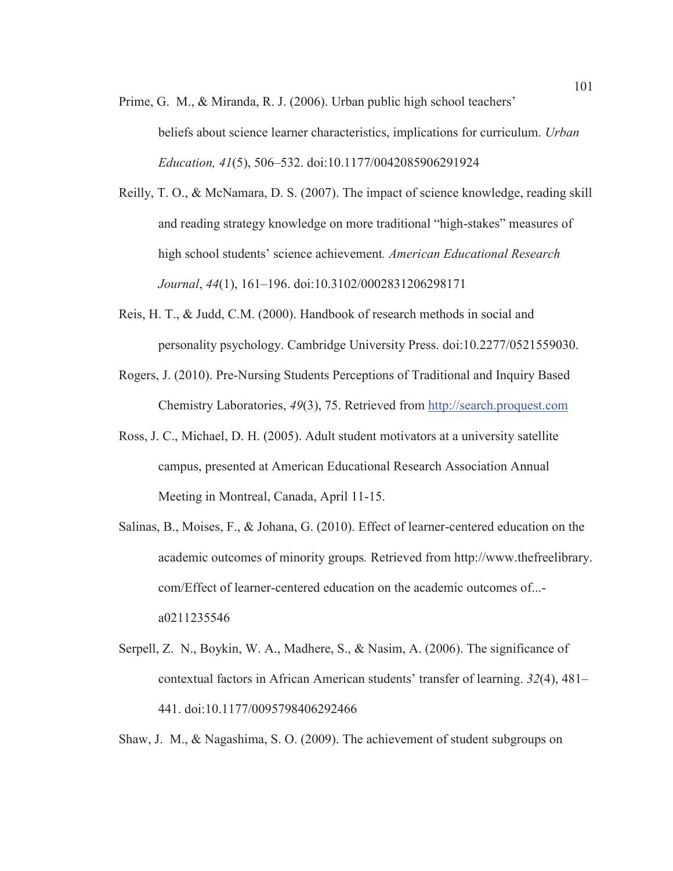- Prime, G. M., & Miranda, R. J. (2006). Urban public high school teachers' beliefs about science learner characteristics, implications for curriculum. *Urban Education, 41*(5), 506–532. doi:10.1177/0042085906291924
- Reilly, T. O., & McNamara, D. S. (2007). The impact of science knowledge, reading skill and reading strategy knowledge on more traditional "high-stakes" measures of high school students' science achievement*. American Educational Research Journal*, *44*(1), 161–196. doi:10.3102/0002831206298171
- Reis, H. T., & Judd, C.M. (2000). Handbook of research methods in social and personality psychology. Cambridge University Press. doi:10.2277/0521559030.
- Rogers, J. (2010). Pre-Nursing Students Perceptions of Traditional and Inquiry Based Chemistry Laboratories, *49*(3), 75. Retrieved from http://search.proquest.com
- Ross, J. C., Michael, D. H. (2005). Adult student motivators at a university satellite campus, presented at American Educational Research Association Annual Meeting in Montreal, Canada, April 11-15.
- Salinas, B., Moises, F., & Johana, G. (2010). Effect of learner-centered education on the academic outcomes of minority groups*.* Retrieved from http://www.thefreelibrary. com/Effect of learner-centered education on the academic outcomes of... a0211235546
- Serpell, Z. N., Boykin, W. A., Madhere, S., & Nasim, A. (2006). The significance of contextual factors in African American students' transfer of learning. *32*(4), 481– 441. doi:10.1177/0095798406292466

Shaw, J. M., & Nagashima, S. O. (2009). The achievement of student subgroups on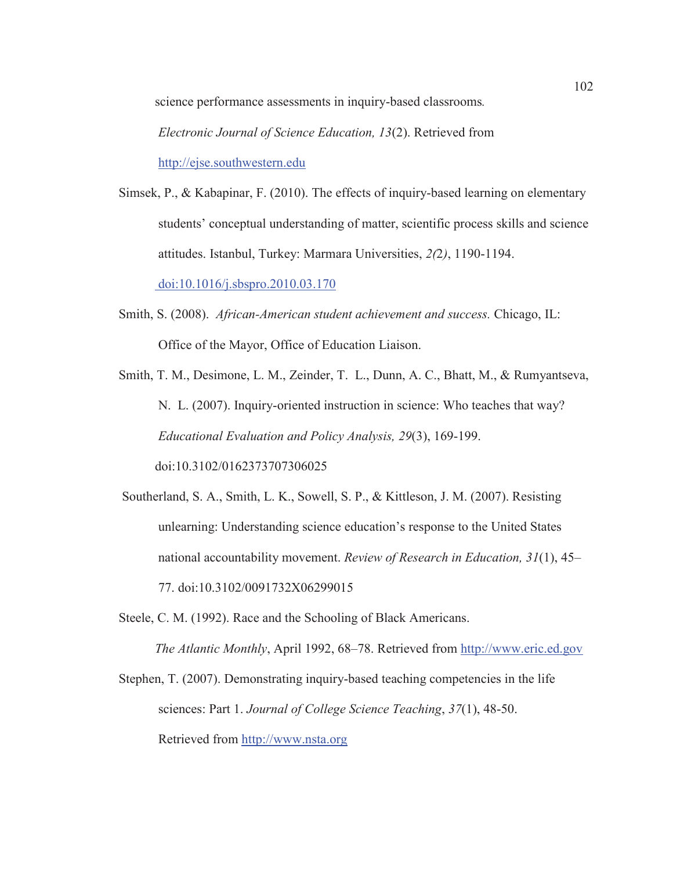science performance assessments in inquiry-based classrooms*.* 

*Electronic Journal of Science Education, 13*(2). Retrieved from http://ejse.southwestern.edu

Simsek, P., & Kabapinar, F. (2010). The effects of inquiry-based learning on elementary students' conceptual understanding of matter, scientific process skills and science attitudes. Istanbul, Turkey: Marmara Universities, *2(*2*)*, 1190-1194. doi:10.1016/j.sbspro.2010.03.170

Smith, S. (2008). *African-American student achievement and success.* Chicago, IL: Office of the Mayor, Office of Education Liaison.

Smith, T. M., Desimone, L. M., Zeinder, T. L., Dunn, A. C., Bhatt, M., & Rumyantseva, N. L. (2007). Inquiry-oriented instruction in science: Who teaches that way? *Educational Evaluation and Policy Analysis, 29*(3), 169-199. doi:10.3102/0162373707306025

 Southerland, S. A., Smith, L. K., Sowell, S. P., & Kittleson, J. M. (2007). Resisting unlearning: Understanding science education's response to the United States national accountability movement. *Review of Research in Education, 31*(1), 45– 77. doi:10.3102/0091732X06299015

Steele, C. M. (1992). Race and the Schooling of Black Americans. *The Atlantic Monthly*, April 1992, 68–78. Retrieved from http://www.eric.ed.gov

Stephen, T. (2007). Demonstrating inquiry-based teaching competencies in the life sciences: Part 1. *Journal of College Science Teaching*, *37*(1), 48-50. Retrieved from http://www.nsta.org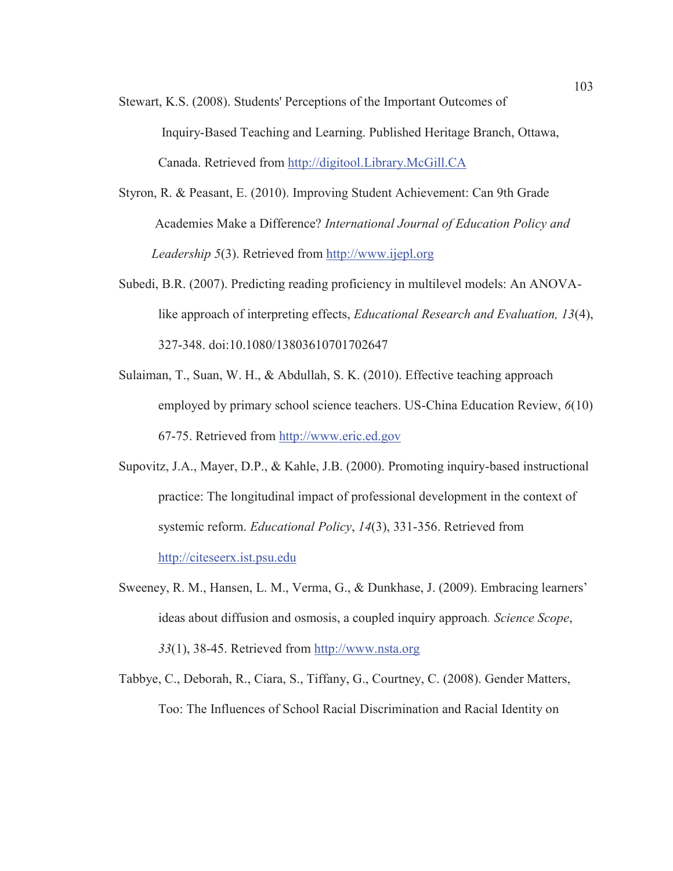- Stewart, K.S. (2008). Students' Perceptions of the Important Outcomes of Inquiry-Based Teaching and Learning. Published Heritage Branch, Ottawa, Canada. Retrieved from http://digitool.Library.McGill.CA
- Styron, R. & Peasant, E. (2010). Improving Student Achievement: Can 9th Grade Academies Make a Difference? *International Journal of Education Policy and Leadership 5*(3). Retrieved from http://www.ijepl.org
- Subedi, B.R. (2007). Predicting reading proficiency in multilevel models: An ANOVAlike approach of interpreting effects, *Educational Research and Evaluation, 13*(4), 327-348. doi:10.1080/13803610701702647
- Sulaiman, T., Suan, W. H., & Abdullah, S. K. (2010). Effective teaching approach employed by primary school science teachers. US-China Education Review, *6*(10) 67-75. Retrieved from http://www.eric.ed.gov
- Supovitz, J.A., Mayer, D.P., & Kahle, J.B. (2000). Promoting inquiry-based instructional practice: The longitudinal impact of professional development in the context of systemic reform. *Educational Policy*, *14*(3), 331-356. Retrieved from http://citeseerx.ist.psu.edu
- Sweeney, R. M., Hansen, L. M., Verma, G., & Dunkhase, J. (2009). Embracing learners' ideas about diffusion and osmosis, a coupled inquiry approach*. Science Scope*, *33*(1), 38-45. Retrieved from http://www.nsta.org
- Tabbye, C., Deborah, R., Ciara, S., Tiffany, G., Courtney, C. (2008). Gender Matters, Too: The Influences of School Racial Discrimination and Racial Identity on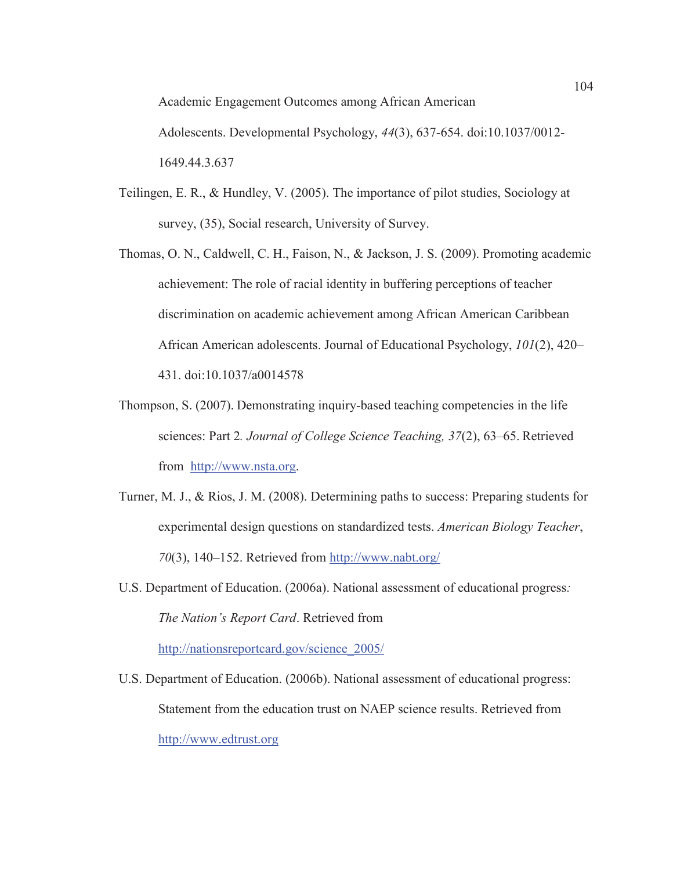Academic Engagement Outcomes among African American Adolescents. Developmental Psychology, *44*(3), 637-654. doi:10.1037/0012- 1649.44.3.637

- Teilingen, E. R., & Hundley, V. (2005). The importance of pilot studies, Sociology at survey, (35), Social research, University of Survey.
- Thomas, O. N., Caldwell, C. H., Faison, N., & Jackson, J. S. (2009). Promoting academic achievement: The role of racial identity in buffering perceptions of teacher discrimination on academic achievement among African American Caribbean African American adolescents. Journal of Educational Psychology, *101*(2), 420– 431. doi:10.1037/a0014578
- Thompson, S. (2007). Demonstrating inquiry-based teaching competencies in the life sciences: Part 2*. Journal of College Science Teaching, 37*(2), 63–65. Retrieved from http://www.nsta.org.
- Turner, M. J., & Rios, J. M. (2008). Determining paths to success: Preparing students for experimental design questions on standardized tests. *American Biology Teacher*, *70*(3), 140–152. Retrieved from http://www.nabt.org/
- U.S. Department of Education. (2006a). National assessment of educational progress*: The Nation's Report Card*. Retrieved from

http://nationsreportcard.gov/science\_2005/

U.S. Department of Education. (2006b). National assessment of educational progress: Statement from the education trust on NAEP science results. Retrieved from http://www.edtrust.org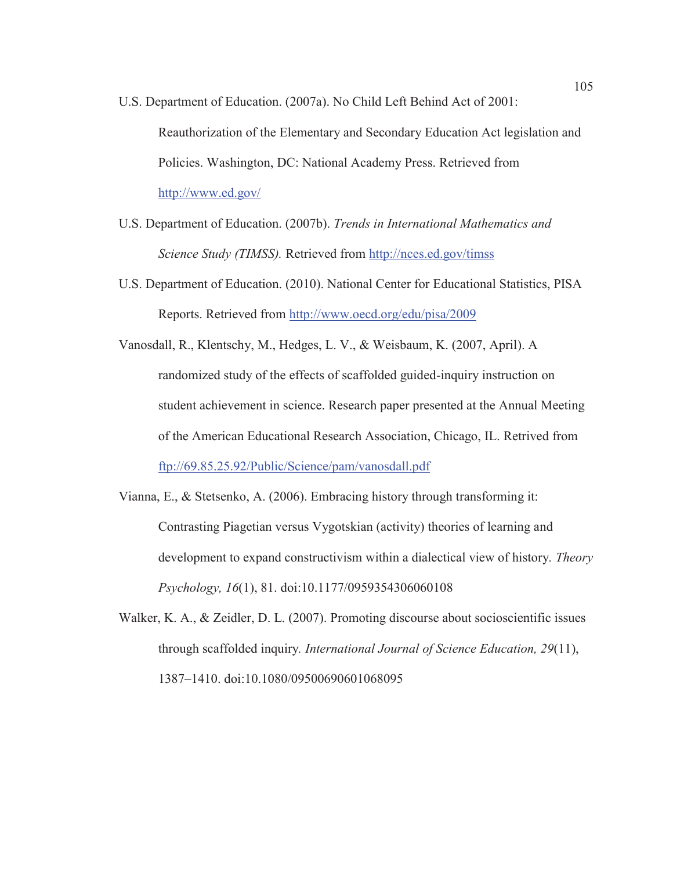- U.S. Department of Education. (2007a). No Child Left Behind Act of 2001: Reauthorization of the Elementary and Secondary Education Act legislation and Policies. Washington, DC: National Academy Press. Retrieved from http://www.ed.gov/
- U.S. Department of Education. (2007b). *Trends in International Mathematics and Science Study (TIMSS).* Retrieved from http://nces.ed.gov/timss
- U.S. Department of Education. (2010). National Center for Educational Statistics, PISA Reports. Retrieved from http://www.oecd.org/edu/pisa/2009
- Vanosdall, R., Klentschy, M., Hedges, L. V., & Weisbaum, K. (2007, April). A randomized study of the effects of scaffolded guided-inquiry instruction on student achievement in science. Research paper presented at the Annual Meeting of the American Educational Research Association, Chicago, IL. Retrived from ftp://69.85.25.92/Public/Science/pam/vanosdall.pdf
- Vianna, E., & Stetsenko, A. (2006). Embracing history through transforming it: Contrasting Piagetian versus Vygotskian (activity) theories of learning and development to expand constructivism within a dialectical view of history*. Theory Psychology, 16*(1), 81. doi:10.1177/0959354306060108
- Walker, K. A., & Zeidler, D. L. (2007). Promoting discourse about socioscientific issues through scaffolded inquiry*. International Journal of Science Education, 29*(11), 1387–1410. doi:10.1080/09500690601068095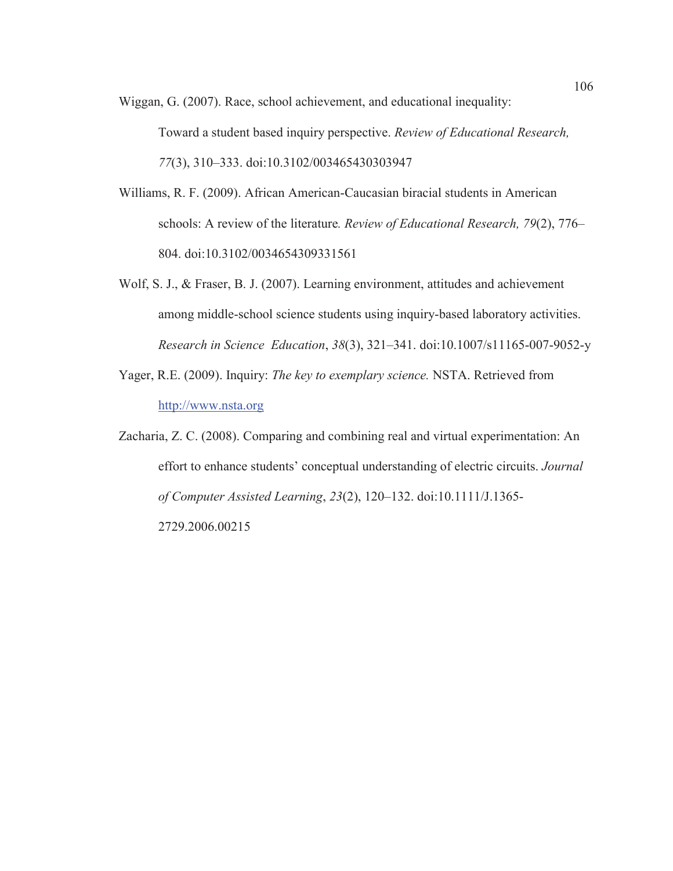Wiggan, G. (2007). Race, school achievement, and educational inequality:

Toward a student based inquiry perspective. *Review of Educational Research, 77*(3), 310–333. doi:10.3102/003465430303947

- Williams, R. F. (2009). African American-Caucasian biracial students in American schools: A review of the literature*. Review of Educational Research, 79*(2), 776– 804. doi:10.3102/0034654309331561
- Wolf, S. J., & Fraser, B. J. (2007). Learning environment, attitudes and achievement among middle-school science students using inquiry-based laboratory activities. *Research in Science Education*, *38*(3), 321–341. doi:10.1007/s11165-007-9052-y
- Yager, R.E. (2009). Inquiry: *The key to exemplary science.* NSTA. Retrieved from http://www.nsta.org
- Zacharia, Z. C. (2008). Comparing and combining real and virtual experimentation: An effort to enhance students' conceptual understanding of electric circuits. *Journal of Computer Assisted Learning*, *23*(2), 120–132. doi:10.1111/J.1365- 2729.2006.00215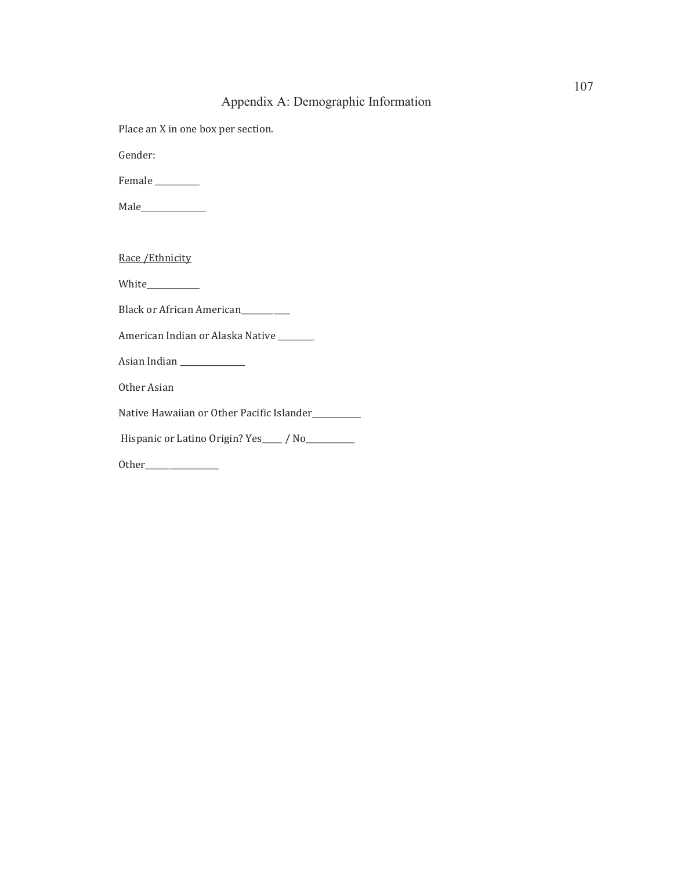### Appendix A: Demographic Information

Place an X in one box per section.

Gender:

Female \_\_\_\_\_\_\_\_\_\_\_

Male\_\_\_\_\_\_\_\_\_\_\_\_\_\_\_\_

Race /Ethnicity

White\_\_\_\_\_\_\_\_\_\_\_\_\_

Black or African American

American Indian or Alaska Native \_\_\_\_\_\_\_\_\_

Asian Indian \_\_\_\_\_\_\_\_\_\_\_\_\_\_\_\_

Other Asian

Native Hawaiian or Other Pacific Islander\_\_\_\_\_\_\_\_\_\_\_\_

Hispanic or Latino Origin? Yes\_\_\_\_ / No\_\_\_\_\_\_\_\_\_

Other\_\_\_\_\_\_\_\_\_\_\_\_\_\_\_\_\_\_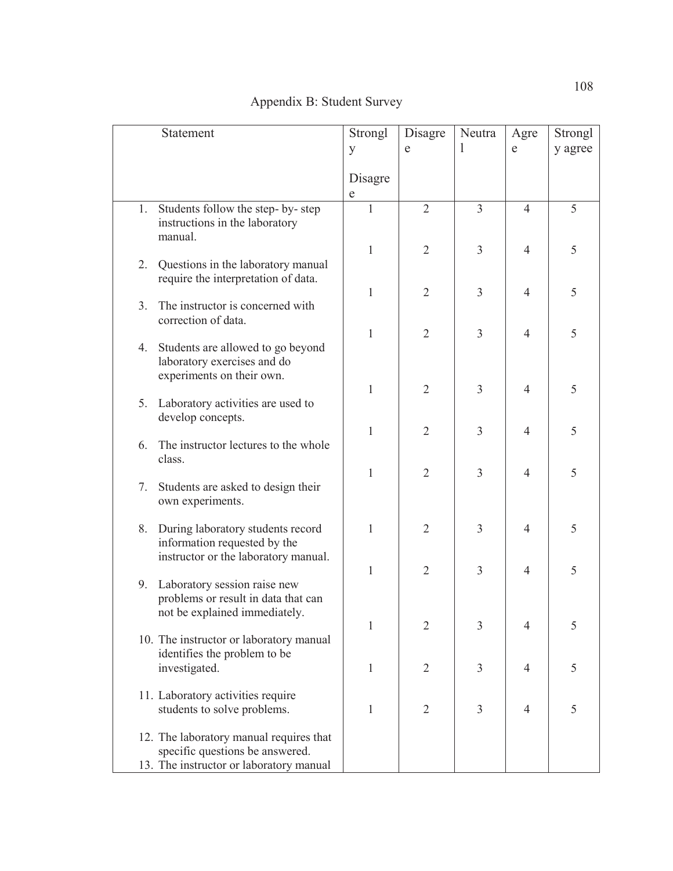| Statement                                                                                                             | Strongl      | Disagre        | Neutra         | Agre           | Strongl |
|-----------------------------------------------------------------------------------------------------------------------|--------------|----------------|----------------|----------------|---------|
|                                                                                                                       | y            | e              | L              | e              | y agree |
|                                                                                                                       | Disagre<br>e |                |                |                |         |
| 1.<br>Students follow the step-by-step<br>instructions in the laboratory<br>manual.                                   | $\mathbf{1}$ | $\overline{2}$ | $\overline{3}$ | $\overline{4}$ | 5       |
| 2.<br>Questions in the laboratory manual<br>require the interpretation of data.                                       | $\mathbf{1}$ | $\overline{2}$ | 3              | $\overline{4}$ | 5       |
| The instructor is concerned with<br>3 <sub>1</sub>                                                                    | 1            | $\overline{2}$ | 3              | $\overline{4}$ | 5       |
| correction of data.                                                                                                   | 1            | 2              | 3              | $\overline{4}$ | 5       |
| Students are allowed to go beyond<br>4.<br>laboratory exercises and do<br>experiments on their own.                   |              |                |                |                |         |
| Laboratory activities are used to<br>5.                                                                               | 1            | $\overline{2}$ | 3              | $\overline{4}$ | 5       |
| develop concepts.<br>The instructor lectures to the whole<br>6.                                                       | 1            | $\overline{2}$ | 3              | $\overline{4}$ | 5       |
| class.                                                                                                                | 1            | $\overline{2}$ | 3              | $\overline{4}$ | 5       |
| Students are asked to design their<br>7.<br>own experiments.                                                          |              |                |                |                |         |
| 8.<br>During laboratory students record<br>information requested by the                                               | 1            | $\overline{2}$ | 3              | $\overline{4}$ | 5       |
| instructor or the laboratory manual.<br>Laboratory session raise new<br>9.                                            | 1            | $\overline{2}$ | 3              | $\overline{4}$ | 5       |
| problems or result in data that can<br>not be explained immediately.                                                  |              |                |                |                |         |
| 10. The instructor or laboratory manual                                                                               | 1            | $\overline{2}$ | 3              | $\overline{4}$ | 5       |
| identifies the problem to be<br>investigated.                                                                         | 1            | $\overline{2}$ | 3              | $\overline{4}$ | 5       |
| 11. Laboratory activities require<br>students to solve problems.                                                      | 1            | 2              | 3              | $\overline{4}$ | 5       |
| 12. The laboratory manual requires that<br>specific questions be answered.<br>13. The instructor or laboratory manual |              |                |                |                |         |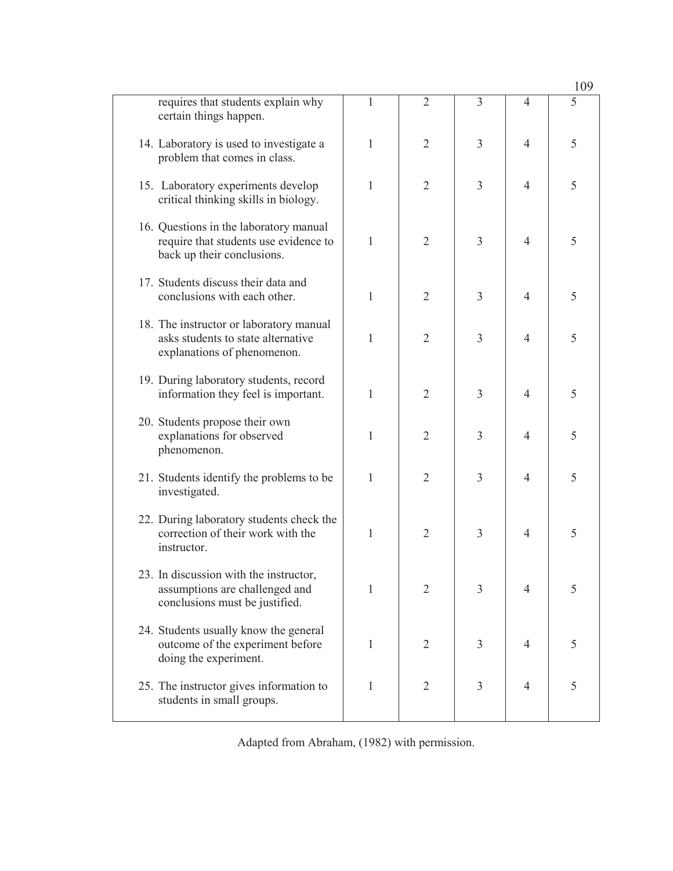|                                                                                                               |   |                |                |                | 109 |
|---------------------------------------------------------------------------------------------------------------|---|----------------|----------------|----------------|-----|
| requires that students explain why<br>certain things happen.                                                  | 1 | $\overline{2}$ | 3              | 4              | 5   |
| 14. Laboratory is used to investigate a<br>problem that comes in class.                                       | 1 | 2              | 3              | $\overline{4}$ | 5   |
| 15. Laboratory experiments develop<br>critical thinking skills in biology.                                    | 1 | $\overline{2}$ | 3              | $\overline{4}$ | 5   |
| 16. Questions in the laboratory manual<br>require that students use evidence to<br>back up their conclusions. | 1 | 2              | 3              | $\overline{4}$ | 5   |
| 17. Students discuss their data and<br>conclusions with each other.                                           | 1 | 2              | 3              | $\overline{4}$ | 5   |
| 18. The instructor or laboratory manual<br>asks students to state alternative<br>explanations of phenomenon.  | 1 | 2              | 3              | $\overline{4}$ | 5   |
| 19. During laboratory students, record<br>information they feel is important.                                 | 1 | $\overline{2}$ | 3              | $\overline{4}$ | 5   |
| 20. Students propose their own<br>explanations for observed<br>phenomenon.                                    | 1 | 2              | 3              | $\overline{4}$ | 5   |
| 21. Students identify the problems to be<br>investigated.                                                     | 1 | 2              | 3              | $\overline{4}$ | 5   |
| 22. During laboratory students check the<br>correction of their work with the<br>instructor.                  | 1 | $\overline{2}$ | 3              | $\overline{4}$ | 5   |
| 23. In discussion with the instructor,<br>assumptions are challenged and<br>conclusions must be justified.    | 1 | $\overline{2}$ | 3              | $\overline{4}$ | 5   |
| 24. Students usually know the general<br>outcome of the experiment before<br>doing the experiment.            | 1 | $\overline{2}$ | $\overline{3}$ | $\overline{4}$ | 5   |
| 25. The instructor gives information to<br>students in small groups.                                          | 1 | $\overline{2}$ | 3              | $\overline{4}$ | 5   |

Adapted from Abraham, (1982) with permission.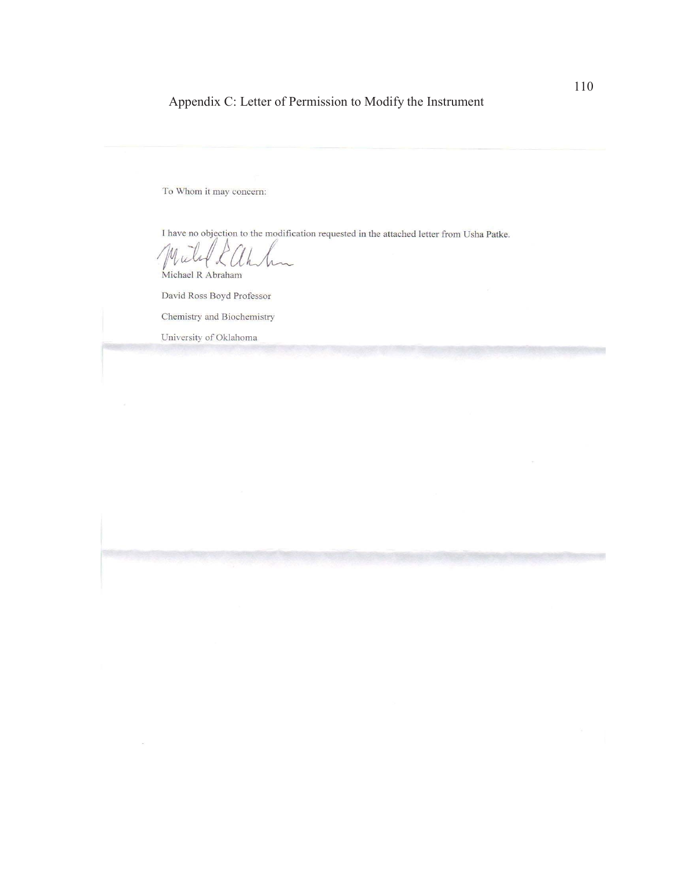# Appendix C: Letter of Permission to Modify the Instrument

To Whom it may concern:

I have no objection to the modification requested in the attached letter from Usha Patke.

yu Michael R Abraham

David Ross Boyd Professor

Chemistry and Biochemistry

University of Oklahoma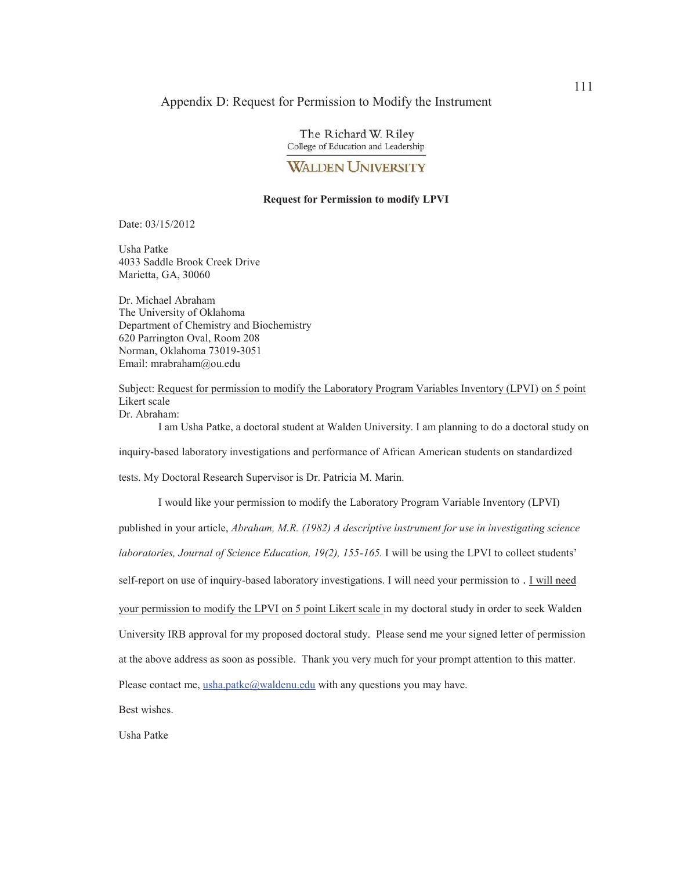#### Appendix D: Request for Permission to Modify the Instrument

The Richard W. Riley College of Education and Leadership

### **WALDEN UNIVERSITY**

#### **Request for Permission to modify LPVI**

Date: 03/15/2012

Usha Patke 4033 Saddle Brook Creek Drive Marietta, GA, 30060

Dr. Michael Abraham The University of Oklahoma Department of Chemistry and Biochemistry 620 Parrington Oval, Room 208 Norman, Oklahoma 73019-3051 Email: mrabraham@ou.edu

Subject: Request for permission to modify the Laboratory Program Variables Inventory (LPVI) on 5 point Likert scale Dr. Abraham:

 I am Usha Patke, a doctoral student at Walden University. I am planning to do a doctoral study on inquiry-based laboratory investigations and performance of African American students on standardized tests. My Doctoral Research Supervisor is Dr. Patricia M. Marin.

 I would like your permission to modify the Laboratory Program Variable Inventory (LPVI) published in your article, *Abraham, M.R. (1982) A descriptive instrument for use in investigating science laboratories, Journal of Science Education, 19(2), 155-165.* I will be using the LPVI to collect students' self-report on use of inquiry-based laboratory investigations. I will need your permission to . I will need your permission to modify the LPVI on 5 point Likert scale in my doctoral study in order to seek Walden University IRB approval for my proposed doctoral study. Please send me your signed letter of permission at the above address as soon as possible. Thank you very much for your prompt attention to this matter. Please contact me, usha.patke@waldenu.edu with any questions you may have.

Best wishes.

Usha Patke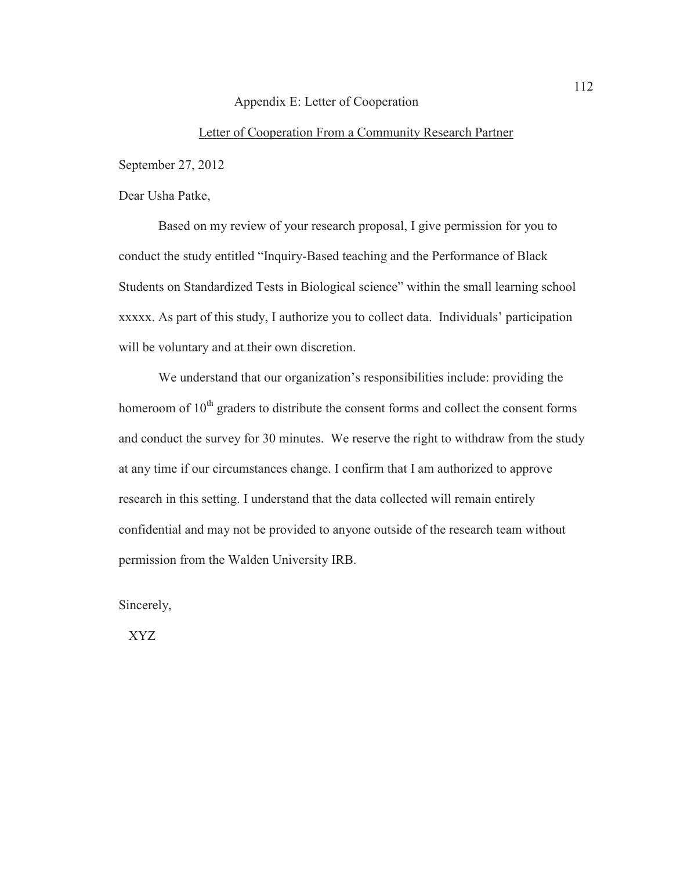#### Appendix E: Letter of Cooperation

### Letter of Cooperation From a Community Research Partner

September 27, 2012

Dear Usha Patke,

Based on my review of your research proposal, I give permission for you to conduct the study entitled "Inquiry-Based teaching and the Performance of Black Students on Standardized Tests in Biological science" within the small learning school xxxxx. As part of this study, I authorize you to collect data. Individuals' participation will be voluntary and at their own discretion.

We understand that our organization's responsibilities include: providing the homeroom of  $10<sup>th</sup>$  graders to distribute the consent forms and collect the consent forms and conduct the survey for 30 minutes. We reserve the right to withdraw from the study at any time if our circumstances change. I confirm that I am authorized to approve research in this setting. I understand that the data collected will remain entirely confidential and may not be provided to anyone outside of the research team without permission from the Walden University IRB.

Sincerely,

XYZ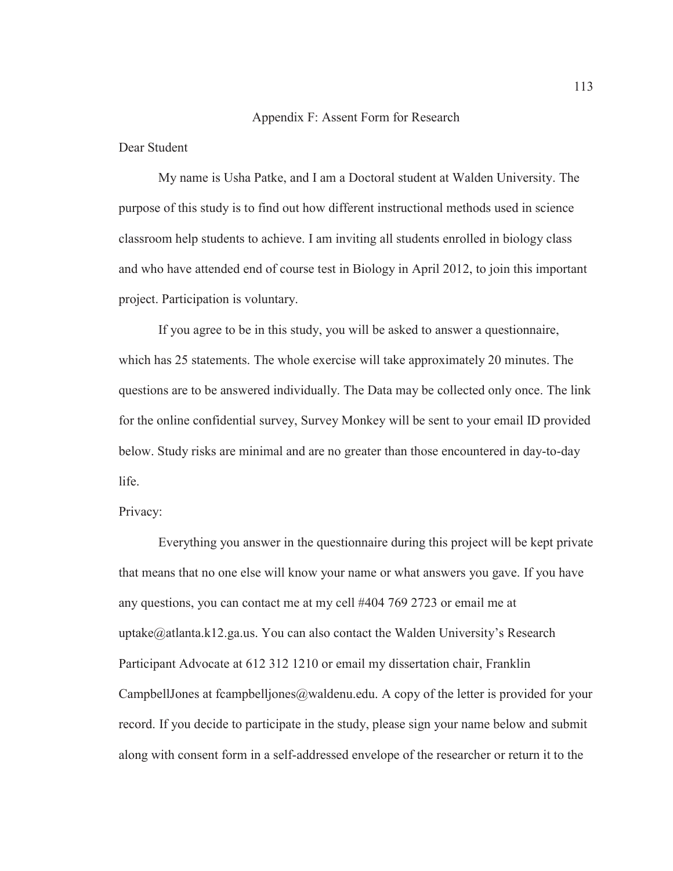#### Appendix F: Assent Form for Research

Dear Student

My name is Usha Patke, and I am a Doctoral student at Walden University. The purpose of this study is to find out how different instructional methods used in science classroom help students to achieve. I am inviting all students enrolled in biology class and who have attended end of course test in Biology in April 2012, to join this important project. Participation is voluntary.

 If you agree to be in this study, you will be asked to answer a questionnaire, which has 25 statements. The whole exercise will take approximately 20 minutes. The questions are to be answered individually. The Data may be collected only once. The link for the online confidential survey, Survey Monkey will be sent to your email ID provided below. Study risks are minimal and are no greater than those encountered in day-to-day life.

Privacy:

 Everything you answer in the questionnaire during this project will be kept private that means that no one else will know your name or what answers you gave. If you have any questions, you can contact me at my cell #404 769 2723 or email me at uptake@atlanta.k12.ga.us. You can also contact the Walden University's Research Participant Advocate at 612 312 1210 or email my dissertation chair, Franklin CampbellJones at fcampbelljones@waldenu.edu. A copy of the letter is provided for your record. If you decide to participate in the study, please sign your name below and submit along with consent form in a self-addressed envelope of the researcher or return it to the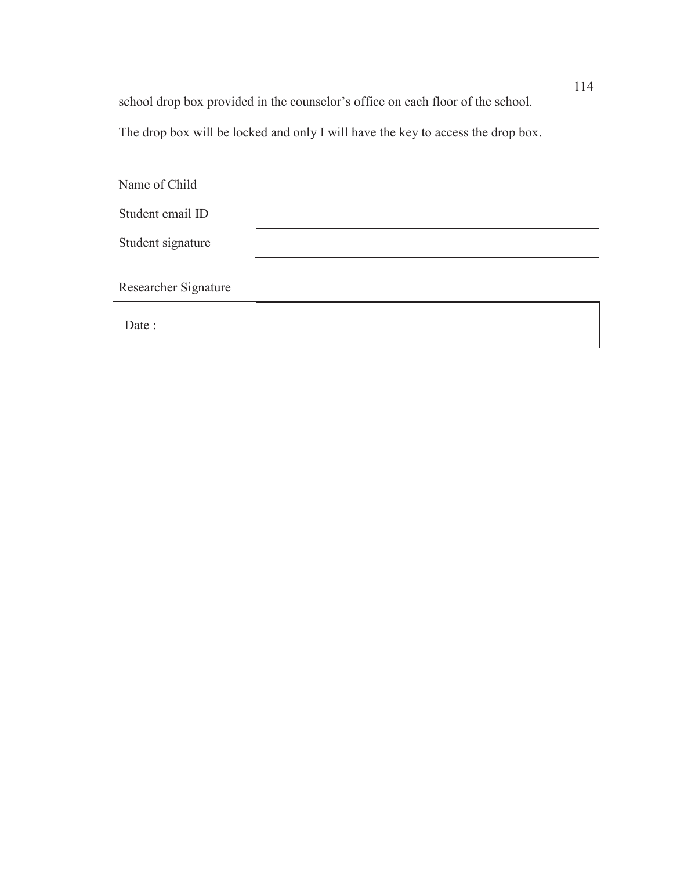school drop box provided in the counselor's office on each floor of the school.

The drop box will be locked and only I will have the key to access the drop box.

| Name of Child        |  |
|----------------------|--|
| Student email ID     |  |
| Student signature    |  |
| Researcher Signature |  |
| Date:                |  |